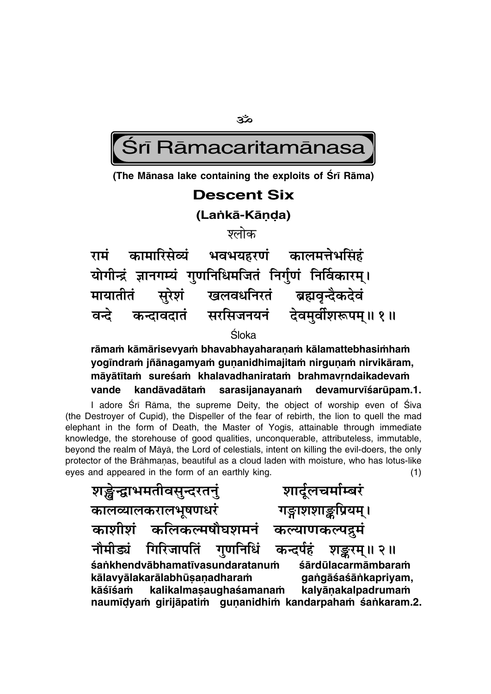# Rāmacaritamānasa

ૐ

(The Mānasa lake containing the exploits of Srī Rāma)

#### **Descent Six** (Lankā-Kānda) श्लोक कामारिसेव्यं भवभयहरणं कालमत्तेर्भासंहं गामं योगीन्द्रं ज्ञानगम्यं गुणनिधिमजितं निर्गुणं निर्विकारम्। सरेशं खलवधनिरतं ब्रह्मवृन्दैकदेवं मायातीतं

Śloka

वन्दे

#### rāmam kāmārisevyam bhavabhayaharanam kālamattebhasimham yogīndram jñānagamyam guṇanidhimajitam nirguṇam nirvikāram, māyātītam sureśam khalavadhaniratam brahmavrndaikadevam vande kandāvadātam sarasijanayanam devamurvīśarūpam.1.

कन्दावदातं सरसिजनयनं देवमुर्वीशरूपम्॥१॥

I adore Srī Rāma, the supreme Deity, the object of worship even of Siva (the Destroyer of Cupid), the Dispeller of the fear of rebirth, the lion to quell the mad elephant in the form of Death, the Master of Yogis, attainable through immediate knowledge, the storehouse of good qualities, unconquerable, attributeless, immutable, beyond the realm of Māyā, the Lord of celestials, intent on killing the evil-doers, the only protector of the Brāhmanas, beautiful as a cloud laden with moisture, who has lotus-like eyes and appeared in the form of an earthly king.  $(1)$ 

शार्दूलचर्माम्बरं शङ्खेन्द्वाभमतीवसुन्दरतनुं **गङ्गाशशाङ्कप्रियम्** । कालव्यालकरालभूषणधरं काशीशं कलिकल्मषौघशमनं कल्याणकल्पद्रुमं गिरिजापतिं नौमीक़ां गणनिधिं कन्दर्पहं शङ्करम् ॥ २॥ śankhendvābhamatīvasundaratanum śārdūlacarmāmbaram kālavyālakarālabhūsanadharam gangāśaśānkapriyam, kalikalmaşaughaśamanam kāśīśaṁ kalyāṇakalpadrumam naumīdyam girijāpatim gunanidhim kandarpaham śankaram.2.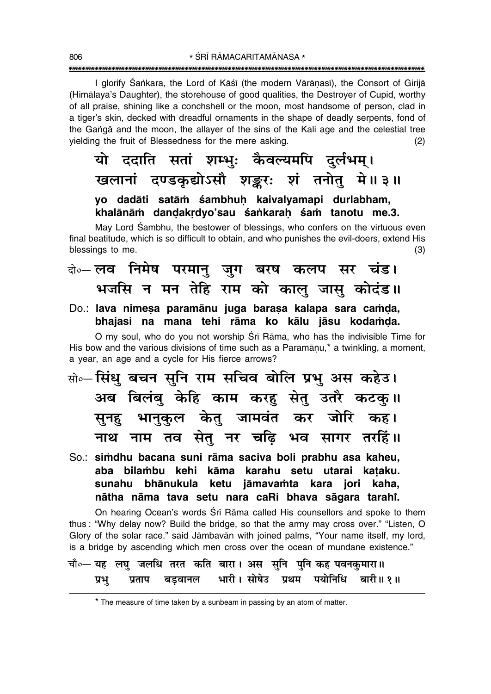I glorify Śankara, the Lord of Kāśī (the modern Vārānasī), the Consort of Girijā (Himalaya's Daughter), the storehouse of good qualities, the Destroyer of Cupid, worthy of all praise, shining like a conchshell or the moon, most handsome of person, clad in a tiger's skin, decked with dreadful ornaments in the shape of deadly serpents, fond of the Ganga and the moon, the allayer of the sins of the Kali age and the celestial tree yielding the fruit of Blessedness for the mere asking.  $(2)$ 

यो ददाति सतां शम्भुः कैवल्यमपि दुर्लभम्। खलानां दण्डकृद्योऽसौ शङ्करः शं तनोतु मे॥३॥ yo dadāti satām śambhuh kaivalyamapi durlabham, khalānām dandakrdvo'sau śankarah śam tanotu me.3.

May Lord Sambhu, the bestower of blessings, who confers on the virtuous even final beatitude, which is so difficult to obtain, and who punishes the evil-doers, extend His blessings to me.  $(3)$ 

### के-लव निमेष परमानु जुग बरष कलप सर चंड। भजसि न मन तेहि राम को कालु जासु कोदंड।।

#### Do.: lava nimesa paramānu juga barasa kalapa sara camda, bhajasi na mana tehi rāma ko kālu jāsu kodamda.

O my soul, who do you not worship Srī Rāma, who has the indivisible Time for His bow and the various divisions of time such as a Paramanu,\* a twinkling, a moment, a year, an age and a cycle for His fierce arrows?

|  |  |  |  | सो॰– सिंधु बचन सुनि राम सचिव बोलि प्रभु अस कहेउ।           |
|--|--|--|--|------------------------------------------------------------|
|  |  |  |  | अब बिलंबु केहि काम करहु सेतु उतरै कटकु॥                    |
|  |  |  |  | सुनहु भानुकुल केतु जामवंत कर जोरि कह।                      |
|  |  |  |  | नाथ नाम तव सेतु नर चढ़ि भव सागर तरहिं॥                     |
|  |  |  |  | So.: simdhu bacana suni rāma saciva boli prabhu asa kaheu, |

aba bilambu kehi kāma karahu setu utarai kataku. sunahu bhānukula ketu jāmavamta kara jori kaha, nātha nāma tava setu nara caRi bhava sāgara tarahi.

On hearing Ocean's words Srī Rāma called His counsellors and spoke to them thus: "Why delay now? Build the bridge, so that the army may cross over." "Listen, O Glory of the solar race." said Jāmbavān with joined palms, "Your name itself, my lord, is a bridge by ascending which men cross over the ocean of mundane existence."

|  | चौ∘— यह लघु जलधि तरत कति बारा। अस सुनि पुनि कह पवनकुमारा॥ |  |  |
|--|-----------------------------------------------------------|--|--|
|  | प्रभु प्रताप बड़वानल भारी। सोषेउ प्रथम पयोनिधि बारी॥१॥    |  |  |

\* The measure of time taken by a sunbeam in passing by an atom of matter.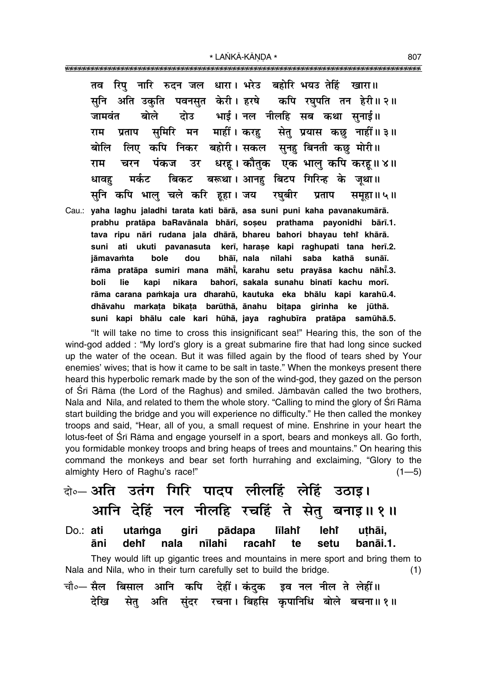\* LANKĀ-KĀNDA \* 

तव रिप नारि रुटन जल धारा। भरेउ बहोरि भयउ तेहिं खारा॥ अति उकुति पवनसुत केरी । हरषे कपि रघुपति तन हेरी ॥ २ ॥ सनि दोउ भाई। नल नीलहि सब कथा सनाई॥ बोले जामवंत समिरि मन माहीं।करह सेत प्रयास कछ नाहीं॥३॥ प्रताप राम लिए कपि निकर बहोरी। सकल सुनह बिनती कछ मोरी॥ बोलि धरह। कौतुक एक भालु कपि करह॥४॥ पंकज राम चरन उर बिकट बरूथा। आनह बिटप गिरिन्ह के जूथा॥ मर्कट धावह सनि कपि भालु चले करि हुहा। जय रघबीर प्रताप समहा॥५॥

Cau.: yaha laghu jaladhi tarata kati bārā, asa suni puni kaha pavanakumārā. prabhu pratāpa baRavānala bhārī, soșeu prathama payonidhi bārī.1. tava ripu nāri rudana jala dhārā, bhareu bahori bhayau tehi khārā. suni ati ukuti pavanasuta kerī, harase kapi raghupati tana herī.2. jāmavamta bole bhāī, nala nīlahi saba kathā dou sunāī. rāma pratāpa sumiri mana māhī, karahu setu prayāsa kachu nāhī.3. bahorī, sakala sunahu binatī kachu morī. holi lie kapi nikara rāma carana pamkaja ura dharahū, kautuka eka bhālu kapi karahū.4. dhāvahu markata bikata barūthā, ānahu bitapa girinha ke jūthā. suni kapi bhālu cale kari hūhā, jaya raghubīra pratāpa samūhā.5.

"It will take no time to cross this insignificant sea!" Hearing this, the son of the wind-god added: "My lord's glory is a great submarine fire that had long since sucked up the water of the ocean. But it was filled again by the flood of tears shed by Your enemies' wives; that is how it came to be salt in taste." When the monkeys present there heard this hyperbolic remark made by the son of the wind-god, they gazed on the person of Sri Rāma (the Lord of the Raghus) and smiled. Jāmbavān called the two brothers, Nala and Nila, and related to them the whole story. "Calling to mind the glory of Sri Rāma start building the bridge and you will experience no difficulty." He then called the monkey troops and said, "Hear, all of you, a small request of mine. Enshrine in your heart the lotus-feet of Srī Rāma and engage yourself in a sport, bears and monkeys all. Go forth, you formidable monkey troops and bring heaps of trees and mountains." On hearing this command the monkeys and bear set forth hurrahing and exclaiming, "Glory to the almighty Hero of Raghu's race!"  $(1 - 5)$ 

के-अति उतंग गिरि पादप लीलहिं लेहिं उठाइ। आनि देहिं नल नीलहि रचहिं ते सेतु बनाइ॥१॥ utamga giri Do.: ati pādapa līlahi leht uthāi. nīlahi āni dehř nala racahi te setu banāi.1.

They would lift up gigantic trees and mountains in mere sport and bring them to Nala and Nīla, who in their turn carefully set to build the bridge.  $(1)$ चौ०— सैल बिसाल आनि कपि देहींं। कंदुक इव नल नील ते लेहींं॥ अति संदर रचना।।बिहसि कृपानिधि बोले बचना॥१॥ देखि सेत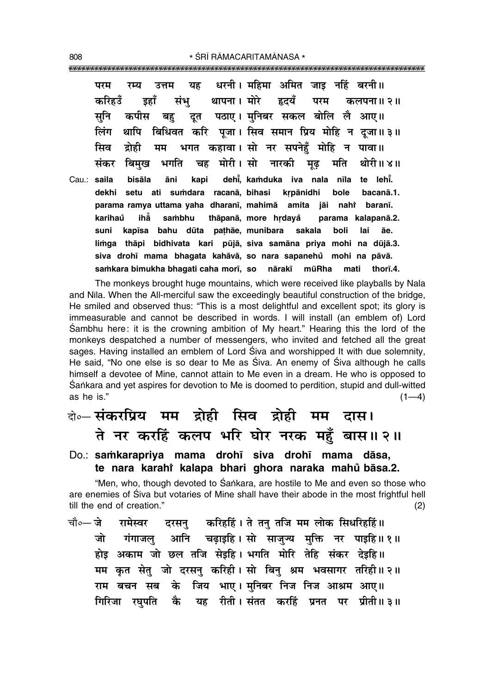धरनी। महिमा अमित जाड़ नहिं बरनी।। यह परम रम्य उत्तम संभ् थापना। मोरे करिहउँ डहाँ हृदयँ परम कलपना ॥ २॥ दत पठाए। मनिबर सकल बोलि लै आए॥ सनि कपीस बह थापि बिधिवत करि पूजा। सिव समान प्रिय मोहि न दुजा॥३॥ लिंग भगत कहावा। सो नर सपनेहँ मोहि न पावा॥ मिव दोही मम चह मोरी। सो नारकी मति संकर बिमख भगति मढ थोरी॥४॥ Cau.: saila bisāla āni dehi, kamduka iva nala nīla te lehi. kapi dekhi setu ati sumdara racanā bihasi krpānidhi bole bacanā.1. parama ramya uttama yaha dharani, mahima amita jai nahi barani. karihaů ihẳ sambhu thāpanā, more hrdayå parama kalapanā.2. kapīsa bahu dūta pathāe, munibara sakala suni boli lai āе. limga thāpi bidhivata kari pūjā, siva samāna priya mohi na dūjā.3. siva drohī mama bhagata kahāvā, so nara sapanehů mohi na pāvā. samkara bimukha bhaqati caha morī, so nārakī mūRha mati thorī.4.

The monkeys brought huge mountains, which were received like playballs by Nala and Nīla. When the All-merciful saw the exceedingly beautiful construction of the bridge, He smiled and observed thus: "This is a most delightful and excellent spot; its glory is immeasurable and cannot be described in words. I will install (an emblem of) Lord Sambhu here: it is the crowning ambition of My heart." Hearing this the lord of the monkeys despatched a number of messengers, who invited and fetched all the great sages. Having installed an emblem of Lord Siva and worshipped It with due solemnity, He said, "No one else is so dear to Me as Śiva. An enemy of Śiva although he calls himself a devotee of Mine, cannot attain to Me even in a dream. He who is opposed to Sankara and yet aspires for devotion to Me is doomed to perdition, stupid and dull-witted as he is."  $(1-4)$ 

## के—संकरप्रिय मम द्रोही सिव द्रोही मम दास। ते नर करहिं कलप भरि घोर नरक महुँ बास॥२॥

#### Do.: samkarapriya mama drohī siva drohī mama dāsa, te nara karahi kalapa bhari ghora naraka mahu bāsa.2.

"Men, who, though devoted to Sankara, are hostile to Me and even so those who are enemies of Siva but votaries of Mine shall have their abode in the most frightful hell till the end of creation."  $(2)$ 

दरसन् करिहहिं। ते तन् तजि मम लोक सिधरिहहिं॥ चौ०— जे रामेस्वर आनि चढाइहि।सो साजन्य मक्ति नर पाइहि॥१॥ जो गंगाजल होइ अकाम जो छल तजि सेइहि। भगति मोरि तेहि संकर देइहि॥ मम कृत सेतु जो दरसन् करिही। सो बिन् श्रम भवसागर तरिही॥२॥ राम बचन सब के जिय भाए। मुनिबर निज निज आश्रम आए॥ गिरिजा रघुपति कै यह रीती। संतत करहिं प्रनत पर प्रीती॥३॥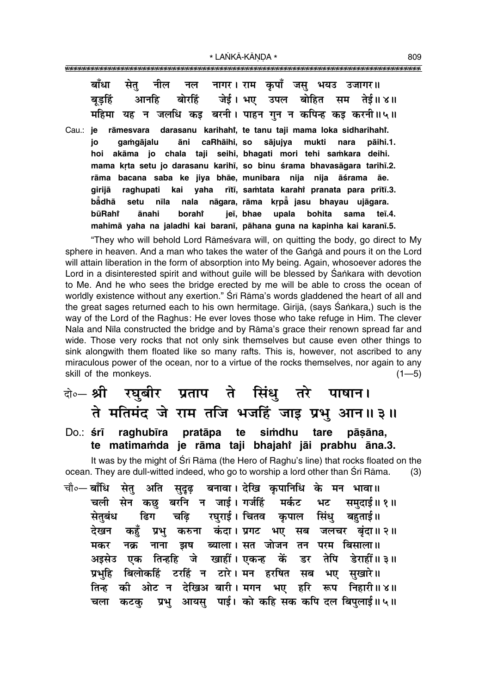|  |  |  | बाँधा सेतु नील नल नागर । राम कृपाँ जसु भयउ उजागर॥     |  |  |  |  |  |
|--|--|--|-------------------------------------------------------|--|--|--|--|--|
|  |  |  | बूड़हिं आनहि बोरहिं जेई । भए उपल बोहित सम तेई ॥ ४ ॥   |  |  |  |  |  |
|  |  |  | महिमा यह न जलधि कइ बरनी। पाहन गुन न कपिन्ह कइ करनी॥५॥ |  |  |  |  |  |

Cau.: ie rāmesvara darasanu karihahi, te tanu taji mama loka sidharihahi. caRhāihi, so sājujva pāihi.1. io qamqājalu āni mukti nara hoi akāma jo chala taji seihi, bhagati mori tehi samkara deihi. mama krta setu jo darasanu karihī, so binu śrama bhavasāgara tarihī.2. rāma bacana saba ke jiya bhāe, munibara nija nija āśrama āe. raghupati kai yaha rītī, samtata karahi pranata para prītī.3. girijā **b**ådhā setu nāgara, rāma krpā jasu bhayau ujāgara. nīla nala **būRaht** ānahi boraht jeī, bhae upala bohita sama teī.4. mahimā yaha na jaladhi kai baranī, pāhana guna na kapinha kai karanī.5.

"They who will behold Lord Rāmeśvara will, on quitting the body, go direct to My sphere in heaven. And a man who takes the water of the Ganga and pours it on the Lord will attain liberation in the form of absorption into My being. Again, whosoever adores the Lord in a disinterested spirit and without quile will be blessed by Sankara with devotion to Me. And he who sees the bridge erected by me will be able to cross the ocean of worldly existence without any exertion." Srī Rāma's words gladdened the heart of all and the great sages returned each to his own hermitage. Girijā, (says Śankara,) such is the way of the Lord of the Raghus: He ever loves those who take refuge in Him. The clever Nala and Nīla constructed the bridge and by Rāma's grace their renown spread far and wide. Those very rocks that not only sink themselves but cause even other things to sink alongwith them floated like so many rafts. This is, however, not ascribed to any miraculous power of the ocean, nor to a virtue of the rocks themselves, nor again to any skill of the monkeys.  $(1 - 5)$ 

रघुबीर प्रताप ते सिंध तरे दो∘— **श्री** पाषान। ते मतिमंद जे राम तजि भजहिं जाइ प्रभु आन॥३॥ raghubīra pratāpa te simdhu Do.: śrī tare pāsāna. te matimamda je rāma taji bhajahi jāi prabhu āna.3.

It was by the might of Srī Rāma (the Hero of Raghu's line) that rocks floated on the ocean. They are dull-witted indeed, who go to worship a lord other than Srī Rāma.  $(3)$ 

चौ०— **बाँधि सेत** अति सदृढ बनावा। देखि कपानिधि के मन भावा॥ चली सेन कछ बरनि न जाई। गर्जीहँ मर्कट भट समदाई॥ १॥ रघुराई । चितव सेतबंध ढिग चढि सिंध बहताई ॥ कपाल प्रभु करुना कंदा। प्रगट भए सब जलचर बंदा॥ २॥ देखन कहँ झष ब्याला। सत जोजन तन परम बिसाला॥ मकर नक्र नाना खाहीं । एकन्ह तेपि अइसेउ एक तिन्हहि जे कें डर डेराहीं॥ ३॥ बिलोकहिं टरहिं न टारे।मन हरषित प्रभूहि सब भए सुखारे॥ की ओट न देखिअ बारी। मगन भए हरि रूप निहारी॥४॥ तिन्ह प्रभु आयसु पाई। को कहि सक कपि दल बिपलाई॥५॥ चला कटक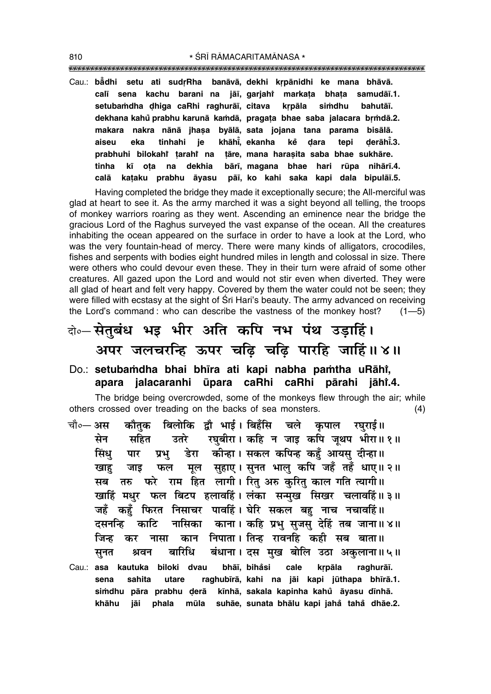\* ŚRĪ RĀMACARITAMĀNASA \* 

Cau.: bådhi setu ati sudrRha banāvā, dekhi krpānidhi ke mana bhāvā. calī sena kachu barani na jāī, garjahi markata bhata samudāī.1. setubamdha dhiga caRhi raghurāī, citava krpāla simdhu bahutāī. dekhana kahů prabhu karunā kamdā, pragata bhae saba jalacara brmdā.2. makara nakra nānā jhaṣa byālā, sata jojana tana parama bisālā. khāhi, ekanha aiseu eka tinhahi je ke dara tepi derāhī.3. prabhuhi bilokahi tarahi na tāre, mana harasita saba bhae sukhāre. kī ota na dekhia bārī, magana bhae hari rūpa nihārī.4. tinha kataku prabhu āvasu pāī ko kahi saka kapi daļa bipulāī.5. calā

Having completed the bridge they made it exceptionally secure; the All-merciful was glad at heart to see it. As the army marched it was a sight beyond all telling, the troops of monkey warriors roaring as they went. Ascending an eminence near the bridge the gracious Lord of the Raghus surveyed the vast expanse of the ocean. All the creatures inhabiting the ocean appeared on the surface in order to have a look at the Lord, who was the very fountain-head of mercy. There were many kinds of alligators, crocodiles, fishes and serpents with bodies eight hundred miles in length and colossal in size. There were others who could devour even these. They in their turn were afraid of some other creatures. All gazed upon the Lord and would not stir even when diverted. They were all glad of heart and felt very happy. Covered by them the water could not be seen; they were filled with ecstasy at the sight of Sri Hari's beauty. The army advanced on receiving the Lord's command: who can describe the vastness of the monkey host?  $(1 - 5)$ 

- बे॰ सेतुबंध भइ भीर अति कपि नभ पंथ उड़ाहिं। अपर जलचरन्हि ऊपर चढ़ि चढ़ि पारहि जाहिं॥४॥
- Do.: setubamdha bhai bhira ati kapi nabha pamtha uRāhi, apara jalacaranhi ūpara caRhi caRhi pārahi jāhī.4.

The bridge being overcrowded, some of the monkeys flew through the air; while others crossed over treading on the backs of sea monsters.  $(4)$ 

कौतक बिलोकि द्वौ भाई। बिहँसि चले कृपाल रघुराई॥ चौ०— अस रघुबीरा । कहि न जाइ कपि जूथप भीरा ॥ १ ॥ सेन उतरे सहित डेरा कीन्हा। सकल कपिन्ह कहँ आयस दीन्हा॥ सिंधु पार प्रभ खाह जाडू फल मूल सुहाए। सूनत भालू कपि जहँ तहँ धाए॥२॥ सब तरु फरे राम हित लागी। रितु अरु कुरितु काल गति त्यागी।। खाहिं मधुर फल बिटप हलावहिं। लंका सन्मुख सिखर चलावहिं॥३॥ जहँ कहँ फिरत निसाचर पावहिं। घेरि सकल बहु नाच नचावहिं॥ नासिका काना। कहि प्रभु सुजसु देहिं तब जाना॥४॥ टसनन्धि काटि कान निपाता। तिन्ह रावनहि कही सब बाता॥ जिन्ह कर नासा बारिधि बंधाना। दस मुख बोलि उठा अकुलाना॥५॥ सूनत श्रवन bhāī, bihåsi cale krpāla Cau.: asa kautuka biloki dvau raghurāī. sahita raghubīrā, kahi na jāi kapi jūthapa bhīrā.1. utare sena simdhu pāra prabhu derā kīnhā, sakala kapinha kahů āyasu dīnhā. khāhu jāi phala mūla suhāe, sunata bhālu kapi jahå tahå dhāe.2.

810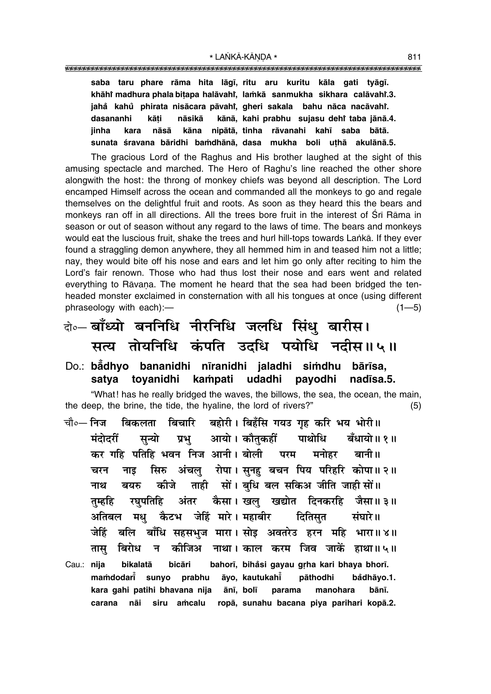"""""""""""""""""""""""""""""""""""""""""""""""""""""""""""""""""""""""""""""""""""

**saba taru phare råma hita låg∂, ritu aru kuritu kåla gati tyåg∂. khåhiÚ madhura phala bi¢apa halåvahiÚ , la≈kå sanmukha sikhara calåvahiÚ .3.** jahå kahů phirata nisācara pāvahi, gheri sakala bahu nāca nacāvahi<mark>.</mark> **dasananhi kå¢i nåsikå kånå, kahi prabhu sujasu dehiÚ taba jånå.4. jinha kara nåså kåna nipåtå, tinha råvanahi kah∂ saba båtå. sunata ‹ravana båridhi ba≈dhånå, dasa mukha boli u¢hå akulånå.5.**

The gracious Lord of the Raghus and His brother laughed at the sight of this amusing spectacle and marched. The Hero of Raghuís line reached the other shore alongwith the host: the throng of monkey chiefs was beyond all description. The Lord encamped Himself across the ocean and commanded all the monkeys to go and regale themselves on the delightful fruit and roots. As soon as they heard this the bears and monkeys ran off in all directions. All the trees bore fruit in the interest of Śrī Rāma in season or out of season without any regard to the laws of time. The bears and monkeys would eat the luscious fruit, shake the trees and hurl hill-tops towards Lankā. If they ever found a straggling demon anywhere, they all hemmed him in and teased him not a little; nay, they would bite off his nose and ears and let him go only after reciting to him the Lord's fair renown. Those who had thus lost their nose and ears went and related everything to Rāyana. The moment he heard that the sea had been bridged the tenheaded monster exclaimed in consternation with all his tongues at once (using different phraseology with each): $-$  (1–5)

- दो**०– बाँध्यो बननिधि नीरनिधि जलधि सिंधु बारीस।** सत्य तोयनिधि कंपति उदधि पयोधि नदीस॥५॥
- Do.: **bådhyo bananidhi nīranidhi jaladhi siṁdhu bārīsa,** satya toyanidhi kampati udadhi payodhi nadīsa.5.

ìWhat! has he really bridged the waves, the billows, the sea, the ocean, the main, the deep, the brine, the tide, the hyaline, the lord of rivers?"  $(5)$ 

- चौ०— निज **बिकलता बिचारि बहोरी । बिहँसि गयउ गह करि भय भोरी ॥ मंदोदरीं सन्यो प्रभ आयो।कौतकहीं पाथोधि बँधायो॥१॥ कर गहि पतिहि भवन निज आनी। बोली परम मनोहर बानी ।।** चरन नाइ सिरु अंचल् रोपा । सुनह बचन पिय परिहरि कोपा॥२॥ नाथ बयरु कीजे ताही सों। बधि बल सकिअ जीति जाही सों॥ तम्हहि रघपतिहि अंतर कैसा। खल् खद्योत दिनकरहि जैसा॥ ३॥ <u>अतिबल मध</u> कैटभ जेहिं मारे। महाबीर दितिसुत संघारे॥ **जेहिं बलि बाँधि सहसभज मारा। सोड़ अवतरेउ हरन महि भारा॥४॥** तासु बिरोध न कीजिअ नाथा। काल करम जिव जाकें हाथा॥५॥ Cau.: **nija bikalatå bicåri bahor∂, biha°si gayau gæha kari bhaya bhor∂.**
- **ma≈dodar∂° sunyo prabhu åyo, kautukah∂° påthodhi ba°dhåyo.1. kara gahi patihi bhavana nija ån∂, bol∂ parama manohara bån∂. carana nåi siru a≈calu ropå, sunahu bacana piya parihari kopå.2.**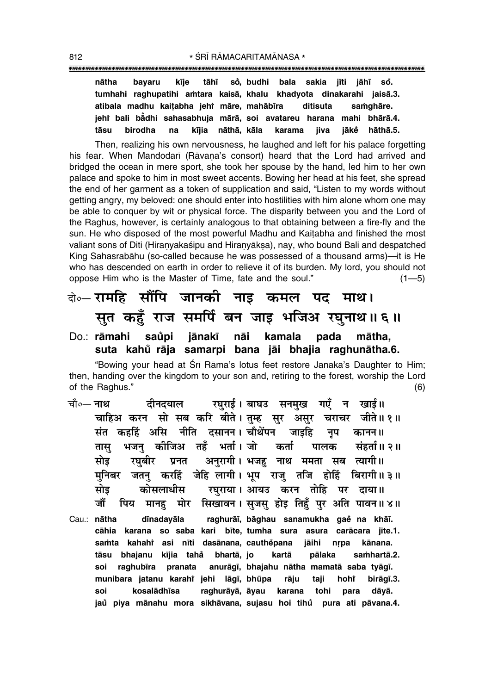nātha bayaru kīje tāhī sỏ, budhi bala sakia jīti jāhī sỏ. tumhahi raghupatihi amtara kaisā, khalu khadyota dinakarahi jaisā.3. atibala madhu kaitabha iehi māre, mahābīra ditisuta samahāre. jehi bali bådhi sahasabhuja mārā, soi avatareu harana mahi bhārā.4. tāsu birodha na kīija nāthā, kāla karama iiva iākě hāthā.5.

Then, realizing his own nervousness, he laughed and left for his palace forgetting his fear. When Mandodarī (Rāvana's consort) heard that the Lord had arrived and bridged the ocean in mere sport, she took her spouse by the hand, led him to her own palace and spoke to him in most sweet accents. Bowing her head at his feet, she spread the end of her garment as a token of supplication and said, "Listen to my words without getting angry, my beloved: one should enter into hostilities with him alone whom one may be able to conquer by wit or physical force. The disparity between you and the Lord of the Raghus, however, is certainly analogous to that obtaining between a fire-fly and the sun. He who disposed of the most powerful Madhu and Kaitabha and finished the most valiant sons of Diti (Hiranyakaśipu and Hiranyāksa), nay, who bound Bali and despatched King Sahasrabāhu (so-called because he was possessed of a thousand arms)—it is He who has descended on earth in order to relieve it of its burden. My lord, you should not oppose Him who is the Master of Time, fate and the soul."  $(1 - 5)$ 

## वो०-सामहि सौंपि जानकी नाइ कमल पद माथ। सुत कहुँ राज समर्पि बन जाइ भजिअ रघुनाथ॥६॥

#### saůpi jānakī nāi Do.: rāmahi kamala pada mātha. suta kahů rāja samarpi bana jāi bhajia raghunātha.6.

"Bowing your head at Śrī Rāma's lotus feet restore Janaka's Daughter to Him; then, handing over the kingdom to your son and, retiring to the forest, worship the Lord of the Raghus."  $(6)$ 

- रघुराई। बाघउ) सनमुख गएँ न खाई॥ चौ∘— **नाथ** दीनदयाल चाहिअ करन सो सब करि बीते। तम्ह सर असर चराचर जीते॥१॥ संत कहहिं असि नीति दसानन। चौथेंपन जाइहि नप कानन ॥ भजन कीजिअ तहँ भर्ता।जो कर्ता तास पालक संहर्ता॥ २॥ अनरागी। भजह नाथ ममता सब त्यागी॥ मोड रघबीर प्रनत मुनिबर जतनु करहिं जेहि लागी। भूप राजु तजि होहिं बिरागी॥३॥ सोड कोसलाधीस रघुराया। आयउ करन तोहि पर दाया॥ मोर सिखावन। सुजसु होइ तिहँ पुर अति पावन॥४॥ जौं पिय मानह Cau.: nātha raghurāī, bāghau sanamukha gaĕ na khāī. dīnadayāla
- cāhia karana so saba kari bīte, tumha sura asura carācara jīte.1. samta kahahi asi nīti dasānana, cauthepana jāihi nrpa kānana. tāsu bhajanu kījia tahå bhartā, jo kartā pālaka samhartā.2. raghubīra pranata anurāgī, bhajahu nātha mamatā saba tyāgī. soi munibara jatanu karahi jehi lāgī, bhūpa rāju taji hoht birāqī.3. kosalādhīsa raghurāyā, āyau karana tohi dāyā. soi para jaů piya mānahu mora sikhāvana, sujasu hoi tihů pura ati pāvana.4.

812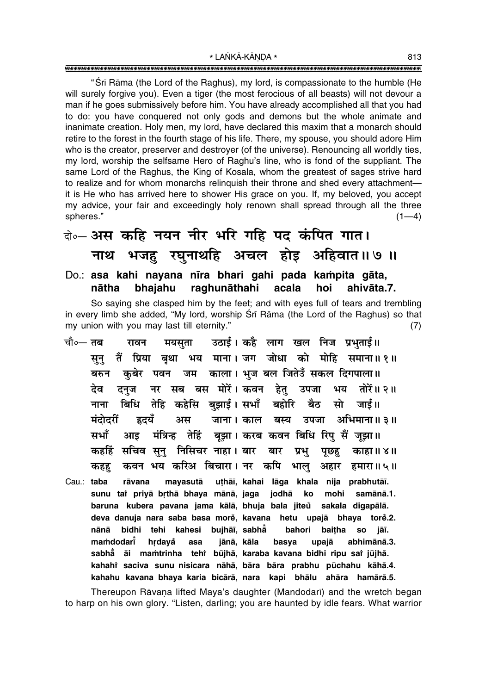"Srī Rāma (the Lord of the Raghus), my lord, is compassionate to the humble (He will surely forgive you). Even a tiger (the most ferocious of all beasts) will not devour a man if he goes submissively before him. You have already accomplished all that you had to do: you have conquered not only gods and demons but the whole animate and inanimate creation. Holy men, my lord, have declared this maxim that a monarch should retire to the forest in the fourth stage of his life. There, my spouse, you should adore Him who is the creator, preserver and destrover (of the universe). Renouncing all worldly ties, my lord, worship the selfsame Hero of Raghu's line, who is fond of the suppliant. The same Lord of the Raghus, the King of Kosala, whom the greatest of sages strive hard to realize and for whom monarchs relinguish their throne and shed every attachmentit is He who has arrived here to shower His grace on you. If, my beloved, you accept my advice, your fair and exceedingly holy renown shall spread through all the three spheres."  $(1-4)$ 

# वे∘– अस कहि नयन नीर भरि गहि पट कंपित गात। नाथ भजह रघुनाथहि अचल होइ अहिवात॥७॥

#### Do.: asa kahi nayana nīra bhari gahi pada kampita gāta, nātha bhajahu raghunāthahi acala hoi ahivāta.7.

So saying she clasped him by the feet; and with eyes full of tears and trembling in every limb she added, "My lord, worship Srī Rāma (the Lord of the Raghus) so that my union with you may last till eternity."  $(7)$ 

- उठाई। कहै लाग खल निज प्रभताई॥ चौ०— **तब** मयसता रावन तैं प्रिया बथा भय माना।जग जोधा को मोहि समाना॥१॥ सन कबेर पवन जम काला। भज बल जितेउँ सकल दिगपाला॥ बरुन नर सब बस मोरें। कवन हेत भय तोरें॥ २॥ देव उपजा दनज बिधि तेहि कहेसि बझाई। सभाँ बहोरि ਕੈਠ सो नाना जार्ड ॥ हृदयँ मंदोदरीं जाना। काल बस्य अस उपजा अभिमाना॥ ३॥ मंत्रिन्ह तेहिं सभाँ आड बुझा। करब कवन बिधि रिप् सैं जुझा॥ सचिव सुन् निसिचर नाहा । बार कहहिं बार प्रभ पुछह काहा ॥ ४॥ कवन भय करिअ बिचारा। नर कपि भाल् कहह अहार हमारा॥५॥
- uțhāī, kahai lāga khala nija prabhutāī. Cau.: taba rāvana mayasutā sunu tat priyā brthā bhaya mānā, jaga jodhā ko mohi samānā.1. baruna kubera pavana jama kālā, bhuja bala jiteů sakala digapālā. deva danuja nara saba basa morě, kavana hetu upajā bhaya torě.2. bidhi tehi kahesi bujhāī, sabha nānā bahori baitha so jāī. mamdodart hrdavå asa jānā, kāla basya upajā abhimānā.3. sabhā āi mamtrinha tehi būjhā, karaba kavana bidhi ripu sai jūjhā. kahahi saciva sunu nisicara nāhā, bāra bāra prabhu pūchahu kāhā.4. kahahu kavana bhaya karia bicārā, nara kapi bhālu ahāra hamārā.5.

Thereupon Rāvana lifted Maya's daughter (Mandodarī) and the wretch began to harp on his own glory. "Listen, darling; you are haunted by idle fears. What warrior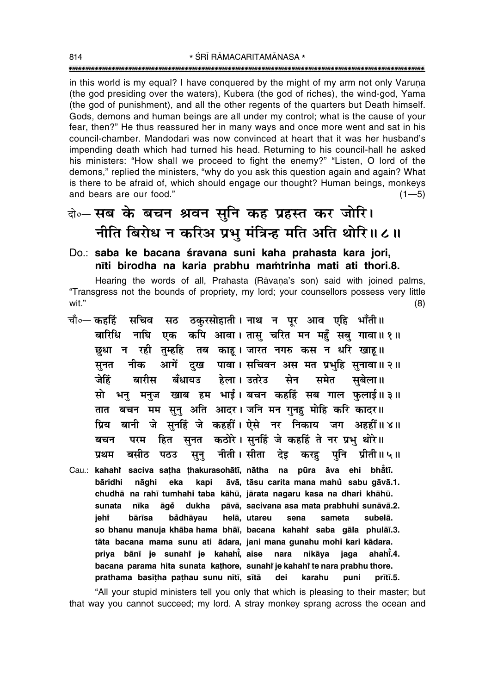in this world is my equal? I have conquered by the might of my arm not only Varuna (the god presiding over the waters), Kubera (the god of riches), the wind-god, Yama (the god of punishment), and all the other regents of the guarters but Death himself. Gods, demons and human beings are all under my control; what is the cause of your fear, then?" He thus reassured her in many ways and once more went and sat in his council-chamber. Mandodarī was now convinced at heart that it was her husband's impending death which had turned his head. Returning to his council-hall he asked his ministers: "How shall we proceed to fight the enemy?" "Listen, O lord of the demons," replied the ministers, "why do you ask this question again and again? What is there to be afraid of, which should engage our thought? Human beings, monkeys and bears are our food."  $(1 - 5)$ 

# वे-सब के बचन श्रवन सुनि कह प्रहस्त कर जोरि। नीति बिरोध न करिअ प्रभु मंत्रिन्ह मति अति थोरि॥८॥

#### Do.: saba ke bacana śravana suni kaha prahasta kara jori, nīti birodha na karia prabhu mamtrinha mati ati thori.8.

Hearing the words of all, Prahasta (Rāvana's son) said with joined palms, "Transgress not the bounds of propriety, my lord; your counsellors possess very little wit."  $(8)$ 

- चौ∘— कहहिं सचिव सठ ठकुरसोहाती। नाथ न पुर आव एहि भाँती॥ बारिधि नाघि एक कपि आवा।तासु चरित मन महँ सबु गावा॥१॥ छुधा न रही तुम्हहि तब काहू।जारत नगरु कस न धरि खाहू॥ आगें दुख पावा। सचिवन अस मत प्रभुहि सुनावा॥२॥ सनत नीक बारीस बँधायउ हेला।उतरेउ सेन समेत सबेला॥ जेहिं भन् मनज खाब हम भाई। बचन कहहिं सब गाल फलाई॥३॥ सो तात बचन मम सुनु अति आदर। जनि मन गुनहु मोहि करि कादर॥ बानी जे सुनहिं जे कहहीं।ऐसे नर निकाय जग अहहीं॥४॥ प्रिय हित सुनत कठोरे। सुनहिं जे कहहिं ते नर प्रभु थोरे॥ बचन परम सुनु नीती।सीता देइ करह पुनि प्रीती॥५॥ बसीठ पठउ प्रथम
- Cau.: kahahî saciva satha thakurasohātī, nātha na pūra āva ehi bhātī. bāridhi nāghi eka kapi āvā, tāsu carita mana mahů sabu gāvā.1. chudhā na rahī tumhahi taba kāhū, jārata nagaru kasa na dhari khāhū. pāvā, sacivana asa mata prabhuhi sunāvā.2. sunata nīka āaě dukha helā, utareu jeht **bārīsa** bådhāyau sena sameta subelā. so bhanu manuja khāba hama bhāi, bacana kahahi saba gāla phulāi.3. tāta bacana mama sunu ati ādara, jani mana gunahu mohi kari kādara. priya bānī je sunaht je kahahī, aise nara nikāya jaga ahahī.4. bacana parama hita sunata kathore, sunahi je kahahi te nara prabhu thore. prathama basītha pathau sunu nītī, sītā dei karahu puni prītī.5.

"All your stupid ministers tell you only that which is pleasing to their master; but that way you cannot succeed; my lord. A stray monkey sprang across the ocean and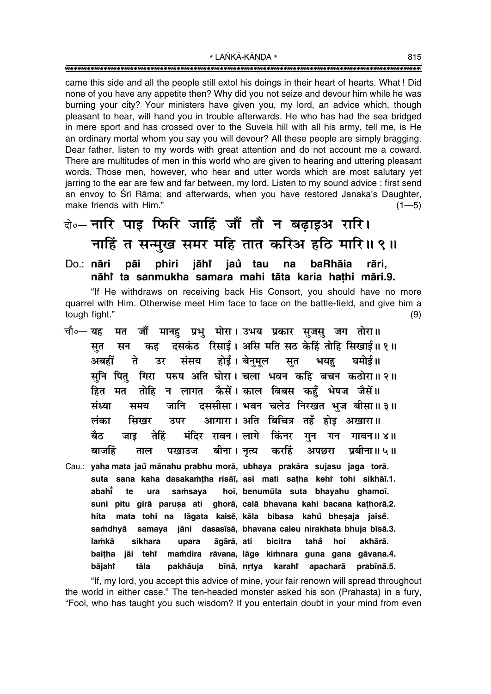came this side and all the people still extol his doings in their heart of hearts. What ! Did none of you have any appetite then? Why did you not seize and devour him while he was burning your city? Your ministers have given you, my lord, an advice which, though pleasant to hear, will hand you in trouble afterwards. He who has had the sea bridged in mere sport and has crossed over to the Suvela hill with all his army, tell me, is He an ordinary mortal whom you say you will devour? All these people are simply bragging. Dear father, listen to my words with great attention and do not account me a coward. There are multitudes of men in this world who are given to hearing and uttering pleasant words. Those men, however, who hear and utter words which are most salutary yet jarring to the ear are few and far between, my lord. Listen to my sound advice : first send an envoy to Śrī Rāma; and afterwards, when you have restored Janaka's Daughter, make friends with Him."  $(1-5)$ 

# दो**0– नारि पाइ फिरि जाहिं जौं तौ न बढ़ाइअ रारि। जाहिं त सन्मुख समर महि तात करिअ हठि मारि॥ ९॥**

#### Do.: **nāri pāi phiri**  $i$ āhi<sup>\*</sup> iau tau na baRhāia rāri, **nåhiÚ ta sanmukha samara mahi tåta karia ha¢hi måri.9.**

"If He withdraws on receiving back His Consort, you should have no more quarrel with Him. Otherwise meet Him face to face on the battle-field, and give him a tough fight." (9)

- चौ०— यह मत जौं मानहु प्रभु मोरा। उभय प्रकार सुजसु जग तोरा॥ सत सन कह दसकंठ रिसाई। असि मति सठ केहिं तोहि सिखाई॥ १॥ <u>अबहीं ते उर संसय होई।बेनुमूल सुत भयह घमोई॥</u> सनि पित**्रगिरा परुष अति घोरा। चला भवन कहि बचन क**ठोरा॥२॥ हित मत तोहि न लागत कैसें। काल बिबस कहँ भेषज जैसें॥ संध्या समय जानि दससीसा।<sup>9</sup>वन चलेउ निरखत भज बीसा॥३॥ **लंका सिखर उपर आगारा।अति बिचित्र** तहँ होइ अखारा॥ े**बैठ जाइ तेहिं मंदिर रावन। लागे किंनर ग्**न गन गावन॥४॥ <u>बाजहिं ताल पखाउज बीना। नृत्य करहिं अपछरा प्रबीना॥५॥</u>
- Cau.: **yaha mata jau månahu prabhu morå, ubhaya prakåra sujasu jaga torå. ° suta sana kaha dasaka≈¢ha riså∂, asi mati sa¢ha kehiÚ tohi sikhå∂.1. abah∂°** te ura samsaya hoī, benumūla suta bhayahu ghamoī. **suni pitu girå paru¶a ati ghorå, calå bhavana kahi bacana ka¢horå.2. hita mata tohi na lågata kaise°, kåla bibasa kahu bhe¶aja jaise ° °. sa≈dhyå samaya jåni dasas∂så, bhavana caleu nirakhata bhuja b∂så.3. la≈kå sikhara upara ågårå, ati bicitra taha° hoi akhårå. bai¢ha jåi tehiÚ ma≈dira råvana, låge ki≈nara guna gana gåvana.4. båjahiÚ** tāla pakhāuja bīnā, nrtya  **apacharå prab∂nå.5.**

"If, my lord, you accept this advice of mine, your fair renown will spread throughout the world in either case." The ten-headed monster asked his son (Prahasta) in a fury, ìFool, who has taught you such wisdom? If you entertain doubt in your mind from even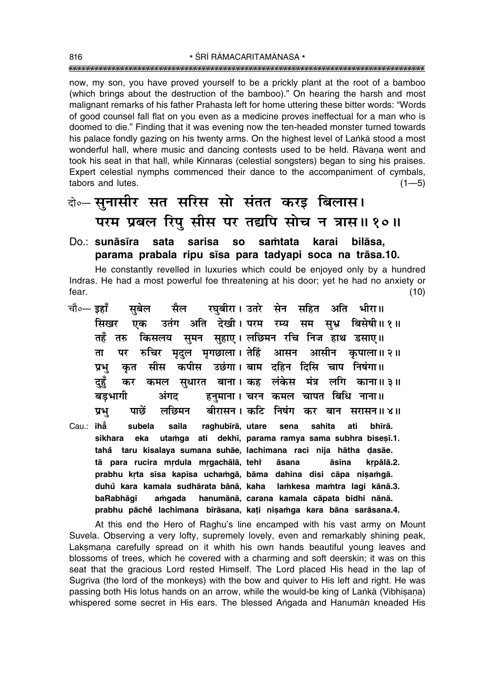now, my son, you have proved yourself to be a prickly plant at the root of a bamboo (which brings about the destruction of the bamboo)." On hearing the harsh and most malignant remarks of his father Prahasta left for home uttering these bitter words: "Words of good counsel fall flat on you even as a medicine proves ineffectual for a man who is doomed to die." Finding that it was evening now the ten-headed monster turned towards his palace fondly gazing on his twenty arms. On the highest level of Lanka stood a most wonderful hall, where music and dancing contests used to be held. Rāvana went and took his seat in that hall, while Kinnaras (celestial songsters) began to sing his praises. Expert celestial nymphs commenced their dance to the accompaniment of cymbals, tabors and lutes.  $(1 - 5)$ 

# के-सुनासीर सत सरिस सो संतत करइ बिलास। परम प्रबल रिपु सीस पर तद्यपि सोच न त्रास॥१०॥

sata sarisa  $SO<sub>2</sub>$ karai Do.: sunāsīra samtata bilāsa. parama prabala ripu sīsa para tadvapi soca na trāsa.10.

He constantly revelled in luxuries which could be enjoyed only by a hundred Indras. He had a most powerful foe threatening at his door; yet he had no anxiety or fear.  $(10)$ 

चौ०— इहाँ रघबीरा। उतरे सेन सहित अति भीरा॥ सबेल सैल एक उतंग अति देखी। परम रम्य सम सुभ्र बिसेषी॥१॥ सिखर तहँ तरु किसलय सुमन सुहाए।लछिमन रचि निज हाथ डसाए॥ पर रुचिर मृदल मृगछाला।तेहिं आसन आसीन कपाला॥२॥ ता कपीस उछंगा। बाम दहिन दिसि चाप निषंगा॥ प्रभु कत सीस दहँ कमल सधारत बाना।कह लंकेस मंत्र लगि काना॥३॥ कर बडभागी अंगद हनुमाना। चरन कमल चापत बिधि नाना॥ लछिमन बीरासन । कटि निषंग प्रभु पाछें कर बान सरासन॥४॥ Cau.: iha raghubīrā, utare subela saila sena sahita ati bhīrā. eka utamga ati dekhi, parama ramya sama subhra bisesi.1. sikhara tahå taru kisalaya sumana suhāe, lachimana raci nija hātha dasāe. tā para rucira mrdula mrgachālā, tehr āsana āsīna krpālā.2. prabhu krta sīsa kapīsa uchamgā, bāma dahina disi cāpa nisamgā. duhů kara kamala sudhārata bānā, kaha lamkesa mamtra lagi kānā.3. baRabhāqī amqada hanumānā, carana kamala cāpata bidhi nānā. prabhu pāchě lachimana bīrāsana, kați nișamga kara bāna sarāsana.4.

At this end the Hero of Raghu's line encamped with his vast army on Mount Suvela. Observing a very lofty, supremely lovely, even and remarkably shining peak, Laksmana carefully spread on it whith his own hands beautiful young leaves and blossoms of trees, which he covered with a charming and soft deerskin; it was on this seat that the gracious Lord rested Himself. The Lord placed His head in the lap of Sugriva (the lord of the monkeys) with the bow and quiver to His left and right. He was passing both His lotus hands on an arrow, while the would-be king of Lanka (Vibhisana) whispered some secret in His ears. The blessed Angada and Hanuman kneaded His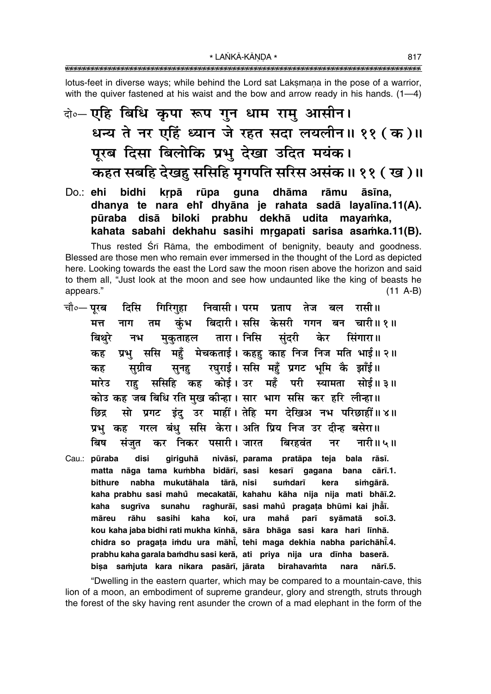lotus-feet in diverse ways; while behind the Lord sat Laksmana in the pose of a warrior, with the quiver fastened at his waist and the bow and arrow ready in his hands. (1-4)

# बे॰- एहि बिधि कृपा रूप गुन धाम रामु आसीन। धन्य ते नर एहिं ध्यान जे रहत सदा लयलीन॥ ११ (क)॥ पुरब दिसा बिलोकि प्रभु देखा उदित मयंक। कहत सबहि देखह ससिहि मृगपति सरिस असंक ॥ ११ (ख)॥

Do.: ehi bidhi krpā rūpa quna dhāma rāmu āsīna. dhanya te nara ehi dhyāna je rahata sadā layalīna.11(A). pūraba disā biloki prabhu dekhā udita mayamka, kahata sabahi dekhahu sasihi mrqapati sarisa asamka.11(B).

Thus rested Srī Rāma, the embodiment of benignity, beauty and goodness. Blessed are those men who remain ever immersed in the thought of the Lord as depicted here. Looking towards the east the Lord saw the moon risen above the horizon and said to them all, "Just look at the moon and see how undaunted like the king of beasts he appears."  $(11 \text{ A-B})$ 

- गिरिगुहा निवासी। परम प्रताप तेज बल रासी॥ चौ०— परब दिसि कंभ बिदारी। ससि केसरी गगन बन चारी॥१॥ नाग तम मत्त तारा । निसि सुंदरी मुकताहल केर सिंगारा ॥ बिथरे नभ प्रभु ससि महँ मेचकताई। कहह काह निज निज मति भाई॥ २॥ कह सुनहु रघुराई। ससि महुँ प्रगट भूमि कै झाँई॥ सग्रीव कह राह ससिहि कह कोई।उर महँ परी स्यामता सोई॥३॥ मारेउ कोउ कह जब बिधि रति मुख कीन्हा। सार भाग ससि कर हरि लीन्हा॥ सो प्रगट इंदु उर माहीं। तेहि मग देखिअ नभ परिछाहीं॥४॥ छिद्र प्रभ कह गरल बंध ससि केरा। अति प्रिय निज उर दीन्ह बसेरा॥ संजत कर निकर पसारी। जारत बिरहवंत बिष नर नारी॥ ५॥
- Cau.: pūraba disi giriguhā nivāsī, parama pratāpa teja bala rāsī. matta nāga tama kumbha bidārī, sasi kesarī gagana bana cārī.1. nabha mukutāhala tārā, nisi sumdarī bithure kera simgārā. kaha prabhu sasi mahů mecakatāi, kahahu kāha nija nija mati bhāi.2. sugrīva sunahu raghurāi, sasi mahu pragata bhūmi kai jhāi. kaha rāhu sasihi kaha koī. ura mahå parī syāmatā māreu soī.3. kou kaha jaba bidhi rati mukha kinhā, sāra bhāga sasi kara hari linhā. chidra so pragața imdu ura māhi, tehi maga dekhia nabha parichāhi.4. prabhu kaha garala bamdhu sasi kerā, ati priya nija ura dīnha baserā. birahavamta bisa samjuta kara nikara pasārī, jārata nara nārī.5.

"Dwelling in the eastern quarter, which may be compared to a mountain-cave, this lion of a moon, an embodiment of supreme grandeur, glory and strength, struts through the forest of the sky having rent asunder the crown of a mad elephant in the form of the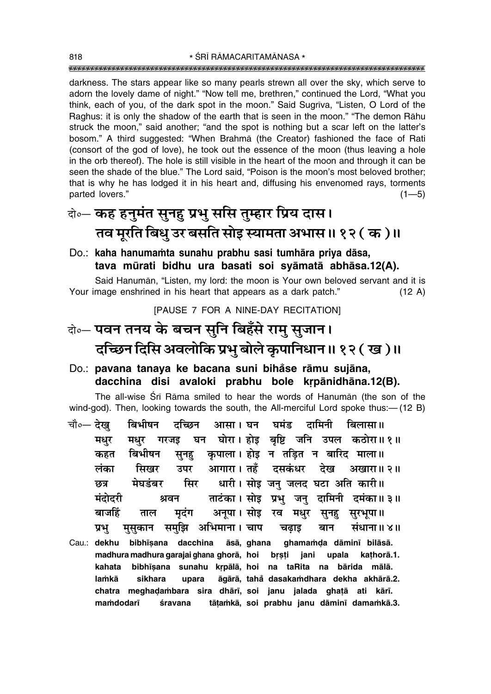darkness. The stars appear like so many pearls strewn all over the sky, which serve to adorn the lovely dame of night." "Now tell me, brethren," continued the Lord, "What you think, each of you, of the dark spot in the moon." Said Sugriva, "Listen, O Lord of the Raghus: it is only the shadow of the earth that is seen in the moon." "The demon Rahu struck the moon," said another; "and the spot is nothing but a scar left on the latter's bosom." A third suggested: "When Brahma (the Creator) fashioned the face of Rati (consort of the god of love), he took out the essence of the moon (thus leaving a hole in the orb thereof). The hole is still visible in the heart of the moon and through it can be seen the shade of the blue." The Lord said, "Poison is the moon's most beloved brother; that is why he has lodged it in his heart and, diffusing his envenomed rays, torments parted lovers."  $(1 - 5)$ 

# के— कह हनुमंत सुनहु प्रभु ससि तुम्हार प्रिय दास। तव मूरति बिधु उर बसति सोइ स्यामता अभास॥ १२ ( क )॥

#### Do.: kaha hanumamta sunahu prabhu sasi tumhāra priya dāsa, tava mūrati bidhu ura basati soi syāmatā abhāsa.12(A).

Said Hanumān, "Listen, my lord: the moon is Your own beloved servant and it is Your image enshrined in his heart that appears as a dark patch."  $(12 A)$ 

[PAUSE 7 FOR A NINE-DAY RECITATION]

# के-पवन तनय के बचन सुनि बिहँसे रामु सुजान। दच्छिन दिसि अवलोकि प्रभु बोले कुपानिधान॥ १२ ( ख )॥

Do.: pavana tanaya ke bacana suni bihåse rāmu sujāna, dacchina disi avaloki prabhu bole krpānidhāna.12(B).

The all-wise Srī Rāma smiled to hear the words of Hanumān (the son of the wind-god). Then, looking towards the south, the All-merciful Lord spoke thus: - (12 B)

- चौ०— देख बिभीषन टच्छिन आसा। घन घमंड टामिनी बिलासा॥ घन घोरा। होइ बृष्टि जनि उपल कठोरा॥१॥ मधुर मधुर गरजड बिभीषन कपाला। होड़ न तडित न बारिद माला॥ सूनह कहत मिखर आगारा । तहँ दसकंधर देख लंका अखारा॥ २॥ उपर धारी। सोइ जनु जलद घटा अति कारी॥ मेघडंबर सिर छत्र ताटंका। सोइ प्रभु जनु दामिनी दमंका॥३॥ मंदोदरी श्रवन अनूपा। सोइ रव मधुर सुनहु बाजहिं मदंग ताल सरभूपा ॥ मुसुकान समुझि अभिमाना। चाप बान संधाना॥ ४॥ प्रभु चढाड
- Cau.: dekhu bibhīsana dacchina āsā, ghana ghamamda dāminī bilāsā. madhura madhura garajai ghana ghorā, hoi brșți jani upala kathorā.1. bibhīsana sunahu krpālā, hoi na taRita na bārida mālā. kahata āgārā, tahå dasakamdhara dekha akhārā.2. lamkā sikhara upara chatra meghadambara sira dhārī, soi janu jalada ghatā ati kārī. tātamkā, soi prabhu janu dāminī damamkā.3. mamdodarī śravana

818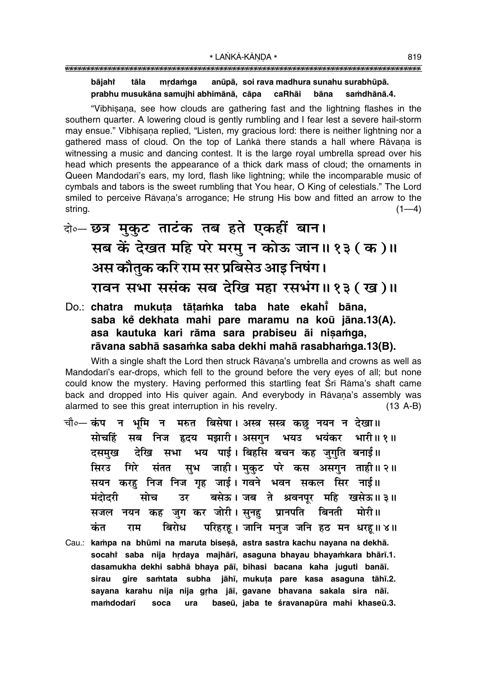#### bājahr tāla mrdamga anūpā, soi rava madhura sunahu surabhūpā.

#### prabhu musukāna samujhi abhimānā, cāpa caRhāi bāna samdhānā.4.

"Vibhisana, see how clouds are gathering fast and the lightning flashes in the southern quarter. A lowering cloud is gently rumbling and I fear lest a severe hail-storm may ensue." Vibhisana replied, "Listen, my gracious lord: there is neither lightning nor a gathered mass of cloud. On the top of Lanka there stands a hall where Ravana is witnessing a music and dancing contest. It is the large royal umbrella spread over his head which presents the appearance of a thick dark mass of cloud; the ornaments in Queen Mandodari's ears, my lord, flash like lightning; while the incomparable music of cymbals and tabors is the sweet rumbling that You hear, O King of celestials." The Lord smiled to perceive Rāvana's arrogance; He strung His bow and fitted an arrow to the string.  $(1-4)$ 

# वे⊶ छत्र मुकुट ताटंक तब हते एकहीं बान। सब कें देखत महि परे मरमु न कोऊ जान॥१३ (क)॥ अस कौतुक करि राम सर प्रबिसेउ आइ निषंग। रावन सभा ससंक सब देखि महा रसभंग॥१३ (ख)॥

Do.: chatra mukuta tātamka taba hate ekahī bāna. saba kë dekhata mahi pare maramu na koū jāna.13(A). asa kautuka kari rāma sara prabiseu āi nisamga, rāvana sabhā sasamka saba dekhi mahā rasabhamga.13(B).

With a single shaft the Lord then struck Rāvana's umbrella and crowns as well as Mandodari's ear-drops, which fell to the ground before the very eves of all; but none could know the mystery. Having performed this startling feat Srī Rāma's shaft came back and dropped into His quiver again. And everybody in Rāvana's assembly was alarmed to see this great interruption in his revelry.  $(13 A-B)$ 

- चौ∘— कंप न भूमि न मरुत बिसेषा। अस्त्र सस्त्र कछ नयन न देखा॥ सोचहिं सब निज हृदय मझारी।असगुन भयउ भयंकर भारी॥१॥ देखि सभा भय पाई। बिहसि बचन कह जुगुति बनाई॥ दसमख संतत सभ जाही। मकट परे कस असगन ताही॥२॥ सिरउ गिरे सयन करह निज निज गृह जाई। गवने भवन सकल सिर नाई॥ मंदोदरी बसेऊ। जब ते श्रवनपर महि खसेऊ॥३॥ मोच उर सजल नयन कह जुग कर जोरी।सुनह प्रानपति बिनती मोरी॥ बिरोध परिहरहू। जानि मनुज जनि हठ मन धरहू॥४॥ कंत राम
- Cau.: kampa na bhūmi na maruta bisesā, astra sastra kachu nayana na dekhā. socahî saba nija hrdaya majhārī, asaguna bhayau bhayamkara bhārī.1. dasamukha dekhi sabhā bhaya pāī, bihasi bacana kaha juguti banāī. gire samtata subha jāhī, mukuța pare kasa asaguna tāhī.2. sirau sayana karahu nija nija grha jāī, gavane bhavana sakala sira nāī. ura baseū, jaba te śravanapūra mahi khaseū.3. mamdodarī soca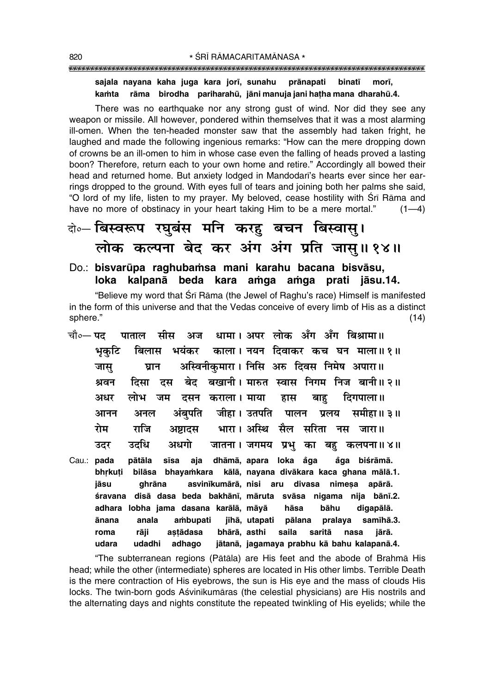#### sajala nayana kaha juga kara jori, sunahu prānapati binatī morī, rāma birodha pariharahū, jāni manuja jani hatha mana dharahū.4. kamta

There was no earthquake nor any strong gust of wind. Nor did they see any weapon or missile. All however, pondered within themselves that it was a most alarming ill-omen. When the ten-headed monster saw that the assembly had taken fright, he laughed and made the following ingenious remarks: "How can the mere dropping down of crowns be an ill-omen to him in whose case even the falling of heads proved a lasting boon? Therefore, return each to your own home and retire." Accordingly all bowed their head and returned home. But anxiety lodged in Mandodari's hearts ever since her earrings dropped to the ground. With eyes full of tears and joining both her palms she said, "O lord of my life, listen to my prayer. My beloved, cease hostility with Srī Rāma and have no more of obstinacy in your heart taking Him to be a mere mortal."  $(1-4)$ 

# को०- बिस्वरूप रघुबंस मनि करहु बचन बिस्वासु। लोक कल्पना बेद कर अंग अंग प्रति जासु॥१४॥

Do.: bisvarūpa raghubamsa mani karahu bacana bisvāsu, loka kalpanā beda kara amga amga prati jāsu.14.

"Believe my word that Srī Rāma (the Jewel of Raghu's race) Himself is manifested in the form of this universe and that the Vedas conceive of every limb of His as a distinct sphere."  $(14)$ 

धामा। अपर लोक अँग अँग बिश्रामा॥ चौ०— **पट** ਸੀਸ अज पाताल काला। नयन दिवाकर कच घन माला॥१॥ भुकुटि बिलास भयंकर अस्विनीकुमारा। निसि अरु दिवस निमेष अपारा॥ घान जास् बखानी। मारुत स्वास निगम निज बानी॥ २॥ बेद दिसा दस श्रवन लोभ जम दसन कराला। माया दिगपाला ॥ अधर हास बाह अनल अंबपति जीहा । उतपति पालन प्रलय समीहा॥३॥ आनन राजि भारा। अस्थि सैल सरिता नस जारा॥ रोम अष्टादस उदधि अधगो उदर जातना। जगमय प्रभु का बहु कलपना॥४॥ Cau.: pada pātāla sīsa aja dhāmā, apara loka åga ăga biśrāmā. bilāsa bhayamkara kālā, nayana divākara kaca ghana mālā.1. bhrkuti asvinīkumārā, nisi aru divasa nimesa apārā. jāsu qhrāna śravana disā dasa beda bakhānī, māruta svāsa nigama nija bānī.2. adhara lobha jama dasana karālā, māyā hāsa bāhu digapālā. ānana anala ambupati jīhā, utapati pālana samīhā.3. pralaya roma rāii astādasa bhārā, asthi saila saritā nasa iārā. udara udadhi adhago jātanā, jagamaya prabhu kā bahu kalapanā.4.

"The subterranean regions (Pātāla) are His feet and the abode of Brahmā His head; while the other (intermediate) spheres are located in His other limbs. Terrible Death is the mere contraction of His eyebrows, the sun is His eye and the mass of clouds His locks. The twin-born gods Aśvinīkumāras (the celestial physicians) are His nostrils and the alternating days and nights constitute the repeated twinkling of His eyelids; while the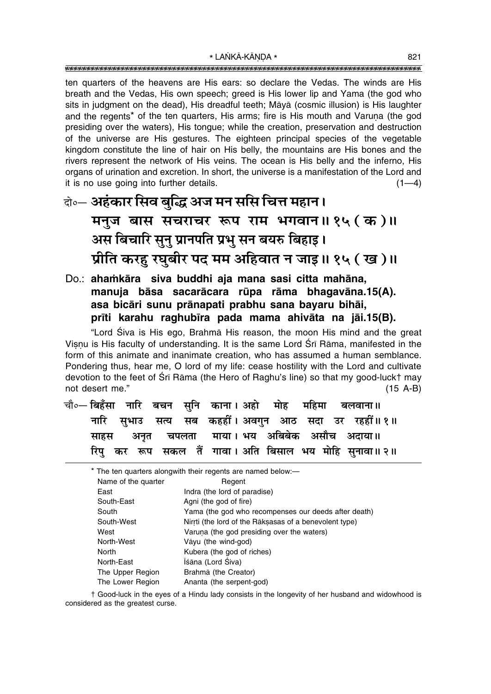ten quarters of the heavens are His ears: so declare the Vedas. The winds are His breath and the Vedas, His own speech; greed is His lower lip and Yama (the god who sits in judgment on the dead). His dreadful teeth: Māyā (cosmic illusion) is His laughter and the regents<sup>\*</sup> of the ten quarters, His arms; fire is His mouth and Varuna (the god presiding over the waters), His tongue; while the creation, preservation and destruction of the universe are His gestures. The eighteen principal species of the vegetable kingdom constitute the line of hair on His belly, the mountains are His bones and the rivers represent the network of His veins. The ocean is His belly and the inferno. His organs of urination and excretion. In short, the universe is a manifestation of the Lord and it is no use going into further details.  $(1-4)$ 

- वे॰- अहंकार सिव बुद्धि अज मन ससि चित्त महान। मनुज बास सचराचर रूप राम भगवान॥१५ (क)॥ अस बिचारि सुनु प्रानपति प्रभु सन बयरु बिहाइ। प्रीति करहु रघुबीर पद मम अहिवात न जाइ॥ १५ ( ख )॥
- Do.: ahamkāra siva buddhi aja mana sasi citta mahāna, manuja bāsa sacarācara rūpa rāma bhagavāna.15(A). asa bicāri sunu prānapati prabhu sana bayaru bihāi, prīti karahu raghubīra pada mama ahivāta na jāi.15(B).

"Lord Śiva is His ego, Brahmā His reason, the moon His mind and the great Visnu is His faculty of understanding. It is the same Lord Srī Rāma, manifested in the form of this animate and inanimate creation, who has assumed a human semblance. Pondering thus, hear me, O lord of my life: cease hostility with the Lord and cultivate devotion to the feet of Srī Rāma (the Hero of Raghu's line) so that my good-luck† may not desert me."  $(15 A-B)$ 

|  |  |  |  |  | चौ∘— बिहँसा नारि बचन सुनि काना। अहो  मोह  महिमा  बलवाना॥ |
|--|--|--|--|--|----------------------------------------------------------|
|  |  |  |  |  | नारि सुभाउ सत्य सब कहहीं।अवगुन आठ सदा उर रहहीं॥१॥        |
|  |  |  |  |  | साहस अनत चपलता माया।श्य अबिबेक असौच अदाया॥               |
|  |  |  |  |  | रिपु कर रूप सकल तैं गावा।अति बिसाल भय मोहि सुनावा॥२॥     |

|                     | * The ten quarters alongwith their regents are named below:- |  |  |  |  |  |  |
|---------------------|--------------------------------------------------------------|--|--|--|--|--|--|
| Name of the quarter | Regent                                                       |  |  |  |  |  |  |
| East                | Indra (the lord of paradise)                                 |  |  |  |  |  |  |
| South-East          | Agni (the god of fire)                                       |  |  |  |  |  |  |
| South               | Yama (the god who recompenses our deeds after death)         |  |  |  |  |  |  |
| South-West          | Nirrti (the lord of the Rāksasas of a benevolent type)       |  |  |  |  |  |  |
| West                | Varuna (the god presiding over the waters)                   |  |  |  |  |  |  |
| North-West          | Vāyu (the wind-god)                                          |  |  |  |  |  |  |
| North               | Kubera (the god of riches)                                   |  |  |  |  |  |  |
| North-East          | Iśāna (Lord Śiva)                                            |  |  |  |  |  |  |
| The Upper Region    | Brahmā (the Creator)                                         |  |  |  |  |  |  |
| The Lower Region    | Ananta (the serpent-god)                                     |  |  |  |  |  |  |

† Good-luck in the eyes of a Hindu lady consists in the longevity of her husband and widowhood is considered as the greatest curse.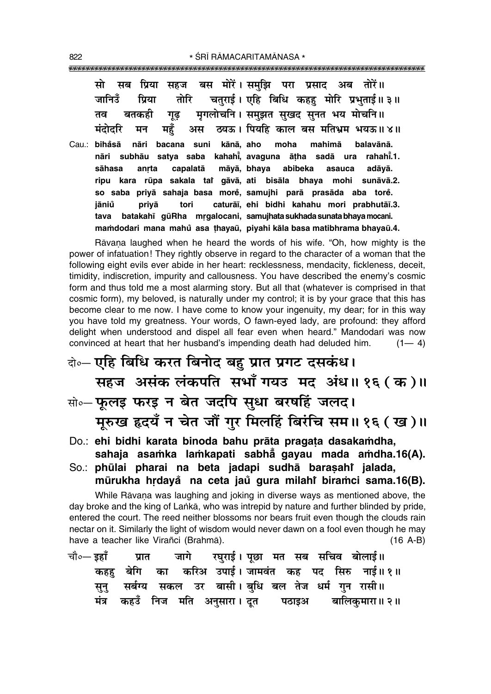|      | सहज बस मोरें। समुझि परा प्रसाद अब तोरें॥<br>सो सब प्रिया<br>तोरि चतुराई । एहि बिधि कहहु मोरि प्रभुताई॥३॥<br>जानिउँ<br>प्रिया                                                                                                                                                                                                                                                                                                                                                                                                                                |
|------|-------------------------------------------------------------------------------------------------------------------------------------------------------------------------------------------------------------------------------------------------------------------------------------------------------------------------------------------------------------------------------------------------------------------------------------------------------------------------------------------------------------------------------------------------------------|
|      | बतकही गूढ़ मृगलोचनि। समुझत सुखद सुनत भय मोचनि॥<br>तव                                                                                                                                                                                                                                                                                                                                                                                                                                                                                                        |
|      | मंदोदरि मन महँ अस ठयऊ। पियहि काल बस मतिभ्रम भयऊ॥४॥                                                                                                                                                                                                                                                                                                                                                                                                                                                                                                          |
| Cau∴ | bihåsā nāri<br>bacana suni kānā, aho moha mahimā balavānā.<br>nāri subhāu satya saba kahahi, avaguna ātha sadā ura rahahi.1.<br>sāhasa anrta capalatā māyā, bhaya abibeka asauca adāyā.<br>ripu kara rūpa sakala tai gāvā, ati bisāla bhaya mohi sunāvā.2.<br>so saba priyā sahaja basa morē, samujhi parā prasāda aba torē.<br>jāniů<br>caturāi, ehi bidhi kahahu mori prabhutāi.3.<br>priyā<br>tori<br>batakahī gūRha mrgalocani, samujhata sukhada sunata bhaya mocani.<br>tava<br>mamdodari mana mahu asa thayau, piyahi kala basa matibhrama bhayau.4. |

Ravana laughed when he heard the words of his wife. "Oh, how mighty is the power of infatuation! They rightly observe in regard to the character of a woman that the following eight evils ever abide in her heart: recklessness, mendacity, fickleness, deceit, timidity, indiscretion, impurity and callousness. You have described the enemy's cosmic form and thus told me a most alarming story. But all that (whatever is comprised in that cosmic form), my beloved, is naturally under my control; it is by your grace that this has become clear to me now. I have come to know your ingenuity, my dear; for in this way you have told my greatness. Your words, O fawn-eyed lady, are profound: they afford delight when understood and dispel all fear even when heard." Mandodarī was now convinced at heart that her husband's impending death had deluded him.  $(1 - 4)$ 

# बेन्ट एहि बिधि करत बिनोद बहु प्रात प्रगट दसकंध। सहज असंक लंकपति सभाँ गयउ मद अंध॥१६ (क)॥ सो०- फूलइ फरइ न बेत जदपि सुधा बरषहिं जलद। मुरुख हृदयँ न चेत जौं गुर मिलहिं बिरंचि सम॥१६ (ख)॥

- Do.: ehi bidhi karata binoda bahu prāta pragata dasakamdha, sahaja asamka lamkapati sabha gayau mada amdha.16(A). So.: phūlai pharai na beta jadapi sudhā barasahi jalada,
- mūrukha hrdayå na ceta jaů gura milahř biramci sama.16(B).

While Rāvana was laughing and joking in diverse ways as mentioned above, the day broke and the king of Lanka, who was intrepid by nature and further blinded by pride, entered the court. The reed neither blossoms nor bears fruit even though the clouds rain nectar on it. Similarly the light of wisdom would never dawn on a fool even though he may have a teacher like Virañci (Brahmā).  $(16 A-B)$ 

|  |  | चौ०— इहाँ प्रात जागे रघुराई। पूछा मत सब सचिव बोलाई॥ |  |  |
|--|--|-----------------------------------------------------|--|--|
|  |  | कहह बेगि का करिअ उपाई।जामवंत कह पद सिरु नाई॥१॥      |  |  |
|  |  | सूनु सर्बग्य सकल उर बासी।बुधि बल तेज धर्म गुन रासी॥ |  |  |
|  |  | मंत्र कहउँ निज मति अनुसारा।दूत पठाइअ  बालिकुमारा॥२॥ |  |  |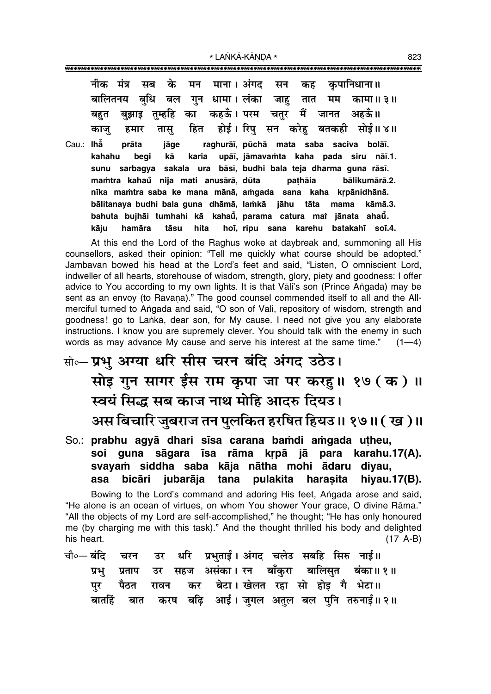|           | के मन माना।अंगद सन कह कृपानिधाना॥<br>मंत्र<br>सब<br>नाक              |
|-----------|----------------------------------------------------------------------|
|           | बालितनय बुधि बल गुन धामा।लंका जाहु तात मम कामा॥३॥                    |
|           | तुम्हहि का कहऊँ। परम चतुर मैं जानत अहऊँ॥<br>बुझाड<br>बहुत            |
|           | तासु हित होई।सिपुसन करेहु बतकही सोई॥४॥<br>हमार<br>काज्               |
| Cau.: Iha | jāge<br>prāta<br>raghurāī, pūchā mata saba saciva bolāī.             |
|           | begi kā<br>kahahu<br>karia upāī, jāmavamta kaha pada siru nāī.1.     |
|           | sunu sarbagya sakala ura bāsī, budhi bala teja dharma guna rāsī.     |
|           | mamtra kahaŭ nija mati anusārā, dūta bathāia<br>bālikumārā.2.        |
|           | nīka mamtra saba ke mana mānā, amgada sana kaha krpānidhānā.         |
|           | bālitanaya budhi bala guna dhāmā, lamkā jāhu tāta<br>kāmā.3.<br>mama |
|           | bahuta bujhāi tumhahi kā kahaū, parama catura mar jānata ahaū.       |
|           | kāju<br>hita hoi, ripu sana karehu batakahi soi.4.<br>tāsu<br>hamāra |

At this end the Lord of the Raghus woke at daybreak and, summoning all His counsellors, asked their opinion: "Tell me quickly what course should be adopted." Jāmbavān bowed his head at the Lord's feet and said, "Listen, O omniscient Lord, indweller of all hearts, storehouse of wisdom, strength, glory, piety and goodness: I offer advice to You according to my own lights. It is that Vali's son (Prince Angada) may be sent as an envoy (to Rāvana)." The good counsel commended itself to all and the Allmerciful turned to Angada and said, "O son of Vali, repository of wisdom, strength and goodness! go to Lanka, dear son, for My cause. I need not give you any elaborate instructions. I know you are supremely clever. You should talk with the enemy in such words as may advance My cause and serve his interest at the same time."  $(1-4)$ 

# सो॰–प्रभु अग्या धरि सीस चरन बंदि अंगद उठेउ। सोइ गुन सागर ईस राम कृपा जा पर करहु॥ १७ (क)॥ स्वयं सिद्ध सब काज नाथ मोहि आदरु दियउ। अस बिचारि जुबराज तन पुलकित हरषित हियउ॥ १७॥(ख)॥

So.: prabhu agyā dhari sīsa carana bamdi amgada utheu, soi guna sāgara īsa rāma krpā jā para karahu.17(A). svayam siddha saba kāja nātha mohi ādaru diyau, asa bicāri jubarāja tana pulakita harasita hiyau.17 $(B)$ .

Bowing to the Lord's command and adoring His feet, Angada arose and said, "He alone is an ocean of virtues, on whom You shower Your grace, O divine Rāma." "All the objects of my Lord are self-accomplished," he thought; "He has only honoured me (by charging me with this task)." And the thought thrilled his body and delighted his heart.  $(17 A-B)$ 

उर धरि प्रभुताई। अंगद चलेउ सबहि सिरु नाई॥ चौ०— बंदि चरन सहज असंका। रन बाँकरा बालिसत बंका॥१॥ प्रभ प्रताप उर कर बेटा। खेलत रहा सो होइ गै भेटा॥ पुर पैठत रावन करष बढ़ि आई। जुगल अतुल बल पुनि तरुनाई॥२॥ बातहिं बात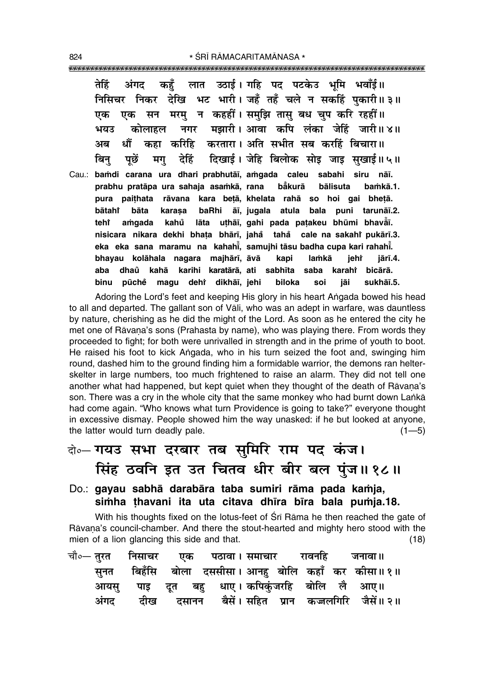तेहिं कहँ लात उठाई। गहि पद पटकेउ भमि भवाँई॥ अंगद निसिचर निकर देखि भट भारी। जहँ तहँ चले न सकहिं पकारी॥३॥ एक सन मरम न कहहीं। समझि तास बध चप करि रहहीं॥ एक मझारी। आवा कपि लंका जेहिं जारी॥४॥ कोलाहल नगर भयउ कहा करिहि करतारा। अति सभीत सब करहिं बिचारा॥ अब धौं टेहिं दिखाई। जेहि बिलोक सोड जाड सखाई॥५॥ बिन पछें मग Cau.: bamdi carana ura dhari prabhutāi, amgada caleu sabahi siru nāi. prabhu pratāpa ura sahaja asamkā, rana båkurā bālisuta bamkā.1. pura paithata kara betā, khelata rahā so hoi gai bhetā. rāvana bātaht bāta karasa baRhi āī, jugala atula bala puni tarunāī.2. tehr amaada kahů lāta uthāī, gahi pada patakeu bhūmi bhavāī. nisicara nikara dekhi bhața bhārī, jahå tahå cale na sakahî pukārī.3. eka eka sana maramu na kahahi, samujhi tāsu badha cupa kari rahahi. bhayau kolāhala nagara majhārī, āvā lamkā kapi jehř jārī.4. aba dhaů kahā karihi karatārā, ati sabhīta saba karaht bicārā. binu pūchě maqu dehî dikhāī, jehi biloka soi iāi sukhāī.5.

Adoring the Lord's feet and keeping His glory in his heart Angada bowed his head to all and departed. The gallant son of Vāli, who was an adept in warfare, was dauntless by nature, cherishing as he did the might of the Lord. As soon as he entered the city he met one of Rāvana's sons (Prahasta by name), who was playing there. From words they proceeded to fight; for both were unrivalled in strength and in the prime of youth to boot. He raised his foot to kick Angada, who in his turn seized the foot and, swinging him round, dashed him to the ground finding him a formidable warrior, the demons ran helterskelter in large numbers, too much frightened to raise an alarm. They did not tell one another what had happened, but kept quiet when they thought of the death of Rāvana's son. There was a cry in the whole city that the same monkey who had burnt down Lanka had come again. "Who knows what turn Providence is going to take?" everyone thought in excessive dismay. People showed him the way unasked: if he but looked at anyone, the latter would turn deadly pale.  $(1 - 5)$ 

# बे॰- गयउ सभा दरबार तब सुमिरि राम पद कंज। सिंह ठवनि इत उत चितव धीर बीर बल पुंज॥१८॥

#### Do.: gayau sabhā darabāra taba sumiri rāma pada kamja, simha thavani ita uta citava dhira bira bala pumja.18.

With his thoughts fixed on the lotus-feet of Sri Rama he then reached the gate of Rāvana's council-chamber. And there the stout-hearted and mighty hero stood with the mien of a lion glancing this side and that.  $(18)$ 

|      |  | चौ∘— तरत   निसाचर     एक     पठावा । समाचार       रावनहि       जनावा॥ |  |  |
|------|--|-----------------------------------------------------------------------|--|--|
|      |  | सुनत   बिहँसि   बोला   दससीसा । आनहु   बोलि  कहाँ   कर   कीसा ॥ १ ॥   |  |  |
|      |  | आयस् पाइ दूत बहु धाए। कपिकुंजरहि बोलि लै आए॥                          |  |  |
| अंगद |  | दीख दसानन बैसें।सहित प्रान कज्जलगिरि जैसें॥२॥                         |  |  |

824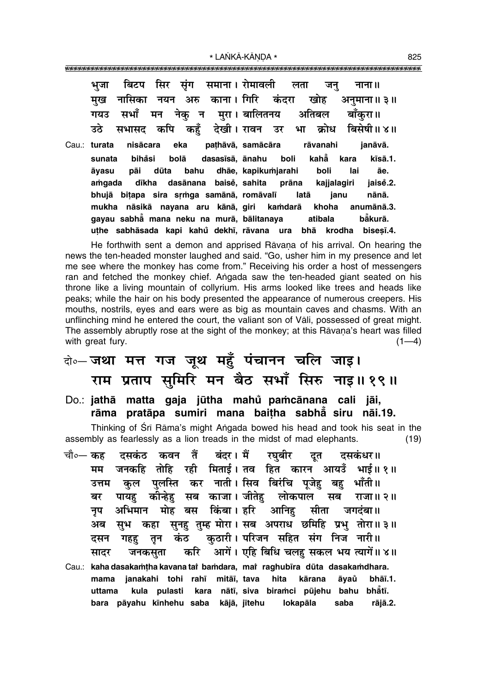| बिटप सिर सृंग समाना। रोमावली लता जनु नाना॥<br>भजा                 |
|-------------------------------------------------------------------|
| ानासिका नयन अरु काना।।गिरि कंदरा खोह अनुमाना॥३॥<br>मख             |
| गयउ सभाँ मन नेकु न मुरा।बालितनय अतिबल<br>बाँकरा॥                  |
| उठे सभासद कपि कहुँ देखी। रावन उर भा क्रोध बिसेषी॥४॥               |
| Cau.: turata nisācara eka paṭhāvā, samācāra  rāvanahi  janāvā.    |
| sunata bihåsi bolā dasasīsā, ānahu boli kahā kara<br>kīsā.1.      |
| pāi dūta bahu dhāe, kapikuṁjarahi boli lai<br>āe.<br>āyasu        |
| amgada dīkha dasānana baise, sahita prāna kajjalagiri<br>jaisė.2. |
| bhujā bitapa sira srmga samānā, romāvalī latā<br>nānā.<br>ianu    |
| mukha nāsikā nayana aru kānā, giri kamdarā khoha anumānā.3.       |
| båkurā.<br>gayau sabhā mana neku na murā, bālitanaya atibala      |
| uthe sabhāsada kapi kahů dekhī, rāvana ura bhā krodha bisesī.4.   |

He forthwith sent a demon and apprised Rāvana of his arrival. On hearing the news the ten-headed monster laughed and said. "Go, usher him in my presence and let me see where the monkey has come from." Receiving his order a host of messengers ran and fetched the monkey chief. Angada saw the ten-headed giant seated on his throne like a living mountain of collyrium. His arms looked like trees and heads like peaks; while the hair on his body presented the appearance of numerous creepers. His mouths, nostrils, eyes and ears were as big as mountain caves and chasms. With an unflinching mind he entered the court, the valiant son of Våli, possessed of great might. The assembly abruptly rose at the sight of the monkey; at this Rāvana's heart was filled with great fury.  $(1-4)$ 

## दो**०– जथा मत्त गज जूथ महुँ पंचानन चलि जाइ। राम प्रताप सुमिरि मन बैठ सभाँ सिरु नाइ॥१९॥**

Do.: **jathā matta gaja jūtha mahů pamcānana cali jāi, råma pratåpa sumiri mana bai¢ha sabhå° siru nåi.19.**

Thinking of Śrī Rāma's might Angada bowed his head and took his seat in the assembly as fearlessly as a lion treads in the midst of mad elephants. (19)

- øı0ó**∑§"U Œ'∑¢§∆U ∑§flŸ ÃÒ¥ '¢Œ⁄U – ◊Ò¥ ⁄UÉÊÈ'Ë⁄U ŒÍà Œ'∑¢§œ⁄UH** <u>मम जनकहि तोहि रही मिताई।तत्व हित कारन आयउँ भाई॥१॥</u> उत्तम कल पलस्ति कर नाती।**सिव बिरंचि पुजेह बह** भाँती॥ ेबर पायह कीन्हेह सब काजा। जीतेह लोकपाल सब राजा॥ २॥ नप अभिमान मोह बस किंबा।**हरि आनिह सीता जगदंबा**॥ अब सुभ कहा सुनह तुम्ह मोरा। सब अपराध छमिहि प्रभु तोरा॥३॥ दसन गहह तून कंठ कुठारी।परिजन सहित संग निज नारी॥ सादर जनकसता करि आगें। एहि बिधि चलह सकल भय त्यागें॥ ४॥
- Cau.: <mark>kaha dasakamṭha kavana tai` baṁdara, mai` raghubīra dūta dasakaṁdhara.</mark> **mama janakahi tohi rah∂ mitå∂, tava hita kårana åyau° bhå∂.1. uttama kula pulasti kara nātī,** siva biraṁci pūjehu bahu bhẳtī. **bara påyahu k∂nhehu saba kåjå, j∂tehu lokapåla saba råjå.2.**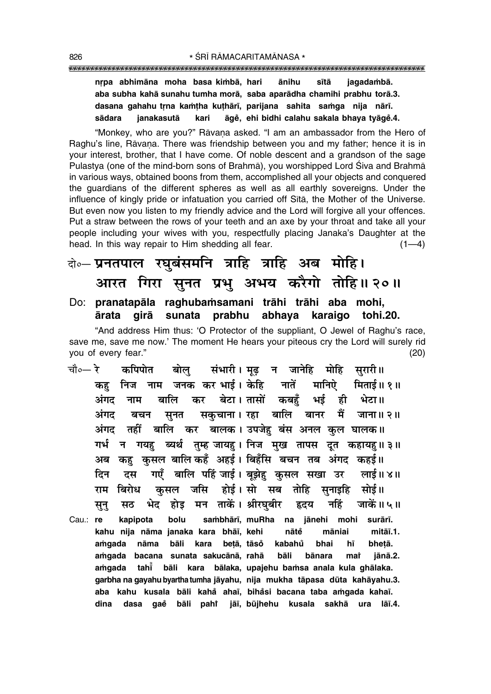#### 

nrpa abhimāna moha basa kimbā, hari ānihu sītā jagadambā. aba subha kahā sunahu tumha morā, saba aparādha chamihi prabhu torā.3. dasana gahahu trna kamtha kuthārī, parijana sahita samga nija nārī. sādara ianakasutā kari āgě, ehi bidhi calahu sakala bhaya tyāgě.4.

"Monkey, who are you?" Rāyana asked, "I am an ambassador from the Hero of Raghu's line. Rāyana. There was friendship between you and my father: hence it is in your interest, brother, that I have come. Of noble descent and a grandson of the sage Pulastva (one of the mind-born sons of Brahma), you worshipped Lord Śiva and Brahma in various ways, obtained boons from them, accomplished all your objects and conquered the quardians of the different spheres as well as all earthly sovereigns. Under the influence of kingly pride or infatuation you carried off Sita, the Mother of the Universe. But even now you listen to my friendly advice and the Lord will forgive all your offences. Put a straw between the rows of your teeth and an axe by your throat and take all your people including your wives with you, respectfully placing Janaka's Daughter at the head. In this way repair to Him shedding all fear.  $(1-4)$ 

## के—प्रनतपाल रघबंसमनि त्राहि त्राहि अब मोहि। आरत गिरा सुनत प्रभु अभय करैगो तोहि॥२०॥

#### Do: pranatapāla raghubamsamani trāhi trāhi aba mohi, ārata girā sunata prabhu abhaya karaigo tohi.20.

"And address Him thus: 'O Protector of the suppliant, O Jewel of Raghu's race, save me, save me now.' The moment He hears your piteous cry the Lord will surely rid you of every fear."  $(20)$ 

चौ०— रे संभारी। मढ न जानेहि मोहि सरारी॥ कपिपोत बोल निज नाम जनक कर भाई। केहि नातें मानिऐ मिताई॥ १॥ कह कर बेटा।तासों कबहुँ अंगद बालि भई ही नाम भेटा॥ सकुचाना। रहा बालि बानर मैं जाना॥ २॥ अंगट बचन सूनत तहीं बालि कर बालक। उपजेह़ बंस अनल कुल घालक॥ अंगद गर्भ न गयह ब्यर्थ तुम्ह जायहू। निज मुख तापस दूत कहायहु॥३॥ कह कसल बालिकहँ अहर्ड। बिहँसि बचन तब अंगद कहर्ड॥ अब गएँ बालि पहिं जाई। बूझेहु कुसल सखा उर टिन दस लाई॥ ४॥ बिरोध कुसल जसि होई।सो सब तोहि सुनाइहि सोई॥ राम होइ मन ताकें। श्रीरघुबीर भेट हृदय नहिं जाकें॥ ५॥ सठ सून् Cau.: re kapipota bolu sambhārī, muRha na jānehi mohi surārī. kahu nija nāma janaka kara bhāī, kehi nātě māniai mitāī.1. amgada nāma bāli kara betā, tāsŏ kabahů bhai hī bhetā. amgada bacana sunata sakucānā, rahā bāli bānara mat jānā.2. bāli kara bālaka, upajehu bamsa anala kula ghālaka. amgada tahi garbha na gayahu byartha tumha jāyahu, nija mukha tāpasa dūta kahāyahu.3. aba kahu kusala bāli kahå ahaī, bihåsi bacana taba amgada kahaī. dasa gaĕ bāli paht jāī, būjhehu kusala sakhā ura lāī.4. dina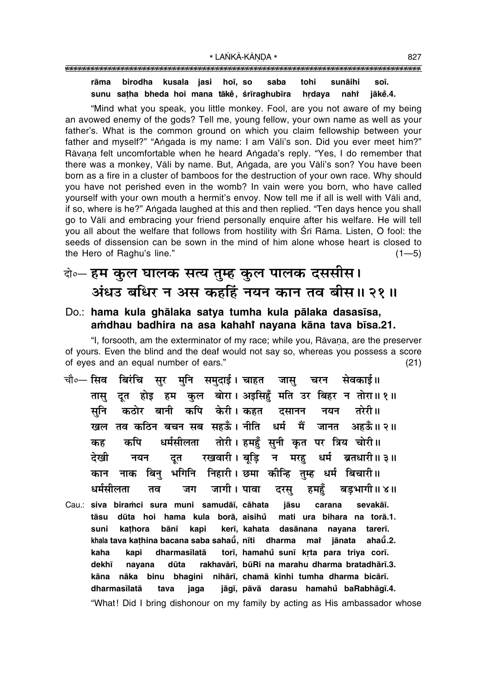#### saba rāma birodha kusala jasi hoi, so tohi sunāihi soī.

sunu satha bheda hoi mana tākě, śrīraghubīra hrdaya nahř jākė.4.

"Mind what you speak, you little monkey. Fool, are you not aware of my being an avowed enemy of the gods? Tell me, young fellow, your own name as well as your father's. What is the common ground on which you claim fellowship between your father and myself?" "Angada is my name: I am Vāli's son. Did you ever meet him?" Rāvana felt uncomfortable when he heard Angada's reply. "Yes, I do remember that there was a monkey, Vāli by name. But, Angada, are you Vāli's son? You have been born as a fire in a cluster of bamboos for the destruction of your own race. Why should you have not perished even in the womb? In vain were you born, who have called yourself with your own mouth a hermit's envoy. Now tell me if all is well with Vāli and, if so, where is he?" Angada laughed at this and then replied. "Ten days hence you shall go to Vāli and embracing your friend personally enquire after his welfare. He will tell you all about the welfare that follows from hostility with Srī Rāma. Listen, O fool: the seeds of dissension can be sown in the mind of him alone whose heart is closed to the Hero of Raghu's line."  $(1 - 5)$ 

### वेञ्- हम कुल घालक सत्य तुम्ह कुल पालक दससीस। अंधउ बधिर न अस कहहिं नयन कान तव बीस॥ २१॥

#### Do.: hama kula ghālaka satya tumha kula pālaka dasasīsa, amdhau badhira na asa kahahi nayana kāna tava bīsa.21.

"I, forsooth, am the exterminator of my race; while you, Rāvana, are the preserver of yours. Even the blind and the deaf would not say so, whereas you possess a score of eves and an equal number of ears."  $(21)$ 

- चौ∘— सिव बिरंचि सर मनि समदाई। चाहत जास चरन सेवकाई॥ दत होड़ हम कुल बोरा। अइसिहँ मति उर बिहर न तोरा॥१॥ तास् कठोर बानी कपि केरी।कहत सनि नयन तरेरी।। दसानन खल तव कठिन बचन सब सहऊँ। नीति धर्म मैं जानत अहऊँ॥२॥ तोरी। हमहँ सुनी कृत पर त्रिय चोरी॥ धर्मसीलता कपि कह रखवारी । बृड़ि न मरह धर्म देखी नयन दत ब्रतधारी॥ ३॥ निहारी। छमा कीन्हि तुम्ह भगिनि बिन् धर्म बिचारी॥ कान नाक धर्मसीलता जागी । पावा दरस हमहँ बडभागी॥ ४॥ तव जग
- Cau.: siva biramci sura muni samudāī, cāhata iāsu carana sevakāī. dūta hoi hama kula borā aisihů mati ura bihara na torā.1. tāsu suni kathora bānī kapi kerī, kahata dasānana nayana tarerī. khala tava kathina bacana saba sahaū, nīti dharma mat jānata ahaū.2. dharmasīlatā torī, hamahů sunī krta para triya corī. kaha kapi rakhavārī, būRi na marahu dharma bratadhārī.3. dekhī nayana dūta nihārī, chamā kīnhi tumha dharma bicārī. kāna nāka bhagini binu dharmasīlatā jāgī, pāvā darasu hamahů baRabhāgī.4. tava jaga "What! Did I bring dishonour on my family by acting as His ambassador whose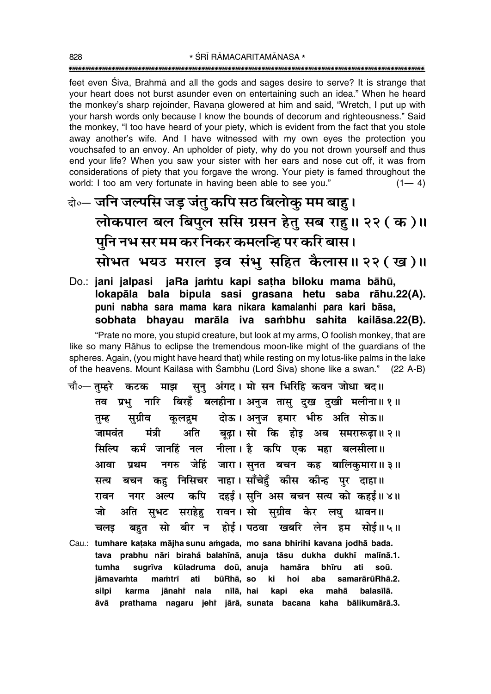feet even Siva, Brahma and all the gods and sages desire to serve? It is strange that your heart does not burst asunder even on entertaining such an idea." When he heard the monkey's sharp rejoinder, Rāvana glowered at him and said, "Wretch, I put up with your harsh words only because I know the bounds of decorum and righteousness." Said the monkey, "I too have heard of your piety, which is evident from the fact that you stole away another's wife. And I have witnessed with my own eyes the protection you vouchsafed to an envoy. An upholder of piety, why do you not drown yourself and thus end your life? When you saw your sister with her ears and nose cut off, it was from considerations of piety that you forgave the wrong. Your piety is famed throughout the world: I too am very fortunate in having been able to see you."  $(1 - 4)$ 

- केन्चल जनि जल्पसि जड़ जंतु कपि सठ बिलोकु मम बाहु। लोकपाल बल बिपुल ससि ग्रसन हेतु सब राहु॥ २२ (क)॥ पुनि नभ सर मम कर निकर कमलन्हि पर करि बास। सोभत भयउ मराल इव संभु सहित कैलास॥२२ (ख)॥
- Do.: jani jalpasi jaRa jamtu kapi satha biloku mama bāhū, lokapāla bala bipula sasi grasana hetu saba rāhu.22(A). puni nabha sara mama kara nikara kamalanhi para kari bāsa, sobhata bhayau marāla iva sambhu sahita kailāsa.22(B).

"Prate no more, you stupid creature, but look at my arms, O foolish monkey, that are like so many Rahus to eclipse the tremendous moon-like might of the quardians of the spheres. Again, (you might have heard that) while resting on my lotus-like palms in the lake of the heavens. Mount Kailasa with Sambhu (Lord Siva) shone like a swan."  $(22 A-B)$ 

- सूनु अंगद। मो सन भिरिहि कवन जोधा बद॥ चौ०— **तम्हरे** कटक माझ बिरहँ बलहीना। अनुज तासु दुख दुखी मलीना॥१॥ नारि तव प्रभु कूलद्रुम दोऊ।अनुज हमार भीरु अति सोऊ॥<br>अति बूढ़ा।सो कि होइ अब समरारूढ़ा॥२॥ तम्ह सग्रीव ਸਂੰਡੀ जामवंत कर्म जानहिं नल नीला। है कपि एक महा बलसीला॥ सिल्पि नगरु जेहिं जारा। सुनत बचन कह बालिकुमारा॥३॥ प्रथम आवा बचन कहु निसिचर नाहा।साँचेहुँ कीस कीन्ह पुर दाहा॥ सत्य कपि दहई। सुनि अस बचन सत्य को कहई॥४॥ नगर अल्प रावन अति सुभट सराहेह रावन।सो सुग्रीव केर लघु धावन॥ जो बहुत सो बीर न होई। पठवा खबरि लेन हम सोई॥५॥ चलइ
- Cau.: tumhare kațaka mājha sunu amgada, mo sana bhirihi kavana jodhā bada. tava prabhu nāri birahå balahīnā, anuja tāsu dukha dukhī malīnā.1. sugrīva kūladruma doū, anuja tumha hamāra bhīru ati soū. jāmavamta mamtrī ati būRhā, so aba samarārūRhā.2. ki hoi silpi karma jānahi nala nīlā, hai kapi mahā balasīlā. eka prathama nagaru jehi jārā, sunata bacana kaha bālikumārā.3. āvā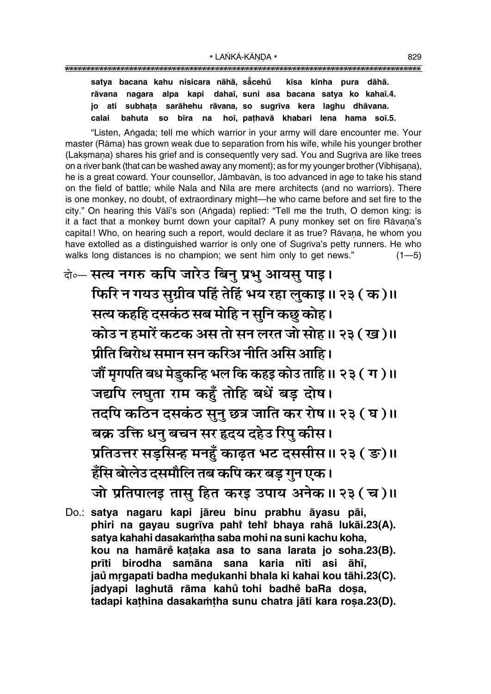satya bacana kahu nisicara nāhā, sācehů kīsa kīnha pura dāhā. rāvana nagara alpa kapi dahaī, suni asa bacana satya ko kahaī.4. jo ati subhata sarāhehu rāvana so sugrīva kera laghu dhāvana. calai bahuta bīra na hoi, pathavā khabari lena hama soi.5. **SO** 

"Listen, Angada; tell me which warrior in your army will dare encounter me. Your master (Rāma) has grown weak due to separation from his wife, while his younger brother (Laksmana) shares his grief and is consequently very sad. You and Sugriva are like trees on a river bank (that can be washed away any moment); as for my younger brother (Vibhisana), he is a great coward. Your counsellor, Jāmbavān, is too advanced in age to take his stand on the field of battle; while Nala and Nīla are mere architects (and no warriors). There is one monkey, no doubt, of extraordinary might-he who came before and set fire to the city." On hearing this Vāli's son (Angada) replied: "Tell me the truth, O demon king: is it a fact that a monkey burnt down your capital? A puny monkey set on fire Rāvana's capital! Who, on hearing such a report, would declare it as true? Rāvana, he whom you have extolled as a distinguished warrior is only one of Sugriva's petty runners. He who walks long distances is no champion; we sent him only to get news."  $(1 - 5)$ 

वे॰– सत्य नगरु कपि जारेउ बिनु प्रभु आयसु पाइ। फिरि न गयउ सुग्रीव पहिं तेहिं भय रहा लुकाइ॥ २३ ( क )॥ सत्य कहहि दसकंठ सब मोहि न सुनि कछु कोह। कोउ न हमारें कटक अस तो सन लरत जो सोह॥ २३ ( ख )॥ प्रीति बिरोध समान सन करिअ नीति असि आहि। जौं मृगपति बध मेडुकन्हि भल कि कहड़ कोउ ताहि ॥ २३ ( ग )॥ जद्यपि लघुता राम कहुँ तोहि बधें बड़ दोष। तदपि कठिन दसकंठ सुनु छत्र जाति कर रोष॥ २३ ( घ )॥ बक्र उक्ति धनु बचन सर हृदय दहेउ रिपु कीस। प्रतिउत्तर सड़सिन्ह मनहुँ काढ़त भट दससीस॥ २३ ( ङ)॥ हँसि बोलेउ दसमौलि तब कपि कर बड़ गुन एक । जो प्रतिपालइ तासु हित करइ उपाय अनेक ॥ २३ ( च )॥

Do.: satva nagaru kapi jāreu binu prabhu āyasu pāi, phiri na gayau sugrīva pahi tehi bhaya rahā lukāi.23(A). satya kahahi dasakamtha saba mohi na suni kachu koha, kou na hamārě kataka asa to sana larata jo soha.23(B). prīti birodha samāna sana karia nīti asi āhī, jaŭ mrgapati badha medukanhi bhala ki kahai kou tāhi.23(C). jadyapi laghutā rāma kahů tohi badhě baRa dosa, tadapi kathina dasakamtha sunu chatra jāti kara rosa.23(D).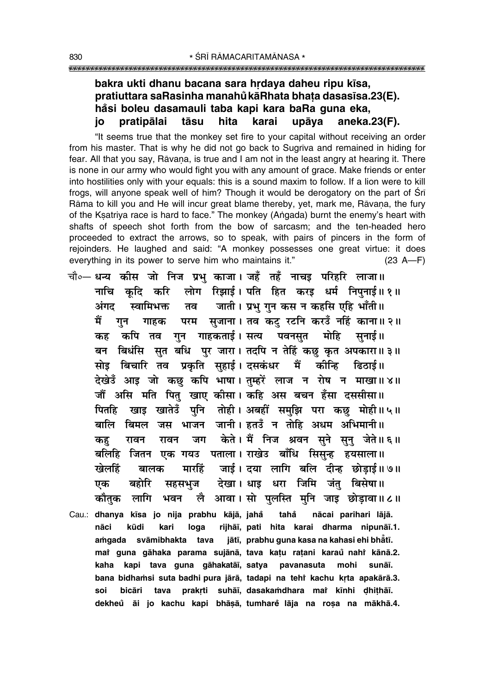#### bakra ukti dhanu bacana sara hrdaya daheu ripu kīsa, pratiuttara saRasinha manahů kāRhata bhata dasasīsa.23(E). håsi boleu dasamauli taba kapi kara baRa guna eka, pratipālai tāsu hita karai upāva aneka.23(F). io

"It seems true that the monkey set fire to your capital without receiving an order from his master. That is why he did not go back to Sugriva and remained in hiding for fear. All that you say, Rāvana, is true and I am not in the least angry at hearing it. There is none in our army who would fight you with any amount of grace. Make friends or enter into hostilities only with your equals: this is a sound maxim to follow. If a lion were to kill frogs, will anyone speak well of him? Though it would be derogatory on the part of Sri Rāma to kill you and He will incur great blame thereby, yet, mark me, Rāvaṇa, the fury of the Ksatriya race is hard to face." The monkey (Angada) burnt the enemy's heart with shafts of speech shot forth from the bow of sarcasm; and the ten-headed hero proceeded to extract the arrows, so to speak, with pairs of pincers in the form of rejoinders. He laughed and said: "A monkey possesses one great virtue: it does everything in its power to serve him who maintains it."  $(23 A-F)$ 

चौ०— धन्य कीस जो निज प्रभु काजा। जहँ तहँ नाचइ परिहरि लाजा॥ नाचि कृदि करि लोग रिझाई। पति हित करइ धर्म निपनाई॥१॥ तव जाती। प्रभु गुन कस न कहसि एहि भाँती॥ अंगद स्वामिभक्त गाहक परम सुजाना। तव कटु रटनि करउँ नहिँ काना॥२॥ मैं गन कह कपि तव गुन गाहकताई।सत्य पवनसुत मोहि सुनाई॥ बन बिधंसि सुत बधि पुर जारा। तदपि न तेहिं कछ कृत अपकारा॥३॥ सोइ बिचारि तव प्रकृति सुहाई। दसकंधर मैं कीन्हि ਫਿਨਾई।। देखेउँ आइ जो कछ कपि भाषा। तम्हरें लाज न रोष न माखा॥४॥ जौं असि मति पित् खाए कीसा। कहि अस बचन हँसा दससीसा॥ पितहि खाइ खातेउँ पुनि तोही। अबहीं समुझि परा कछु मोही॥५॥ बालि बिमल जस भाजन जानी। हतउँ न तोहि अधम अभिमानी॥ रावन जग केते। मैं निज श्रवन सुने सुनु जेते॥६॥ कह रावन बलिहि जितन एक गयउ पताला। राखेउ बाँधि सिसुन्ह हयसाला॥ मारहिं जाई। दया लागि बलि दीन्ह छोडाई॥ ७॥ खेलहिं बालक सहसभुज देखा। धाइ धरा जिमि जंतु बिसेषा॥ बहोरि एक कौतुक लागि भवन लै आवा।सो पुलस्ति मुनि जाइ छोड़ावा॥८॥ Cau.: dhanya kīsa jo nija prabhu kājā, jahå tahå nācai parihari lājā. rijhāī, pati hita karai dharma nipunāī.1. kari loga nāci kūdi amgada svāmibhakta tava jātī, prabhu guna kasa na kahasi ehi bhātī. mai guna gāhaka parama sujānā, tava kațu rațani karaŭ nahi kānā.2. kaha kapi tava guna gāhakatāi, satya pavanasuta mohi sunāī. bana bidhamsi suta badhi pura jārā, tadapi na tehi kachu krta apakārā.3. soi bicāri tava prakrti suhāī, dasakamdhara mai kīnhi dhithāī. dekheů āi jo kachu kapi bhāsā, tumharė lāja na rosa na mākhā.4.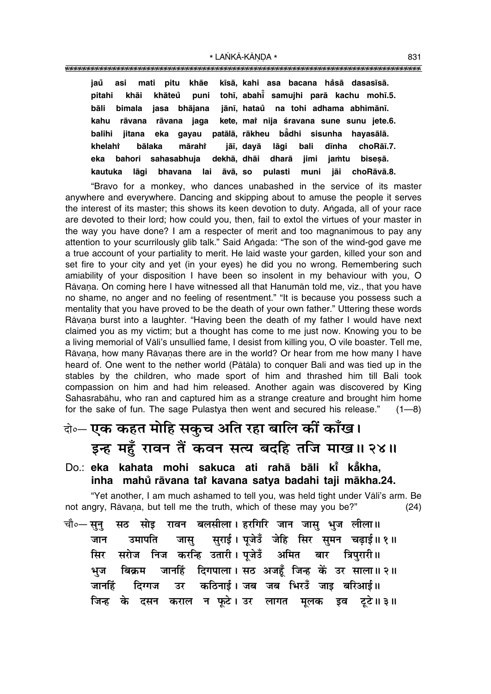**jau asi mati pitu khåe ° k∂så, kahi asa bacana ha°så dasas∂så. pitahi khåi khåteu puni toh∂, abah∂ ° ° samujhi parå kachu moh∂.5. båli bimala jasa bhåjana jån∂, hatau na tohi adhama abhimån∂. °** kahu rāvana rāvana jaga kete, mai nija śravana sune sunu jete.6. **balihi jitana eka gayau patålå, råkheu bå° dhi sisunha hayasålå. khelaht bålaka mårahiÚ jå∂, dayå lågi bali d∂nha choRå∂.7. eka bahori sahasabhuja dekhå, dhåi dharå jimi ja≈tu bise¶å. kautuka lågi bhavana lai åvå, so pulasti muni jåi choRåvå.8.**

ìBravo for a monkey, who dances unabashed in the service of its master anywhere and everywhere. Dancing and skipping about to amuse the people it serves the interest of its master; this shows its keen devotion to duty. Angada, all of your race are devoted to their lord; how could you, then, fail to extol the virtues of your master in the way you have done? I am a respecter of merit and too magnanimous to pay any attention to your scurrilously glib talk." Said Angada: "The son of the wind-god gave me a true account of your partiality to merit. He laid waste your garden, killed your son and set fire to your city and yet (in your eyes) he did you no wrong. Remembering such amiability of your disposition I have been so insolent in my behaviour with you, O Rāvaņa. On coming here I have witnessed all that Hanumān told me, viz., that you have no shame, no anger and no feeling of resentment." "It is because you possess such a mentality that you have proved to be the death of your own father." Uttering these words Rāvaņa burst into a laughter. "Having been the death of my father I would have next claimed you as my victim; but a thought has come to me just now. Knowing you to be a living memorial of Vāli's unsullied fame, I desist from killing you, O vile boaster. Tell me, Rāvana, how many Rāvanas there are in the world? Or hear from me how many I have heard of. One went to the nether world (Påtåla) to conquer Bali and was tied up in the stables by the children, who made sport of him and thrashed him till Bali took compassion on him and had him released. Another again was discovered by King Sahasrabåhu, who ran and captured him as a strange creature and brought him home for the sake of fun. The sage Pulastya then went and secured his release."  $(1-8)$ 

# दो∘— **एक कहत मोहि सकुच अति रहा बालि कीं काँख।** इन्ह महुँ रावन तैं कवन सत्य बदहि तजि माख॥ २४॥

### Do.: **eka kahata mohi sakuca ati rahå båli k∂° kå° kha, inha mahu råvana tai ° Ú kavana satya badahi taji måkha.24.**

ìYet another, I am much ashamed to tell you, was held tight under Våliís arm. Be not angry, Rāvaṇa, but tell me the truth, which of these may you be?" (24)

<sub>.चौ०</sub>— सूनु सठ सोइ रावन बलसीला। हरगिरि जान जासु भुज लीला॥ जान उमापति जासु सुराई। पूजेउँ जेहि सिर सुमन चढ़ाई॥ १॥ सिर सरोज निज करन्हि उतारी।**पूजेउँ अमित बार त्रिपुरारी**॥ भुज बिक्रम जानहिं दिगपाला।**सठ अजहँ जिन्ह कें उर साला॥२॥** जानहिं दिग्गज उर कठिनाई। जब जब भिरउँ जाइ बरिआई॥ **जिन्ह के दसन कराल न** फूटे। उर लागत मूलक इव टूटे॥३॥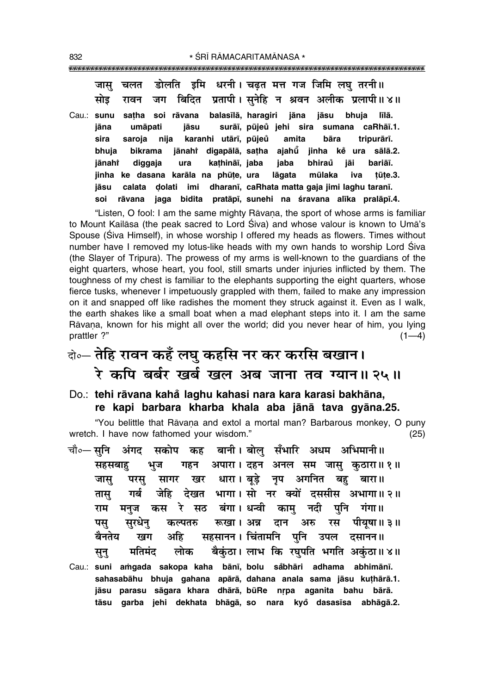डोलति इमि धरनी । चढत मत्त गज जिमि लघ तरनी ॥ जास चलत बिदित प्रतापी। सुनेहि न श्रवन अलीक प्रलापी॥४॥ सोड रावन जग satha soi rāvana balasīlā, haragiri jāna jāsu bhuja Cau.: sunu līlā. surāī, pūjeů jehi jāna umāpati jāsu sira sumana caRhāī.1. karanhi utārī, pūjeů sira saroia niia amita bāra tripurārī. bhuja bikrama jānahi digapālā, satha ajahū jinha ke ura sālā.2. bariāī. kathināī, jaba jaba jāi jānahř diggaja ura bhiraů jinha ke dasana karāla na phūte, ura lāgata mūlaka iva tūte.3. dharanī, caRhata matta gaja jimi laghu taranī. dolati imi iāsu calata jaga bidita pratāpī, sunehi na śravana alīka pralāpī.4. soi rāvana

"Listen, O fool: I am the same mighty Rāvana, the sport of whose arms is familiar to Mount Kailasa (the peak sacred to Lord Siva) and whose valour is known to Uma's Spouse (Siva Himself), in whose worship I offered my heads as flowers. Times without number have I removed my lotus-like heads with my own hands to worship Lord Siva (the Slayer of Tripura). The prowess of my arms is well-known to the guardians of the eight quarters, whose heart, you fool, still smarts under injuries inflicted by them. The toughness of my chest is familiar to the elephants supporting the eight quarters, whose fierce tusks, whenever I impetuously grappled with them, failed to make any impression on it and snapped off like radishes the moment they struck against it. Even as I walk, the earth shakes like a small boat when a mad elephant steps into it. I am the same Rāvana, known for his might all over the world; did you never hear of him, you lying prattler ?"  $(1-4)$ 

# केन्टे तेहि रावन कहँ लघु कहसि नर कर करसि बखान। रे कपि बर्बर खर्ब खल अब जाना तव ग्यान॥ २५॥

#### Do.: tehi rāvana kahå laghu kahasi nara kara karasi bakhāna, re kapi barbara kharba khala aba jānā tava gyāna.25.

"You belittle that Rāvana and extol a mortal man? Barbarous monkey, O puny wretch. I have now fathomed your wisdom."  $(25)$ 

बानी। बोल सँभारि अधम अभिमानी॥ चौ०— सनि सकोप अंगद कह अपारा। दहन अनल सम जासु कुठारा॥१॥ सहसबाहु गहन भूज धारा । बूड़े नृप अगनित बहु परस् सागर खर बारा॥ जास् भागा। सो नर क्यों दससीस अभागा॥ २॥ तास गर्ब जेहि देखत रे बंगा। धन्वी कामु नदी मनुज कस सठ पुनि गंगा॥ राम रूखा। अन्न दान अरु पस् सरधेन कल्पतरु रस पीयषा॥ ३॥ सहसानन। चिंतामनि पुनि उपल दसानन॥ बैनतेय अहि खग बैकुंठा। लाभ कि रघुपति भगति अकुंठा॥४॥ लोक मतिमंद सूनु Cau.: suni amgada sakopa kaha bānī, bolu såbhāri adhama abhimānī. sahasabāhu bhuja gahana apārā, dahana anala sama jāsu kuthārā.1. jāsu parasu sāgara khara dhārā, būRe nrpa aganita bahu bārā. tāsu garba jehi dekhata bhāgā, so nara kyo dasasīsa abhāgā.2.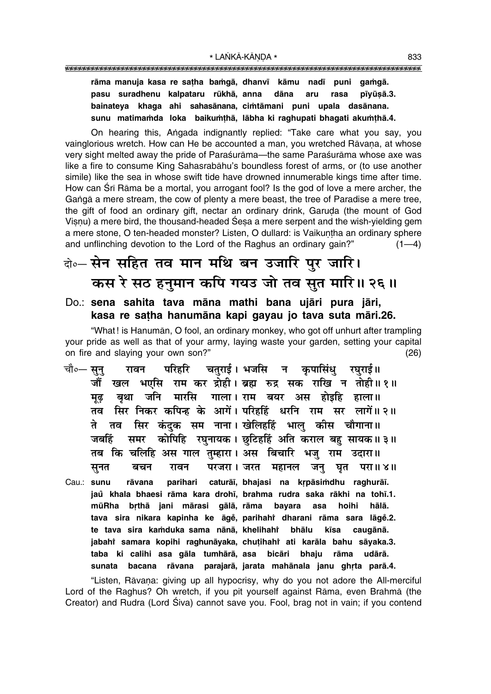rāma manuja kasa re satha bamgā, dhanvī kāmu nadī puni gamgā. pasu suradhenu kalpataru rūkhā, anna dāna aru rasa pīvūsā.3. bainateva khaga ahi sahasānana cimtāmani puni upaļa dasānana. sunu matimamda loka baikumthā, lābha ki raghupati bhagati akumthā.4.

On hearing this, Angada indignantly replied: "Take care what you say, you vainglorious wretch. How can He be accounted a man, you wretched Rāvana, at whose very sight melted away the pride of Paraśurāma—the same Paraśurāma whose axe was like a fire to consume King Sahasrabāhu's boundless forest of arms, or (to use another simile) like the sea in whose swift tide have drowned innumerable kings time after time. How can Sri Rāma be a mortal, you arrogant fool? Is the god of love a mere archer, the Ganga a mere stream, the cow of plenty a mere beast, the tree of Paradise a mere tree, the gift of food an ordinary gift, nectar an ordinary drink, Garuda (the mount of God Visnu) a mere bird, the thousand-headed Sesa a mere serpent and the wish-yielding gem a mere stone, O ten-headed monster? Listen, O dullard: is Vaikuntha an ordinary sphere and unflinching devotion to the Lord of the Raghus an ordinary gain?"  $(1-4)$ 

# के-सेन सहित तव मान मथि बन उजारि पुर जारि। कस रे सठ हनुमान कपि गयउ जो तव सुत मारि॥ २६॥

#### Do.: sena sahita tava māna mathi bana ujāri pura jāri, kasa re satha hanumāna kapi gayau jo tava suta māri.26.

"What! is Hanumān, O fool, an ordinary monkey, who got off unhurt after trampling your pride as well as that of your army, laying waste your garden, setting your capital on fire and slaying your own son?"  $(26)$ 

- चौ०— सून् परिहरि चतराई। भजसि न कपासिंध रघराई॥ रावन जौं खल भएसि राम कर द्रोही। ब्रह्म रुद्र सक राखि न तोही॥१॥ बथा जनि मारसि गाला। राम बयर अस होडहि हाला॥ मढ तव सिर निकर कपिन्ह के आगें। परिहर्हि धरनि राम सर लागें॥२॥ ते सिर कंदक सम नाना। खेलिहर्हि भाल कीस चौगाना॥ तव कोपिहि रघुनायक। छुटिहर्हि अति कराल बहु सायक॥३॥ जबहिं समर तब कि चलिहि अस गाल तुम्हारा। अस बिचारि भजु राम उदारा॥ सूनत बचन रावन परजरा। जरत महानल जन् घृत परा॥४॥
- Cau.: sunu rāvana parihari caturāi, bhajasi na krpāsimdhu raghurāi. jaů khala bhaesi rāma kara drohī, brahma rudra saka rākhi na tohī.1. mūRha brthā jani mārasi gālā, rāma bayara hālā. asa hoihi tava sira nikara kapinha ke āgě, parihahř dharani rāma sara lāgě.2. te tava sira kamduka sama nānā, khelihahî bhālu kīsa caugānā. jabahi samara kopihi raghunāyaka, chuțihahi ati karāla bahu sāyaka.3. taba ki calihi asa gāla tumhārā, asa bicāri bhaju rāma udārā. bacana rāvana parajarā, jarata mahānala janu ghrta parā.4. sunata

"Listen, Rāvana: giving up all hypocrisy, why do you not adore the All-merciful Lord of the Raghus? Oh wretch, if you pit yourself against Rāma, even Brahmā (the Creator) and Rudra (Lord Śiva) cannot save you. Fool, brag not in vain; if you contend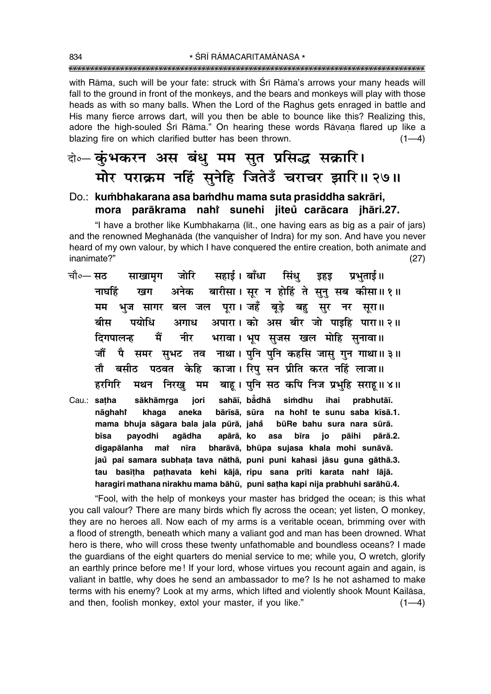with Rāma, such will be your fate: struck with Srī Rāma's arrows your many heads will fall to the ground in front of the monkeys, and the bears and monkeys will play with those heads as with so many balls. When the Lord of the Raghus gets enraged in battle and His many fierce arrows dart, will you then be able to bounce like this? Realizing this, adore the high-souled Sri Rama." On hearing these words Ravana flared up like a blazing fire on which clarified butter has been thrown.  $(1-4)$ 

बे॰ कुंभकरन अस बंधु मम सुत प्रसिद्ध सक्रारि। मोर पराक्रम नहिं सुनेहि जितेउँ चराचर झारि॥ २७॥

#### Do.: kumbhakarana asa bamdhu mama suta prasiddha sakrāri, parākrama nahi sunehi jiteŭ carācara jhāri.27. mora

"I have a brother like Kumbhakarna (lit., one having ears as big as a pair of jars) and the renowned Meghanada (the vanguisher of Indra) for my son. And have you never heard of my own valour, by which I have conquered the entire creation, both animate and inanimate?"  $(27)$ 

- सहाई । बाँधा सिंधु इहइ प्रभुताई॥ जोरि चौ०— स्रठ साखामग बारीसा। सुर न होहिं ते सुन सब कीसा॥ १॥ अनेक नाघहिं खग भुज सागर बल जल पूरा। जहँ बूड़े बहु सुर नर सूरा॥ मम अपारा। को अस बीर जो पाइहि पारा॥ २॥ बीस पयोधि अगाध भरावा। भूप सुजस खल मोहि सुनावा॥ दिगपालन्ह मैं नीर पै समर सुभट तव नाथा। पनि पनि कहसि जासु गुन गाथा॥३॥ जौं बसीठ पठवत केहि काजा। रिपु सन प्रीति करत नहिं लाजा॥ तौ मथन निरखु मम बाहू। पुनि सठ कपि निज प्रभुहि सराहू॥४॥ हरगिरि sahāī. bằdhā Cau.: satha sākhāmrga jori siṁdhu ihai prabhutāī.
- bārīsā, sūra nāghahi khaqa aneka na hohi te sunu saba kīsā.1. mama bhuja sāgara bala jala pūrā, jahå būRe bahu sura nara sūrā. payodhi agādha apārā, ko pāihi bīsa asa bīra io pārā.2. digapālanha mat nīra bharāvā, bhūpa sujasa khala mohi sunāvā. jaů pai samara subhata tava nāthā, puni puni kahasi jāsu guna gāthā.3. tau basītha pathavata kehi kājā, ripu sana prīti karata nahi lājā. haragiri mathana nirakhu mama bāhū, puni satha kapi nija prabhuhi sarāhū.4.

"Fool, with the help of monkeys your master has bridged the ocean; is this what you call valour? There are many birds which fly across the ocean; yet listen, O monkey, they are no heroes all. Now each of my arms is a veritable ocean, brimming over with a flood of strength, beneath which many a valiant god and man has been drowned. What hero is there, who will cross these twenty unfathomable and boundless oceans? I made the quardians of the eight quarters do menial service to me; while you, O wretch, glorify an earthly prince before me! If your lord, whose virtues you recount again and again, is valiant in battle, why does he send an ambassador to me? Is he not ashamed to make terms with his enemy? Look at my arms, which lifted and violently shook Mount Kailasa, and then, foolish monkey, extol your master, if you like."  $(1-4)$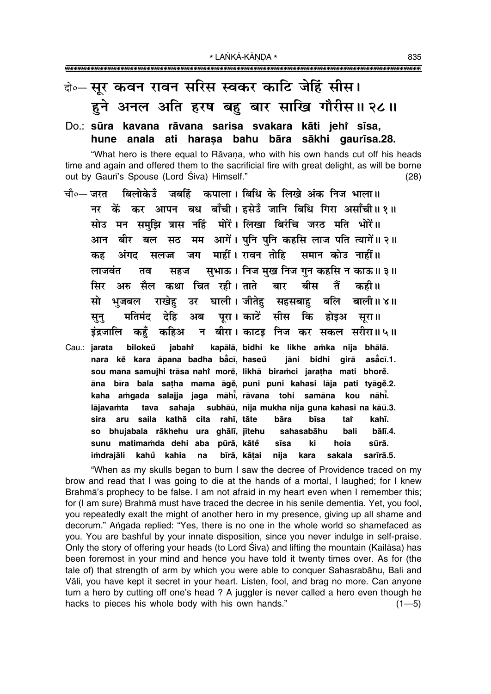# वे⊶ सुर कवन रावन सरिस स्वकर काटि जेहिं सीस। हुने अनल अति हरष बहु बार साखि गौरीस॥ २८॥

#### Do.: sūra kavana rāvana sarisa svakara kāti jehi sīsa, hune anala ati harasa bahu bāra sākhi gaurīsa.28.

"What hero is there equal to Rāvana, who with his own hands cut off his heads time and again and offered them to the sacrificial fire with great delight, as will be borne out by Gauri's Spouse (Lord Siva) Himself."  $(28)$ 

- बिलोकेउँ जबहिँ कपाला। बिधि के लिखे अंक निज भाला॥ चौ०— जरत नर कें कर आपन बध बाँची। हसेउँ जानि बिधि गिरा असाँची॥१॥ सोउ मन समुझि त्रास नहिं मोरें। लिखा बिरंचि जरठ मति भोरें॥ बीर बल सठ मम आगें। पनि पनि कहसि लाज पति त्यागें॥ २॥ आन सलज्ज जग माहीं। रावन तोहि समान कोउ नाहीं॥ अंगट कह सुभाऊ। निज मुख निज गुन कहसि न काऊ॥३॥ लाजवंत तव सहज अरु सैल कथा चित रही।ताते बार बीस तैं सिर कही।। उर घाली। जीतेह सहसबाह बलि बाली॥४॥ मो भजबल राखेह पुरा। काटें सीस कि मतिमंद देहि अब होडअ सरा॥ सन न बीरा। काटइ निज कर सकल सरीरा॥५॥ इंद्रजालि कहँ कहिअ kapālā, bidhi ke likhe amka nija bhālā. Cau.: jarata bilokeů jabaht
- nara ke kara āpana badha bācī, haseu jāni bidhi girā asā̃cī.1. sou mana samujhi trāsa nahi more, likhā biramci jaratha mati bhore. āna bīra bala satha mama āgě, puni puni kahasi lāja pati tyāgě.2. kaha amgada salajja jaga māhi, rāvana tohi samāna kou nāhi. subhāū, nija mukha nija guna kahasi na kāū.3. lājavamta tava sahaja sira aru saila kathā cita rahī, tāte bāra kahī. bīsa tar sahasabāhu bālī.4. so bhujabala rākhehu ura ghālī, jītehu bali sunu matimamda dehi aba pūrā, kātě ki sūrā. sīsa hoia imdrajāli kahů kahia bīrā, kātai sarīrā.5. na nija kara sakala

"When as my skulls began to burn I saw the decree of Providence traced on my brow and read that I was going to die at the hands of a mortal, I laughed; for I knew Brahma's prophecy to be false. I am not afraid in my heart even when I remember this; for (I am sure) Brahmā must have traced the decree in his senile dementia. Yet, you fool, you repeatedly exalt the might of another hero in my presence, giving up all shame and decorum." Angada replied: "Yes, there is no one in the whole world so shamefaced as you. You are bashful by your innate disposition, since you never indulge in self-praise. Only the story of offering your heads (to Lord Śiva) and lifting the mountain (Kailāsa) has been foremost in your mind and hence you have told it twenty times over. As for (the tale of) that strength of arm by which you were able to conquer Sahasrabahu, Bali and Vāli, you have kept it secret in your heart. Listen, fool, and brag no more. Can anyone turn a hero by cutting off one's head ? A juggler is never called a hero even though he hacks to pieces his whole body with his own hands."  $(1 - 5)$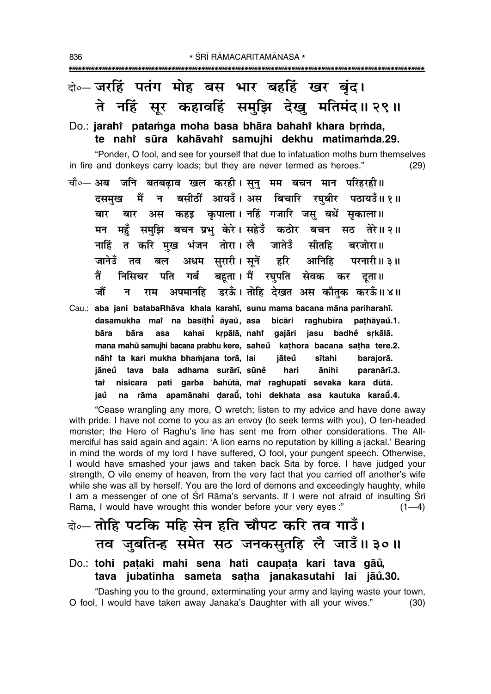# बे-जरहिं पतंग मोह बस भार बहहिं खर बृंद। ते नहिं सर कहावहिं समुझि देखु मतिमंद॥२९॥

#### Do.: jarahi patamga moha basa bhara bahahi khara brmda, te nahi sūra kahāvahi samujhi dekhu matimamda.29.

"Ponder, O fool, and see for yourself that due to infatuation moths burn themselves in fire and donkeys carry loads; but they are never termed as heroes."  $(29)$ 

- चौ०— अब जनि बतबढ़ाव खल करही। सूनु मम बचन मान परिहरही॥ दसमुख मैं न बसीठीं आयउँ। अस बिचारि रघुबीर पठायउँ॥१॥ बार बार अस कहड़ कृपाला। नहिं गजारि जसु बधें सुकाला॥ मन महँ समुझि बचन प्रभु केरे। सहेउँ कठोर बचन सठ तेरे॥२॥ नाहिं त करि मुख भंजन तोरा। लै जातेउँ सीतहि बरजोरा॥ अधम सुरारी। सूनें हरि आनिहि जानेउँ तव बल परनारी॥ ३॥ गर्ब बहूता। मैं रघुपति सेवक कर दूता॥ तैं निसिचर पति राम अपमानहि डरऊँ। तोहि देखत अस कौतक करऊँ॥४॥ जौं न
- Cau.: aba jani batabaRhāva khala karahī, sunu mama bacana māna pariharahī. dasamukha mai na basīthī āyau, asa bicāri raghubīra pathāyau.1. bāra bāra asa kahai krpālā, nahi gajāri jasu badhe srkālā. mana mahů samujhi bacana prabhu kere, saheů kathora bacana satha tere.2. nāhi ta kari mukha bhamjana torā, lai jāteů sītahi barajorā. jāneů tava bala adhama surārī, sūně hari ānihi paranārī.3. nisicara pati garba bahūtā, mai raghupati sevaka kara dūtā. tat na rāma apamānahi daraū, tohi dekhata asa kautuka karaū̃.4. jaů

"Cease wrangling any more, O wretch; listen to my advice and have done away with pride. I have not come to you as an envoy (to seek terms with you), O ten-headed monster; the Hero of Raghu's line has sent me from other considerations. The Allmerciful has said again and again: 'A lion earns no reputation by killing a jackal.' Bearing in mind the words of my lord I have suffered, O fool, your pungent speech. Otherwise, I would have smashed your jaws and taken back Sita by force. I have judged your strength, O vile enemy of heaven, from the very fact that you carried off another's wife while she was all by herself. You are the lord of demons and exceedingly haughty, while I am a messenger of one of Srī Rāma's servants. If I were not afraid of insulting Srī Rāma, I would have wrought this wonder before your very eyes :"  $(1-4)$ 

### केन तोहि पटकि महि सेन हति चौपट करि तव गाउँ। तव जुबतिन्ह समेत सठ जनकसुतहि लै जाउँ॥३०॥

#### Do.: tohi pataki mahi sena hati caupata kari tava gāů, tava jubatinha sameta satha janakasutahi lai jāů.30.

"Dashing you to the ground, exterminating your army and laying waste your town, O fool, I would have taken away Janaka's Daughter with all your wives."  $(30)$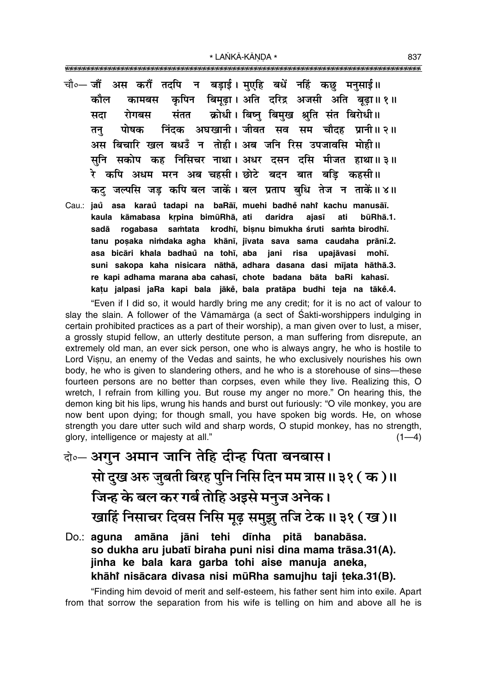\* LANKĀ-KĀNDA \*

| चौ०— जौं अस करौं तदपि न बड़ाई। मुएहि बधें नहिं कछु मनुसाई॥           |
|----------------------------------------------------------------------|
| कौल कामबस कृपिन बिमूढ़ा। अति दरिद्र अजसी अति बढ़ा॥१॥                 |
| सदा रोगबस संतत क्रोधी।विष्नु बिमुख श्रुति संत बिरोधी॥                |
| तनु पोषक निंदक अघखानी।जीवत सव सम चौदह प्रानी॥२॥                      |
| अस बिचारि खल बधउँ न तोही। अब जनि रिस उपजावसि मोही॥                   |
| सुनि सकोप कह निसिचर नाथा। अधर दसन दसि मीजत हाथा॥३॥                   |
| रे कपि अधम मरन अब चहसी। छोटे बदन बात बडि कहसी॥                       |
| कटु जल्पसि जड़ कपि बल जाकें। बल प्रताप बुधि तेज न ताकें॥४॥           |
| Cau.: jaŭ asa karaŭ tadapi na baRāī, muehi badhě nahř kachu manusāī. |
| kaula kāmabasa krpina bimūRhā, ati daridra ajasī ati būRhā.1.        |
| sadā rogabasa samtata krodhī, bisnu bimukha śruti samta birodhī.     |
| tanu posaka nimdaka agha khānī, jīvata sava sama caudaha prānī.2.    |
| asa bicāri khala badhaŭ na tohī, aba jani risa upajāvasi mohī.       |
| suni sakopa kaha nisicara nāthā, adhara dasana dasi mījata hāthā.3.  |
| re kapi adhama marana aba cahasī, chote badana bāta baRi kahasī.     |
| katu jalpasi jaRa kapi bala jākě, bala pratāpa budhi teja na tākě.4. |

"Even if I did so, it would hardly bring me any credit; for it is no act of valour to slay the slain. A follower of the Vāmamārga (a sect of Sakti-worshippers indulging in certain prohibited practices as a part of their worship), a man given over to lust, a miser, a grossly stupid fellow, an utterly destitute person, a man suffering from disrepute, an extremely old man, an ever sick person, one who is always angry, he who is hostile to Lord Visnu, an enemy of the Vedas and saints, he who exclusively nourishes his own body, he who is given to slandering others, and he who is a storehouse of sins—these fourteen persons are no better than corpses, even while they live. Realizing this, O wretch, I refrain from killing you. But rouse my anger no more." On hearing this, the demon king bit his lips, wrung his hands and burst out furiously: "O vile monkey, you are now bent upon dying; for though small, you have spoken big words. He, on whose strength you dare utter such wild and sharp words, O stupid monkey, has no strength, glory, intelligence or majesty at all."  $(1-4)$ 

- के-अगुन अमान जानि तेहि दीन्ह पिता बनबास। सो दुख अरु जुबती बिरह पुनि निसि दिन मम त्रास ॥ ३१ ( क )॥ जिन्ह के बल कर गर्ब तोहि अइसे मनुज अनेक। खाहिं निसाचर दिवस निसि मूढ़ समुझू तजि टेक ॥ ३१ ( ख )॥
- Do.: aguna amāna jāni tehi dīnha pitā banabāsa. so dukha aru jubatī biraha puni nisi dina mama trāsa.31(A). jinha ke bala kara garba tohi aise manuja aneka, khāhi nisācara divasa nisi mūRha samujhu taji teka.31(B).

"Finding him devoid of merit and self-esteem, his father sent him into exile. Apart from that sorrow the separation from his wife is telling on him and above all he is

837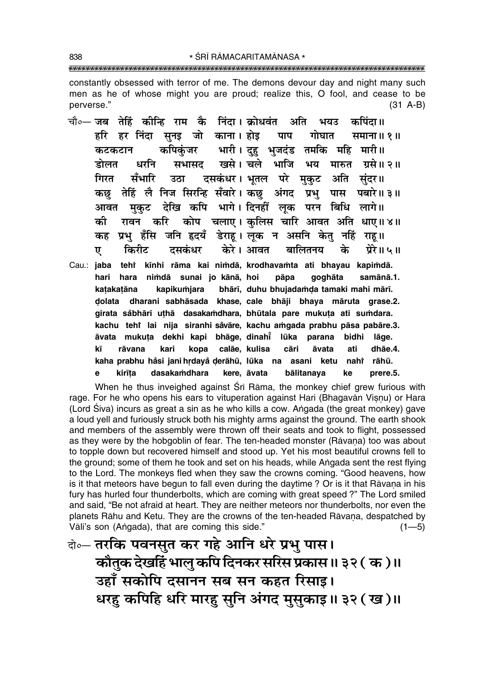constantly obsessed with terror of me. The demons devour day and night many such men as he of whose might you are proud; realize this, O fool, and cease to be perverse."  $(31 \text{ A-B})$ 

- चौ∘— जब तेहिं कीन्हि राम कै निंदा। क्रोधवंत अति कपिंदा॥ भयउ हरि हर निंदा सुनइ जो काना।होड पाप गोघात समाना॥ १॥ भारी। दुहु भुजदंड तमकि महि मारी॥ कपिकंजर कटकटान डोलत धरनि सभासद खसे। चले भाजि भय मारुत ग्रसे॥ २॥ दसकंधर। भूतल परे मुकुट मँभारि गिरत अति उठा संदर॥ तेहिं लै निज सिरन्हि सँवारे। कछ अंगद प्रभ पास पबारे॥३॥ कछ देखि कपि भागे। दिनहीं लुक परन बिधि लागे॥ आवत मकट कोप चलाए। कुलिस चारि आवत अति धाए॥४॥ रावन करि को कह प्रभ हँसि जनि हृदयँ डेराह।लक न असनि केत नहिं राह॥ किरीट केरे। आवत बालितनय के दसकंधर ग्रेरे ॥ ५ ॥ ए
- Cau.: jaba tehi kinhi rāma kai nimdā, krodhavamta ati bhayau kapimdā. nimdā sunai jo kānā, hoi hari hara pāpa qoqhāta samānā.1. bhārī, duhu bhujadamda tamaki mahi mārī. katakatāna kapikumjara dolata dharani sabhāsada khase, cale bhāji bhaya māruta grase.2. girata såbhāri uthā dasakamdhara, bhūtala pare mukuta ati sumdara. kachu teht lai nija siranhi såvāre, kachu amgada prabhu pāsa pabāre.3. āvata mukuta dekhi kapi bhāge, dinahī lūka parana bidhi lāge. kī rāvana kari kopa calāe, kulisa cāri āvata ati dhāe.4. kaha prabhu håsi jani hrdayå derāhū, lūka na asani ketu nahi rāhū. kirīta dasakamdhara kere, āvata bālitanaya e ke prere.5.

When he thus inveighed against Srī Rāma, the monkey chief grew furious with rage. For he who opens his ears to vituperation against Hari (Bhagavān Vișņu) or Hara (Lord Siva) incurs as great a sin as he who kills a cow. Angada (the great monkey) gave a loud yell and furiously struck both his mighty arms against the ground. The earth shook and members of the assembly were thrown off their seats and took to flight, possessed as they were by the hobgoblin of fear. The ten-headed monster (Ravana) too was about to topple down but recovered himself and stood up. Yet his most beautiful crowns fell to the ground; some of them he took and set on his heads, while Angada sent the rest flying to the Lord. The monkeys fled when they saw the crowns coming. "Good heavens, how is it that meteors have begun to fall even during the daytime? Or is it that Rāvana in his fury has hurled four thunderbolts, which are coming with great speed ?" The Lord smiled and said, "Be not afraid at heart. They are neither meteors nor thunderbolts, nor even the planets Rāhu and Ketu. They are the crowns of the ten-headed Rāvaṇa, despatched by Vāli's son (Angada), that are coming this side."  $(1 - 5)$ 

के- तरकि पवनसुत कर गहे आनि धरे प्रभु पास। कौतुक देखहिं भालु कपि दिनकर सरिस प्रकास ॥ ३२ ( क )॥ उहाँ सकोपि दसानन सब सन कहत रिसाइ। धरहु कपिहि धरि मारहु सुनि अंगद मुसुकाइ॥ ३२ ( ख )॥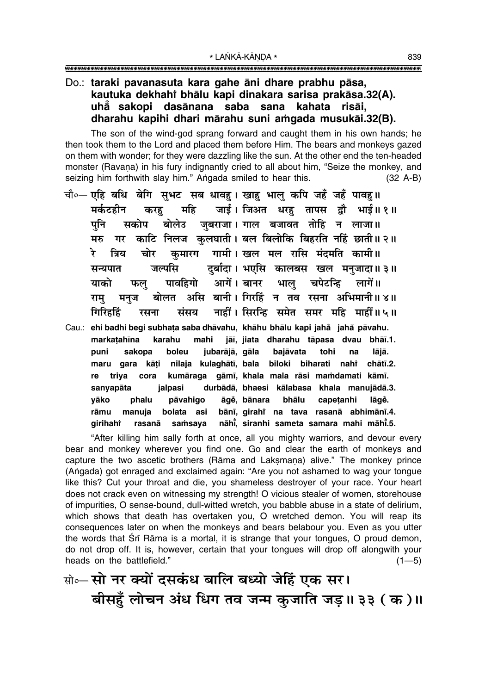#### Do.: taraki pavanasuta kara gahe āni dhare prabhu pāsa, kautuka dekhahi bhālu kapi dinakara sarisa prakāsa.32(A). uhā sakopi dasānana saba sana kahata risāi. dharahu kapihi dhari mārahu suni amgada musukāi.32(B).

The son of the wind-god sprang forward and caught them in his own hands; he then took them to the Lord and placed them before Him. The bears and monkeys gazed on them with wonder; for they were dazzling like the sun. At the other end the ten-headed monster (Rāvana) in his fury indignantly cried to all about him, "Seize the monkey, and seizing him forthwith slay him." Angada smiled to hear this.  $(32 \text{ A-B})$ 

- चौ०— एहि बधि बेगि सुभट सब धावह। खाह भालु कपि जहँ जहँ पावह॥ जाई। जिअत धरह तापस द्वौ भाई॥१॥ मर्कटहीन महि करह सकोप बोलेउ जुबराजा।गाल बजावत तोहि न लाजा॥ पनि गर काटि निलज कुलघाती। बल बिलोकि बिहरति नहिं छाती॥२॥ मरु गामी। खल मल रासि मंदमति कामी॥ त्रिय चोर कमारग दर्बादा। भएसि कालबस खल मनजादा॥३॥ जल्पसि सन्यपात आगें । बानर भाल् चपेटन्हि याको पावहिगो लागें।। फल् बोलत असि बानी। गिरहिं न तव रसना अभिमानी॥४॥ राम् मन्ज नाहीं। सिरन्हि समेत समर महि माहीं॥५॥ गिरिहर्हि संसय रसना
- Cau.: ehi badhi begi subhata saba dhāvahu, khāhu bhālu kapi jahå jahå pāvahu. markatahīna karahu mahi jāī, jiata dharahu tāpasa dvau bhāī.1. puni sakopa boleu jubarājā, gāla bajāvata tohi na lājā. maru gara kāṭi nilaja kulaghātī, bala biloki biharati nahi chātī.2. kumāraga gāmī, khala mala rāsi mamdamati kāmī. triva cora re sanyapāta durbādā, bhaesi kālabasa khala manujādā.3. jalpasi āgě, bānara yāko phalu pāvahigo bhālu capetanhi lāgě. rāmu manuja bolata asi bānī, girahi na tava rasanā abhimānī.4. **airihaht** rasanā samsaya nāhi, siranhi sameta samara mahi māhi.5.

"After killing him sally forth at once, all you mighty warriors, and devour every bear and monkey wherever you find one. Go and clear the earth of monkeys and capture the two ascetic brothers (Rama and Laksmana) alive." The monkey prince (Angada) got enraged and exclaimed again: "Are you not ashamed to wag your tongue like this? Cut your throat and die, you shameless destroyer of your race. Your heart does not crack even on witnessing my strength! O vicious stealer of women, storehouse of impurities, O sense-bound, dull-witted wretch, you babble abuse in a state of delirium, which shows that death has overtaken you, O wretched demon. You will reap its consequences later on when the monkeys and bears belabour you. Even as you utter the words that Sri Rama is a mortal, it is strange that your tongues, O proud demon, do not drop off. It is, however, certain that your tongues will drop off alongwith your heads on the battlefield."  $(1 - 5)$ 

सो० सो नर क्यों दसकंध बालि बध्यो जेहिं एक सर। बीसहँ लोचन अंध धिग तव जन्म कुजाति जड़॥३३ (क)॥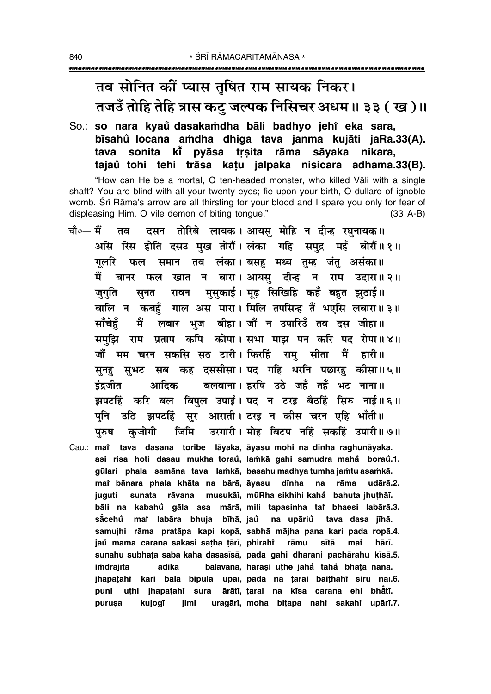# तव सोनित कीं प्यास तुषित राम सायक निकर। तजडँ तोहि तेहि त्रास कट् जल्पक निसिचर अधम॥ ३३ ( ख )॥

#### So.: so nara kyaů dasakamdha bāli badhyo jehř eka sara, bīsahů locana amdha dhiga tava janma kujāti jaRa.33(A). sonita ki pyāsa trsita rāma sāyaka nikara, tava tajaŭ tohi tehi trāsa katu jalpaka nisicara adhama.33(B).

"How can He be a mortal, O ten-headed monster, who killed Vali with a single shaft? You are blind with all your twenty eyes; fie upon your birth, O dullard of ignoble womb. Śrī Rāma's arrow are all thirsting for your blood and I spare you only for fear of displeasing Him, O vile demon of biting tongue."  $(33 A-B)$ 

- चौ०— मैं तव दसन तोरिबे लायक। आयसु मोहि न दीन्ह रघुनायक॥ असि रिस होति दसउ मुख तोरौं।लंका गहि समुद्र महँ बोरौं॥१॥ गुलरि फल समान तव लंका।बसह मध्य तुम्ह जंतु असंका॥ मैं बानर फल खात न बारा। आयसू दीन्ह न राम उदारा॥२॥ रावन मसकाई। मढ सिखिहि कहँ बहत झठाई॥ जगति सनत बालि न कबहँ गाल अस मारा। मिलि तपसिन्ह तैं भएसि लबारा॥३॥ मैं लबार भज बीहा।जौं न उपारिउँ तव दस जीहा॥ साँचेहँ समझि राम प्रताप कपि कोपा।सभा माझ पन करि पद रोपा॥४॥ जौं मम चरन सकसि सठ टारी। फिरहिं राम सीता मैं हारी।। सनह सभट सब कह दससीसा। पद गहि धरनि पछारह कीसा॥५॥ बलवाना। हरषि उठे जहँ तहँ भट नाना॥ डंद्रजीत आदिक झपटहिं करि बल बिपल उपाई। पद न टरड बैठहिं सिरु नाई॥ ६॥ उठि झपटहिं सुर आराती। टरइ न कीस चरन एहि भाँती॥ पनि उरगारी। मोह बिटप नहिं सकहिं उपारी॥७॥ परुष कजोगी जिमि
- Cau.: mai tava dasana toribe lāyaka, āyasu mohi na dīnha raghunāyaka. asi risa hoti dasau mukha toraů, lamkā gahi samudra mahå boraů.1. gūlari phala samāna tava lamkā, basahu madhya tumha jamtu asamkā. mai bānara phala khāta na bārā, āyasu dīnha na rāma udārā.2. iuauti sunata rāvana musukāi, mūRha sikhihi kahå bahuta įhuthāi. bāli na kabahů gāla asa mārā, mili tapasinha tar bhaesi labārā.3. săcehů mař labāra bhuja bīhā, jaů na upāriů tava dasa jīhā. samujhi rāma pratāpa kapi kopā, sabhā mājha pana kari pada ropā.4. jaŭ mama carana sakasi satha tārī, phiraht sītā rāmu mat hārī. sunahu subhata saba kaha dasasīsā, pada gahi dharani pachārahu kīsā.5. balavānā, harasi uthe jahå tahå bhata nānā. imdraiīta ādika jhapațahi kari bala bipula upāī, pada na țarai baițhahi siru nāī.6. puni uthi jhapatahi sura ārātī, tarai na kīsa carana ehi bhātī. jimi uragārī, moha bitapa nahi sakahi upārī.7. purusa kujogī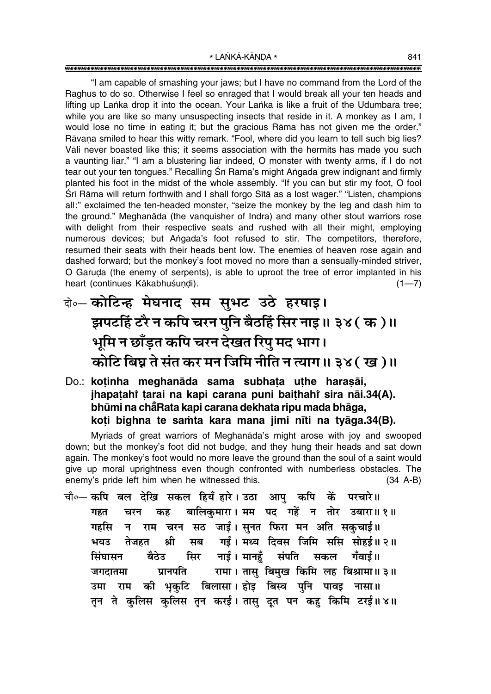"I am capable of smashing your jaws; but I have no command from the Lord of the Raghus to do so. Otherwise I feel so enraged that I would break all your ten heads and lifting up Lankā drop it into the ocean. Your Lankā is like a fruit of the Udumbara tree; while you are like so many unsuspecting insects that reside in it. A monkey as I am, I would lose no time in eating it; but the gracious Rāma has not given me the order." Rāvana smiled to hear this witty remark. "Fool, where did you learn to tell such big lies? Våli never boasted like this; it seems association with the hermits has made you such a vaunting liar." "I am a blustering liar indeed, O monster with twenty arms, if I do not tear out your ten tongues." Recalling Śrī Rāma's might Aṅgada grew indignant and firmly planted his foot in the midst of the whole assembly. "If you can but stir my foot, O fool Śrī Rāma will return forthwith and I shall forgo Sītā as a lost wager." "Listen, champions all:" exclaimed the ten-headed monster, "seize the monkey by the leg and dash him to the ground.î Meghanåda (the vanquisher of Indra) and many other stout warriors rose with delight from their respective seats and rushed with all their might, employing numerous devices; but Angada's foot refused to stir. The competitors, therefore, resumed their seats with their heads bent low. The enemies of heaven rose again and dashed forward; but the monkeyís foot moved no more than a sensually-minded striver, O Garuda (the enemy of serpents), is able to uproot the tree of error implanted in his heart (continues Kåkabhu‹uƒŒi). (1ó7)

- बो**० कोटिन्ह मेघनाद सम सुभट उठे हरषाइ।** झपटहिं टरै न कपि चरन पुनि बैठहिं सिर नाइ॥ ३४( क )॥ <u>भूमि न छाँड़त कपि चरन देखत रिपु</u> मद भाग। **कोटि बिघ्न ते संत कर मन जिमि नीति न त्याग॥ ३४ (ख)॥**
- Do.: kotinha meghanāda sama subhata uthe harasāi, **jhapa¢ahiÚ ¢arai na kapi carana puni bai¢hahiÚ sira nåi.34(A). bhµumi na chå° Rata kapi carana dekhata ripu mada bhåga, ko¢i bighna te sa≈ta kara mana jimi n∂ti na tyåga.34(B).**

Myriads of great warriors of Meghanådaís might arose with joy and swooped down; but the monkey's foot did not budge, and they hung their heads and sat down again. The monkey's foot would no more leave the ground than the soul of a saint would give up moral uprightness even though confronted with numberless obstacles. The enemyís pride left him when he witnessed this. (34 A-B)

चौ०— <mark>कपि बल देखि सकल हियँ हारे । उठा आप कपि कें परचारे ॥</mark> गहत चरन कह बालिकुमारा।**मम पद गहें न तोर उबारा॥१॥** गहसि न राम चरन सठ जाई। सुनत फिरा मन अति सकुचाई॥ भयउ तेजहत श्री सब गई।मध्य**ंदिवस जिमि ससि सोहई॥२॥** सिंघासन बैठेउ सिर नाई।**मानहँ संपति सकल गँवाई**॥ जगदातमा प्रानपति रामा । तासु बिमुख किमि लह बिश्रामा ॥ ३ ॥ उमा राम की भृकुटि बिलासा। होइ बिस्व पुनि पावइ नासा॥ तून ते कुलिस कुलिस तून करई। तासु दूत पन कहु किमि टरई॥४॥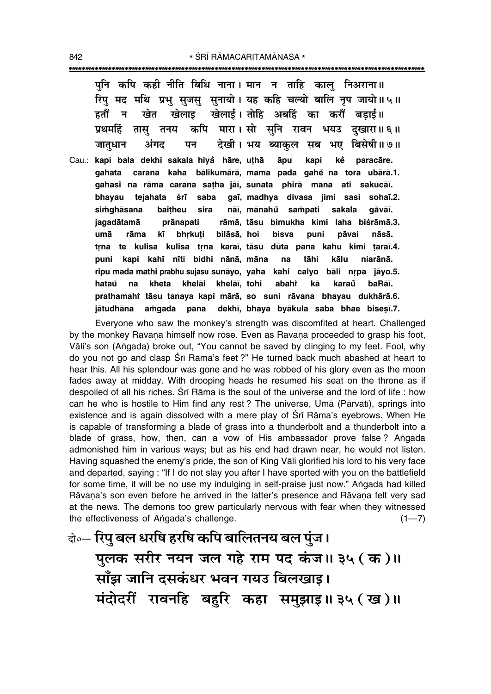<u>पनि कपि कही नीति बिधि नाना। मान न ताहि काल निअराना॥</u> रिपु मद मथि प्रभु सुजसु सुनायो। यह कहि चल्यो बालि नृप जायो॥५॥ हतौं न खेत खेलाइ खेलाई। तोहि अबहिं का करौं बडाई॥ **प्रथमहिं तास तनय कपि मारा।** सो सनि रावन भयउ दखारा॥६॥ जातुधान अंगद पन देखी।**भय ब्याकुल सब भए बिसेषी॥**७॥ Cau.: **kapi bala dekhi sakala hiya° håre, u¢hå åpu kapi ke paracåre. ° gahata carana kaha bålikumårå, mama pada gahe na tora ubårå.1. ° gahasi na råma carana sa¢ha jå∂, sunata phirå mana ati sakucå∂.** bhayau tejahata śrī saba gaī, madhya divasa jimi sasi sohaī.2. **si≈ghåsana bai¢heu sira nå∂, månahu sa≈pati sakala ga ° °vå∂.** jagadātamā prānapati rāmā, tāsu bimukha kimi laha biśrāmā.3. umā rāma kī bhrkuți bilāsā, hoi bisva puni pāvai nāsā. **tæna te kulisa kulisa tæna kara∂, tåsu dµuta pana kahu kimi ¢ara∂.4. puni kapi kah∂ n∂ti bidhi nånå, måna na tåhi kålu niarånå.** ripu mada mathi prabhu sujasu sunāyo, yaha kahi calyo bāli nrpa jāyo.5. **hatau na kheta khelåi khelå∂, tohi abahi ° Ú kå karau° baRå∂. prathamahiÚ tåsu tanaya kapi mårå, so suni råvana bhayau dukhårå.6.** jātudhāna amgada pana dekhī, bhaya byākula saba bhae biseșī.7.

Everyone who saw the monkeyís strength was discomfited at heart. Challenged by the monkey Rāvana himself now rose. Even as Rāvana proceeded to grasp his foot, Vāli's son (Angada) broke out, "You cannot be saved by clinging to my feet. Fool, why do you not go and clasp Śrī Rāma's feet?" He turned back much abashed at heart to hear this. All his splendour was gone and he was robbed of his glory even as the moon fades away at midday. With drooping heads he resumed his seat on the throne as if despoiled of all his riches. Śrī Rāma is the soul of the universe and the lord of life : how can he who is hostile to Him find any rest ? The universe, Umā (Pārvatī), springs into existence and is again dissolved with a mere play of Śrī Rāma's eyebrows. When He is capable of transforming a blade of grass into a thunderbolt and a thunderbolt into a blade of grass, how, then, can a vow of His ambassador prove false? Angada admonished him in various ways; but as his end had drawn near, he would not listen. Having squashed the enemy's pride, the son of King Vali glorified his lord to his very face and departed, saying : "If I do not slay you after I have sported with you on the battlefield for some time, it will be no use my indulging in self-praise just now." Angada had killed Rāvana's son even before he arrived in the latter's presence and Rāvana felt very sad at the news. The demons too grew particularly nervous with fear when they witnessed the effectiveness of A $\alpha$ gada's challenge. (1—7)

दो**०— रिपु बल धरषि हरषि कपि बालितनय बल पुंज।** पुलक सरीर नयन जल गहे राम पद कंज॥ ३५ ( क )॥ **सॉंझ जानि दसकंधर भवन गयउ बिलखाइ। मंदोदरीं रावनहि बहुरि कहा समुझाइ॥३५ (ख)॥**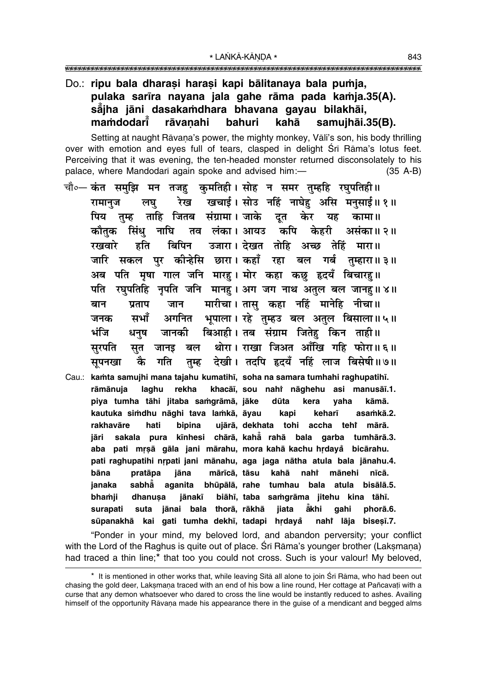#### Do.: ripu bala dharasi harasi kapi bālitanaya bala pumja, pulaka sarīra nayana jala gahe rāma pada kamja.35(A). sājha jāni dasakamdhara bhavana gayau bilakhāi, mamdodari rāvanahi bahuri kahā samujhāi.35(B).

Setting at naught Rāvana's power, the mighty monkey, Vāli's son, his body thrilling over with emotion and eves full of tears, clasped in delight Sri Rama's lotus feet. Perceiving that it was evening, the ten-headed monster returned disconsolately to his palace, where Mandodarī again spoke and advised him:- $(35 A-B)$ 

- चौ०— कंत समुझि मन तजह कुमतिही। सोह न समर तुम्हहि रघुपतिही॥ खचाई। सोउ नहिं नाघेहु असि मनुसाई॥१॥ रेख रामानज लघ पिय तम्ह ताहि जितब संग्रामा। जाके दूत केर यह कामा ॥ कौतक सिंध नाघि तव लंका। आयउ कपि केहरी असंका॥ २॥ उजारा। देखत तोहि अच्छ तेहिं मारा॥ रखवारे हति बिपिन जारि सकल पर कोन्हेसि छारा।कहाँ रहा बल गर्ब तम्हारा॥३॥ अब पति मृषा गाल जनि मारहू। मोर कहा कछु हृदयँ बिचारहु॥ पति रघुपतिहि नृपति जनि मानह। अग जग नाथ अतुल बल जानह॥४॥ मारीचा। तासु कहा नहिं मानेहि नीचा॥ बान प्रताप जान अगनित भूपाला। रहे तुम्हउ बल अतुल बिसाला॥५॥ सभाँ जनक जानकी बिआही।तब संग्राम जितेह किन ताही॥ भंजि धनष थोरा। राखा जिअत आँखि गहि फोरा॥६॥ सुरपति बल सत जानइ कै देखी। तदपि हृदयँ नहिं लाज बिसेषी॥७॥ गति सपनखा तम्ह
- Cau.: kamta samujhi mana tajahu kumatihi, soha na samara tumhahi raghupatihi. khacāī, sou nahi nāghehu asi manusāī.1. rāmānuja laghu rekha piya tumha tāhi jitaba samgrāmā, jāke dūta kera vaha kāmā. kautuka simdhu nāghi tava lamkā, āyau kapi keharī asamkā.2. ujārā, dekhata tohi accha tehi mārā. rakhavāre hati bipina sakala pura kīnhesi chārā, kahā rahā bala garba tumhārā.3. iāri aba pati mrsā gāla jani mārahu, mora kahā kachu hrdayå bicārahu. pati raghupatihi nrpati jani mānahu, aga jaga nātha atula bala jānahu.4. bāna pratāpa jāna mārīcā, tāsu kahā nahi mānehi nīcā. aganita bhūpālā, rahe tumhau bala atula bisālā.5. janaka sabhẵ biāhī, taba samgrāma jitehu kina tāhī. bhamii dhanusa iānakī jānai bala thorā, rākhā jiata ăkhi surapati suta qahi phorā.6. sūpanakhā kai gati tumha dekhī, tadapi hrdayå nahî lāja bisesī.7.

"Ponder in your mind, my beloved lord, and abandon perversity; your conflict with the Lord of the Raghus is quite out of place. Sri Rama's younger brother (Laksmana) had traced a thin line;\* that too you could not cross. Such is your valour! My beloved,

<sup>\*</sup> It is mentioned in other works that, while leaving Sitā all alone to join Śrī Rāma, who had been out chasing the gold deer, Laksmana traced with an end of his bow a line round. Her cottage at Pañcavatī with a curse that any demon whatsoever who dared to cross the line would be instantly reduced to ashes. Availing himself of the opportunity Ravana made his appearance there in the guise of a mendicant and begged alms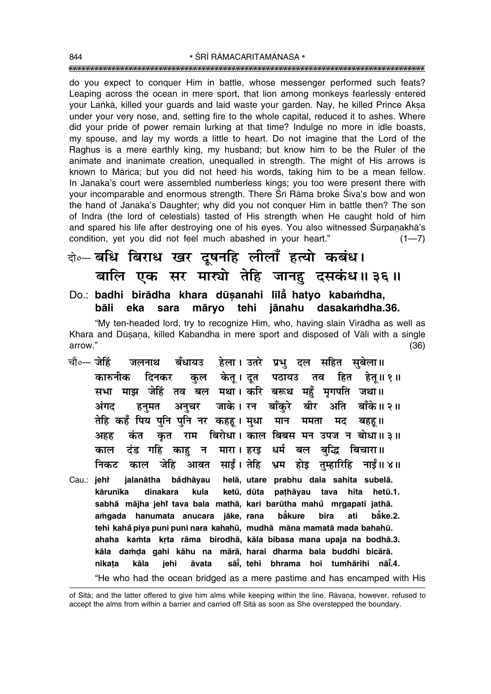\* ŚRĪ RĀMACARITAMĀNASA \* 

do you expect to conquer Him in battle, whose messenger performed such feats? Leaping across the ocean in mere sport, that lion among monkeys fearlessly entered your Lanka, killed your quards and laid waste your garden. Nay, he killed Prince Aksa under your very nose, and, setting fire to the whole capital, reduced it to ashes. Where did your pride of power remain lurking at that time? Indulge no more in idle boasts, my spouse, and lay my words a little to heart. Do not imagine that the Lord of the Raghus is a mere earthly king, my husband; but know him to be the Ruler of the animate and inanimate creation, unequalled in strength. The might of His arrows is known to Mārīca; but you did not heed his words, taking him to be a mean fellow. In Janaka's court were assembled numberless kings; you too were present there with your incomparable and enormous strength. There Srī Rāma broke Siva's bow and won the hand of Janaka's Daughter; why did you not conquer Him in battle then? The son of Indra (the lord of celestials) tasted of His strength when He caught hold of him and spared his life after destroving one of his eves. You also witnessed Surpanakha's condition, yet you did not feel much abashed in your heart."  $(1 - 7)$ 

## बे-बंधि बिराध खर दूषनहि लीलाँ हत्यो कबंध। बालि एक सर माखो तेहि जानहु दसकंध॥३६॥

Do.: badhi birādha khara dūsanahi līlā hatyo kabamdha, māryo tehi jānahu dasakamdha.36. eka sara bāli

"My ten-headed lord, try to recognize Him, who, having slain Virādha as well as Khara and Dūsana, killed Kabandha in mere sport and disposed of Vāli with a single arrow."  $(36)$ 

- चौ०- जेहिं बँधायउ हेला। उतरे प्रभु दल सहित सबेला॥ जलनाथ तव हित हेत्॥१॥ कारुनीक दिनकर कुल केतू। दूत पठायउ सभा माझ जेहिं तव बल मथा। करि बरूथ महँ मगपति जथा॥ अंगट जाके। रन बाँकरे बीर अति बाँके॥२॥ हनमत अनचर तेहि कहँ पिय पुनि पुनि नर कहह। मुधा मान ममता मद बहह ॥ राम बिरोधा । काल बिबस मन उपज न बोधा॥३॥ अहह कंत कत धर्म मारा । हरड बिचारा॥ बद्धि काहु न बल काल टंड ााहि आवत साईं। तेहि भ्रम होड तम्हारिहि नार्ड ॥ ४ ॥ निकट जेहि काल
- helā, utare prabhu dala sahita subelā. Cau.: jehř jalanātha bådhāyau dinakara kula ketū, dūta pathāyau tava hita hetū.1. kārunīka sabhā mājha jehi tava bala mathā, kari barūtha mahů mrgapati jathā. båkure  $b\tilde{a}$ ke.2. amgada hanumata anucara jāke, rana bīra ati tehi kahå piya puni puni nara kahahū, mudhā māna mamatā mada bahahū. ahaha kamta krta rāma birodhā, kāla bibasa mana upaja na bodhā.3. kāla damda gahi kāhu na mārā, harai dharma bala buddhi bicārā. sāi, tehi bhrama hoi tumhārihi nāi.4. nikata kāla jehi āvata "He who had the ocean bridged as a mere pastime and has encamped with His

of Sītā; and the latter offered to give him alms while keeping within the line. Rāvaņa, however, refused to accept the alms from within a barrier and carried off Sita as soon as She overstepped the boundary.

844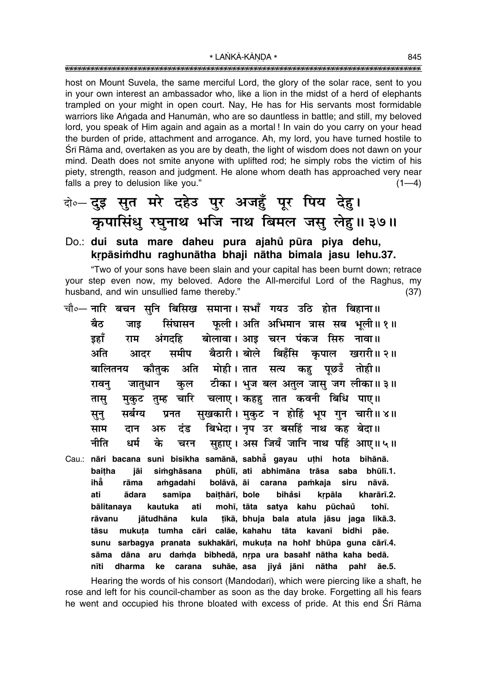host on Mount Suvela, the same merciful Lord, the glory of the solar race, sent to you in your own interest an ambassador who, like a lion in the midst of a herd of elephants trampled on your might in open court. Nay, He has for His servants most formidable warriors like Angada and Hanumān, who are so dauntless in battle; and still, my beloved lord, you speak of Him again and again as a mortal! In vain do you carry on your head the burden of pride, attachment and arrogance. Ah, my lord, you have turned hostile to Srī Rāma and, overtaken as you are by death, the light of wisdom does not dawn on your mind. Death does not smite anyone with uplifted rod; he simply robs the victim of his piety, strength, reason and judgment. He alone whom death has approached very near falls a prey to delusion like you."  $(1-4)$ 

## बे॰ दुइ सुत मरे दहेउ पुर अजहुँ पूर पिय देहु। कृपासिंधु रघुनाथ भजि नाथ बिमल जस लेह।। ३७॥

#### Do.: dui suta mare daheu pura ajahů pūra piya dehu, krpāsimdhu raghunātha bhaji nātha bimala jasu lehu.37.

"Two of your sons have been slain and your capital has been burnt down; retrace your step even now, my beloved. Adore the All-merciful Lord of the Raghus, my husband, and win unsullied fame thereby."  $(37)$ 

- चौ∘— नारि बचन सुनि बिसिख समाना। सभाँ गयउ उठि होत बिहाना॥ फुली। अति अभिमान त्रास सब भूली॥१॥ ਕੈਠ जाड सिंघासन बोलावा। आइ चरन पंकज सिरु नावा॥ डहाँ अंगदहि राम बैठारी। बोले बिहँसि अति समीप कपाल खरारी॥ २॥ आदर बालितनय कौतुक अति मोही।तात सत्य कह पूछउँ तोही॥ टीका। भुज बल अतुल जासु जग लीका॥३॥ जातधान कुल रावन चलाए। कहह तात कवनी बिधि पाए॥ तुम्ह चारि तास् मुकुट सुखकारी। मुकुट न होहिं भूप गुन चारी॥४॥ सर्बग्य सून् प्रनत बिभेदा। नूप उर बसहिं नाथ कह बेदा॥ दंड साम अरु दान नीति धर्म के सहाए। अस जियँ जानि नाथ पहिं आए॥५॥ चरन
- Cau.: nāri bacana suni bisikha samānā, sabhā gayau uthi hota bihānā. baitha simghāsana phūlī, ati abhimāna trāsa jāi saba bhūlī.1. ihẳ rāma amgadahi bolāvā, āi pamkaja siru nāvā. carana ati ādara samīpa baithārī, bole bihåsi krpāla kharārī.2. bālitanava kautuka ati mohī, tāta satya kahu pūchaů tohī. tīkā, bhuja bala atula jāsu jaga līkā.3. rāvanu jātudhāna kula mukuta tumha cāri calāe, kahahu tāta kavanī bidhi pāe. tāsu sunu sarbagya pranata sukhakārī, mukuṭa na hohi bhūpa guna cārī.4. dāna aru damda bibhedā, nrpa ura basahi nātha kaha bedā. sāma nīti dharma ke carana suhāe, asa jiyå jāni nātha pahř āe.5.

Hearing the words of his consort (Mandodari), which were piercing like a shaft, he rose and left for his council-chamber as soon as the day broke. Forgetting all his fears he went and occupied his throne bloated with excess of pride. At this end Srī Rāma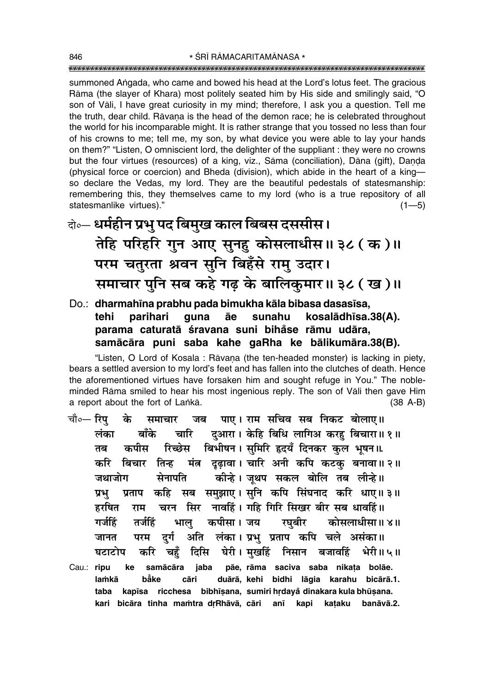summoned Angada, who came and bowed his head at the Lord's lotus feet. The gracious Rāma (the slayer of Khara) most politely seated him by His side and smilingly said, "O son of Vāli, I have great curiosity in my mind; therefore, I ask you a question. Tell me the truth, dear child. Ravana is the head of the demon race; he is celebrated throughout the world for his incomparable might. It is rather strange that you tossed no less than four of his crowns to me; tell me, my son, by what device you were able to lay your hands on them?" "Listen, O omniscient lord, the delighter of the suppliant : they were no crowns but the four virtues (resources) of a king, viz., Sāma (conciliation), Dāna (gift), Danda (physical force or coercion) and Bheda (division), which abide in the heart of a kingso declare the Vedas, my lord. They are the beautiful pedestals of statesmanship: remembering this, they themselves came to my lord (who is a true repository of all statesmanlike virtues)."  $(1 - 5)$ 

# के— धर्महीन प्रभु पद बिमुख काल बिबस दससीस। तेहि परिहरि गुन आए सुनहु कोसलाधीस ॥ ३८ ( क ) ॥ परम चतुरता श्रवन सुनि बिहँसे रामु उदार। समाचार पुनि सब कहे गढ़ के बालिकुमार॥ ३८ (ख)॥

Do.: dharmahīna prabhu pada bimukha kāla bibasa dasasīsa, tehi parihari quna āe sunahu kosalādhīsa.38(A). parama caturatā śravana suni bihase rāmu udāra, samācāra puni saba kahe gaRha ke bālikumāra.38(B).

"Listen, O Lord of Kosala: Rāvana (the ten-headed monster) is lacking in piety, bears a settled aversion to my lord's feet and has fallen into the clutches of death. Hence the aforementioned virtues have forsaken him and sought refuge in You." The nobleminded Rāma smiled to hear his most ingenious reply. The son of Vāli then gave Him a report about the fort of Lanka.  $(38 A-B)$ 

चौ०— रिप् पाए। राम सचिव सब निकट बोलाए॥ के जब समाचार दआरा। केहि बिधि लागिअ करह बिचारा॥१॥ बाँके चारि लंका बिभीषन। सुमिरि हृदयँ दिनकर कुल भूषन॥ रिच्छेस तब कपीस बिचार तिन्ह मंत्र दढावा। चारि अनी कपि कटक बनावा॥२॥ करि कीन्हे। जथप सकल बोलि तब लीन्हे॥ सेनापति जधाजोग कहि सब समुझाए। सुनि कपि सिंघनाद करि धाए॥३॥ प्रताप प्रभ चरन सिर नावहिं। गहि गिरि सिखर बीर सब धावहिं॥ हरषित राम कपीसा। जय रघबीर कोसलाधीसा॥ ४॥ गर्जहिं तर्जहिं भाल दुर्ग अति लंका। प्रभु प्रताप कपि चले असंका॥ जानत परम दिसि घेरी।मुखहिं निसान बजावहिं करि चहँ घटाटोप भेरी॥५॥ samācāra Cau.: ripu ke jaba pāe, rāma saciva saba nikata bolāe. båke cāri lamkā duārā, kehi bidhi lāgia karahu bicārā.1. kapīsa ricchesa bibhīṣana, sumiri hrdayå dinakara kula bhūṣana. taba kari bicāra tinha mamtra drRhāvā, cāri anī kapi kataku banāvā.2.

846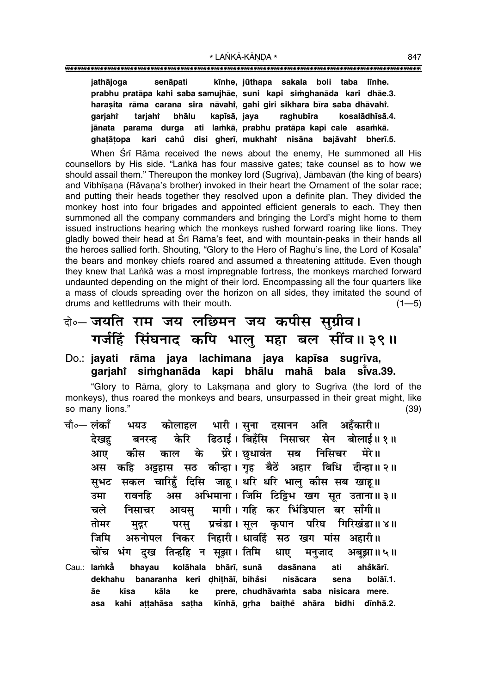jathājoga senāpati kīnhe, jūthapa sakala boli taba līnhe. **prabhu pratåpa kahi saba samujhåe, suni kapi si≈ghanåda kari dhåe.3. haraşita rāma carana sira nāvahi, gahi**giri sikhara bīra saba dhāvahi<mark>.</mark> **garjahiÚ tarjahi bhålu kap∂så, jaya raghub∂ra kosalådh∂så.4.** jānata parama durga ati lamkā, prabhu pratāpa kapi cale asamkā. **gha¢å¢opa kari cahu disi gher∂, mukhahi ° Ú nisåna bajåvahiÚ bher∂.5.**

When Srī Rāma received the news about the enemy, He summoned all His counsellors by His side. "Lankā has four massive gates; take counsel as to how we should assail them." Thereupon the monkey lord (Sugrīva), Jāmbavān (the king of bears) and Vibhīsaṇa (Rāvaṇa's brother) invoked in their heart the Ornament of the solar race; and putting their heads together they resolved upon a definite plan. They divided the monkey host into four brigades and appointed efficient generals to each. They then summoned all the company commanders and bringing the Lord's might home to them issued instructions hearing which the monkeys rushed forward roaring like lions. They gladly bowed their head at Śrī Rāma's feet, and with mountain-peaks in their hands all the heroes sallied forth. Shouting, "Glory to the Hero of Raghu's line, the Lord of Kosala" the bears and monkey chiefs roared and assumed a threatening attitude. Even though they knew that Lanka was a most impregnable fortress, the monkeys marched forward undaunted depending on the might of their lord. Encompassing all the four quarters like a mass of clouds spreading over the horizon on all sides, they imitated the sound of drums and kettledrums with their mouth.  $(1-5)$ 

## दो**०– जयति राम जय लछिमन जय कपीस सुग्रीव। गर्जीहें सिंघनाद कपि भालु महा बल सींव॥३९॥**

#### Do.: **jayati råma jaya lachimana jaya kap∂sa sugr∂va, garjahiÚ si≈ghanåda kapi bhålu mahå bala s∂° va.39.**

ìGlory to Råma, glory to Lak¶maƒa and glory to Sugr∂va (the lord of the monkeys), thus roared the monkeys and bears, unsurpassed in their great might, like so many lions." (39)

चौ०— <mark>लंकाँ भयउ कोलाहल भारी ।सना दसानन अति अहँकारी</mark>॥ देखह बनरन्ह केरि ढिठाई। बिहँसि निसाचर सेन बोलाई॥ १॥ आए कीस काल के प्रेरे।**छधावंत सब निसिचर मेरे**॥ अस कहि अइहास सठ कीन्हा।**गृह बैठें अहार बिधि दीन्हा॥२॥** सुभट सकल चारिहुँ दिसि जाहू। धरि धरि भालु कीस सब खा<u>ह</u>॥ उमा रावनहि अस अभिमाना।**जिमि टिट्टिभ खग सूत उताना॥३॥** <u>चले निसाचर आयस मागी।उगहि कर भिंडिपाल बर साँगी॥</u> तोमर मद्गर परस् प्रचंडा। सूल कृपान परिघ गिरिखंडा॥ ४॥ िजमि अरुनोपल निकर निहारी।**धावहिं सठ खग मांस अहारी**॥ <u>चोंच भंग दुख ति</u>न्हहि न सूझा। तिमि धाए मनुजाद अबूझा॥५॥ Cau.: **la≈kå° bhayau kolåhala bhår∂, sunå dasånana ati aha°kår∂. dekhahu banaranha keri Œhi¢hå∂, biha°si nisåcara sena bolå∂.1. åe k∂sa kåla ke prere, chudhåva≈ta saba nisicara mere. asa kahi a¢¢ahåsa sa¢ha k∂nhå, gæha bai¢he ahåra bidhi d∂nhå.2. °**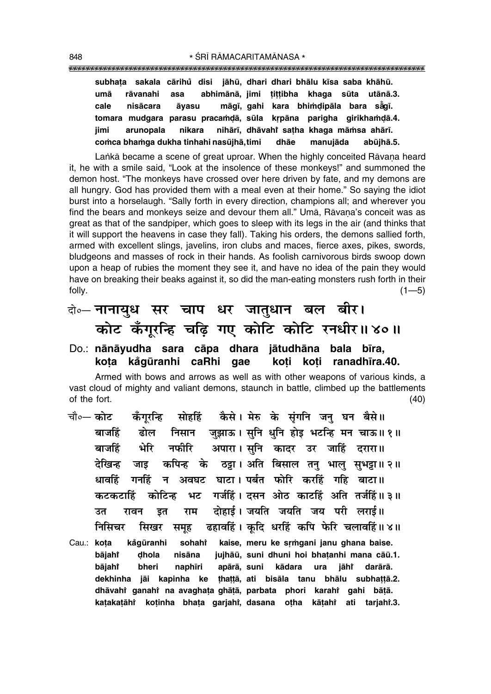subhața sakala cārihů disi jāhū, dhari dhari bhālu kīsa saba khāhū. abhimānā, jimi tittibha khaga sūta utānā.3. umā rāvanahi asa māgī, gahi kara bhimdipāla bara sāgī. cale nisācara āvasu tomara mudgara parasu pracamdā, sūla krpāna parigha girikhamdā.4. iimi arunopala nikara nihārī, dhāvahi satha khaga māmsa ahārī. comca bhamqa dukha tinhahi nasūjhā, timi dhāe manuiāda abūihā.5.

Lanka became a scene of great uproar. When the highly conceited Ravana heard it, he with a smile said, "Look at the insolence of these monkeys!" and summoned the demon host. "The monkeys have crossed over here driven by fate, and my demons are all hungry. God has provided them with a meal even at their home." So saying the idiot burst into a horselaugh. "Sally forth in every direction, champions all; and wherever you find the bears and monkeys seize and devour them all." Uma, Ravana's conceit was as great as that of the sandpiper, which goes to sleep with its legs in the air (and thinks that it will support the heavens in case they fall). Taking his orders, the demons sallied forth, armed with excellent slings, javelins, iron clubs and maces, fierce axes, pikes, swords, bludgeons and masses of rock in their hands. As foolish carnivorous birds swoop down upon a heap of rubies the moment they see it, and have no idea of the pain they would have on breaking their beaks against it, so did the man-eating monsters rush forth in their folly.  $(1 - 5)$ 

## बे॰- नानायुध सर चाप धर जातुधान बल बीर। कोट कँगुरन्हि चढ़ि गए कोटि कोटि रनधीर॥४०॥

#### Do.: nānāyudha sara cāpa dhara jātudhāna bala bīra, kota kågūranhi caRhi gae koti koti ranadhīra.40.

Armed with bows and arrows as well as with other weapons of various kinds, a vast cloud of mighty and valiant demons, staunch in battle, climbed up the battlements of the fort.  $(40)$ 

- कँगुरन्हि सोहहिं कैसे। मेरु के सुंगनि जन् घन बैसे॥ चौ०— **कोट** निसान जझाऊ। सनि धनि होड़ भटन्हि मन चाऊ॥१॥ बाजहिं ढोल अपारा। सुनि कादर उर जाहिं दरारा॥ भेरि नफीरि बाजहिं देखिन्ह जाइ कपिन्ह के ठट्टा। अति बिसाल तन् भालु सुभट्टा॥ २॥ न अवघट घाटा। पर्बत फोरि करहिं गहि बाटा॥ धावहिं गनहिं भट गर्जहिं। दसन ओठ काटहिं अति तर्जहिं॥ ३॥ कटकटाहिं कोटिन्ह दोहाई। जयति जयति जय परी लराई॥ राम उत रावन इत ढहावहिं। कदि धरहिं कपि फेरि चलावहिं॥४॥ निसिचर सिखर समह
- Cau.: kota kågūranhi sohahi kaise, meru ke srmgani janu ghana baise. bājahi dhola nisāna jujhāū, suni dhuni hoi bhațanhi mana cāū.1. bāiahi bheri naphīri apārā, suni kādara ura iāhr darārā. dekhinha jāi kapinha ke thațță, ati bisāla tanu bhālu subhațță.2. dhāvahi ganahi na avaghaṭa ghāṭā, parbata phori karahi gahi bāṭā. katakatāhi kotinha bhata garjahi, dasana otha kātahi ati tarjahi.3.

848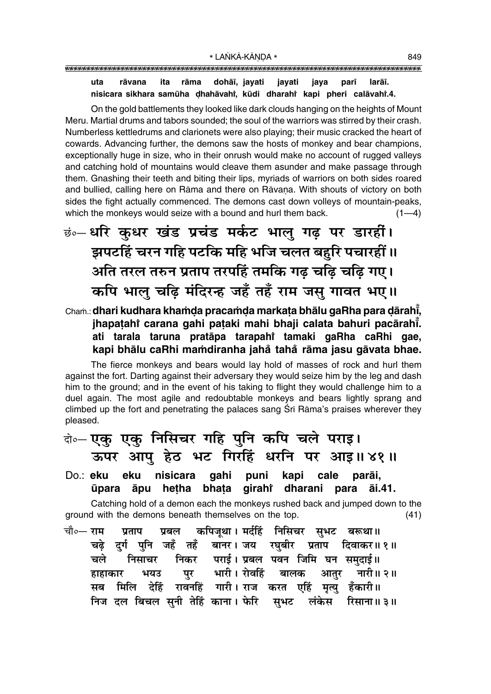#### uta rāvana ita rāma dohāī, jayati jayati jaya parī larāī. nisicara sikhara samūha dhahāvahi, kūdi dharahi kapi pheri calāvahi.4.

On the gold battlements they looked like dark clouds hanging on the heights of Mount Meru. Martial drums and tabors sounded; the soul of the warriors was stirred by their crash. Numberless kettledrums and clarionets were also playing; their music cracked the heart of cowards. Advancing further, the demons saw the hosts of monkey and bear champions, exceptionally huge in size, who in their onrush would make no account of rugged valleys and catching hold of mountains would cleave them asunder and make passage through them. Gnashing their teeth and biting their lips, myriads of warriors on both sides roared and bullied, calling here on Rāma and there on Rāvana. With shouts of victory on both sides the fight actually commenced. The demons cast down volleys of mountain-peaks, which the monkeys would seize with a bound and hurl them back.  $(1-4)$ 

छं… धरि कुधर खंड प्रचंड मर्कट भालु गढ़ पर डारहीं। झपटहिं चरन गहि पटकि महि भजि चलत बहुरि पचारहीं॥ अति तरल तरुन प्रताप तरपहिं तमकि गढ़ चढ़ि चढ़ि गए। कपि भालु चढ़ि मंदिरन्ह जहँ तहँ राम जसु गावत भए॥

Cham.: dhari kudhara khamda pracamda markata bhālu gaRha para dārahī, jhapatahi carana gahi pataki mahi bhaji calata bahuri pacārahi. ati tarala taruna pratāpa tarapahi tamaki gaRha caRhi gae, kapi bhālu caRhi mamdiranha jahå tahå rāma jasu gāvata bhae.

The fierce monkeys and bears would lay hold of masses of rock and hurl them against the fort. Darting against their adversary they would seize him by the leg and dash him to the ground; and in the event of his taking to flight they would challenge him to a duel again. The most agile and redoubtable monkeys and bears lightly sprang and climbed up the fort and penetrating the palaces sang Sri Rama's praises wherever they pleased.

### के-एकु एकु निसिचर गहि पुनि कपि चले पराइ। ऊपर आपु हेठ भट गिरहिं धरनि पर आइ॥४१॥

Do.: eku eku nisicara qahi puni kapi cale parāi, girahi ūpara āpu hetha bhata dharani para āi.41.

Catching hold of a demon each the monkeys rushed back and jumped down to the ground with the demons beneath themselves on the top.  $(41)$ 

कपिजुथा। मर्दहिं निसिचर सुभट चौ०— राम प्रबल बरूथा ॥ प्रताप तहँ बानर। जय रघुबीर प्रताप चढे दर्ग पनि जहँ दिवाकर॥ १॥ निकर पराई। प्रबल पवन जिमि घन समदाई॥ निसाचर चले पुर भारी। रोवहिं भयउ बालक आतुर नारी॥ २॥ हाहाकार रावनहिं गारी। राज करत एहिं मत्य देहिं हँकारी॥ मिलि सब निज दल बिचल सुनी तेहिं काना। फेरि सुभट लंकेस रिसाना॥ ३॥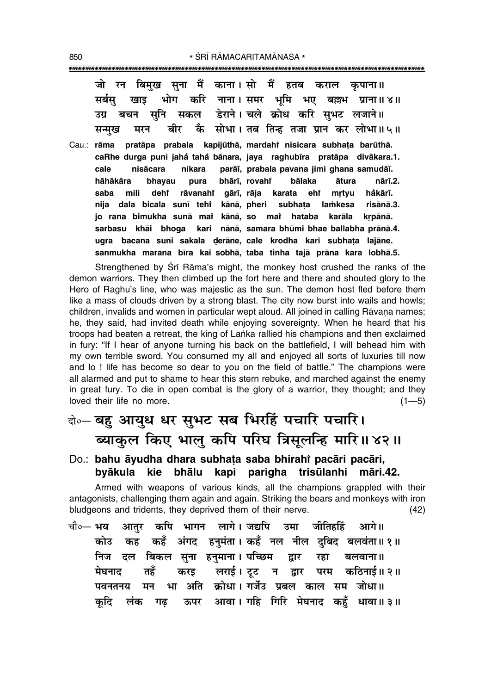| जो रन बिमुख सुना मैं काना।सो मैं हतब कराल कृपाना॥    |
|------------------------------------------------------|
| सर्बस् खाइ भोग करि नाना।समर भूमि भए बल्लभ प्राना॥४॥  |
| उग्र बचन सुनि सकल डेराने।चले क्रोध करि सुभट लजाने॥   |
| सन्मुख मरन बीर कै सोभा।तब तिन्ह तजा प्रान कर लोभा॥५॥ |

Cau.: **råma pratåpa prabala kapijµuthå, mardahiÚ nisicara subha¢a barµuthå. caRhe durga puni jaha° taha° bånara, jaya raghub∂ra pratåpa divåkara.1. cale nisåcara nikara parå∂, prabala pavana jimi ghana samudå∂. håhåkåra bhayau pura bhår∂, rovahiÚ bålaka åtura når∂.2. saba mili dehiÚ råvanahiÚ går∂, råja karata ehiÚ mætyu ha°kår∂. nija dala bicala sun∂ tehiÚ kånå, pheri subha¢a la≈kesa risånå.3. jo rana bimukha sunå maiÚ kånå, so maiÚ hataba karåla kæpånå. sarbasu khåi bhoga kari nånå, samara bhµumi bhae ballabha prånå.4. ugra bacana suni sakala Œeråne, cale krodha kari subha¢a lajåne. sanmukha marana b∂ra kai sobhå, taba tinha tajå pråna kara lobhå.5.**

Strengthened by Śrī Rāma's might, the monkey host crushed the ranks of the demon warriors. They then climbed up the fort here and there and shouted glory to the Hero of Raghuís line, who was majestic as the sun. The demon host fled before them like a mass of clouds driven by a strong blast. The city now burst into wails and howls; children, invalids and women in particular wept aloud. All joined in calling Rāvana names; he, they said, had invited death while enjoying sovereignty. When he heard that his troops had beaten a retreat, the king of Laṅkā rallied his champions and then exclaimed in fury: "If I hear of anyone turning his back on the battlefield, I will behead him with my own terrible sword. You consumed my all and enjoyed all sorts of luxuries till now and lo ! life has become so dear to you on the field of battle.î The champions were all alarmed and put to shame to hear this stern rebuke, and marched against the enemy in great fury. To die in open combat is the glory of a warrior, they thought; and they  $\lvert$  loved their life no more.  $(1-5)$ 

## दो**० वह आयुध धर सुभट सब भिरहिं पचारि पचारि। éÿÊ∑ȧ‹ Á∑§∞ ÷Ê‹È ∑§Á¬ ¬Á⁄UÉÊ Áòʂ͋Áã"U ◊ÊÁ⁄UH 42H**

#### Do.: **bahu åyudha dhara subha¢a saba bhirahiÚ pacåri pacåri, byåkula kie bhålu kapi parigha trisµulanhi måri.42.**

Armed with weapons of various kinds, all the champions grappled with their antagonists, challenging them again and again. Striking the bears and monkeys with iron bludgeons and tridents, they deprived them of their nerve. (42)

चौ०— भय आतुर कपि भागन लागे।जद्यपि उमा जीतिहर्हि आगे॥ े कोउ कह कहँ अंगद हन्**मंता। कहँ नल नील दबिद बलवंता॥१॥** <u>निज दल बिकल सुना हुनुमाना। पच्छिम द्वार रहा बलवाना॥</u> <u>मेघनाद तहँ करड लराई। ट्ट न द्वार परम कठिनाई॥२॥</u> पवनतनय मन भा अति क्रोधा।**गर्जेउ प्रबल काल सम जोधा**॥ <mark>कुदि लंक गढ़ ऊपर आवा।गहि गिरि मेघनाद कहँ धावा॥३॥</mark>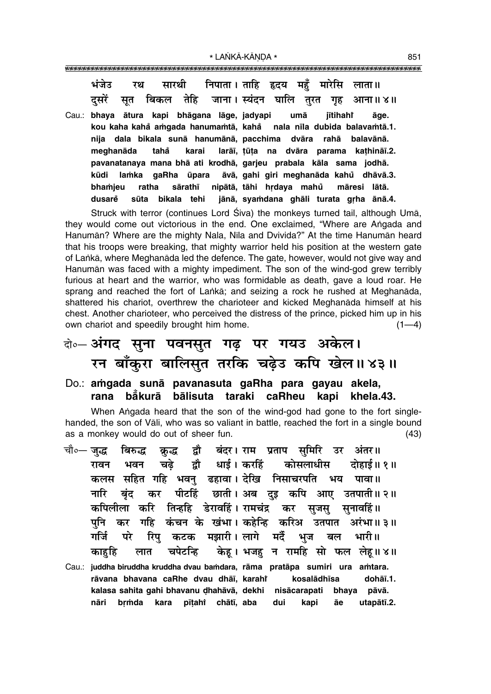भंजेउ रथ सारथी निपाता । ताहि हृदय महँ मारेसि लाता ॥ सत बिकल तेहि जाना। स्यंदन घालि तुरत गृह दसरें आना ॥ ४ ॥

Cau.: bhaya ātura kapi bhāgana lāge, jadyapi umā jītihaht āge. kou kaha kahå amgada hanumamtā, kahå nala nīla dubida balavamtā.1. nija dala bikala sunā hanumānā pacchima dvāra rahā balavānā. meghanāda tahå karai larāī, țūța na dvāra parama kațhināī.2. pavanatanaya mana bhā ati krodhā, garjeu prabala kāla sama jodhā. āvā, gahi giri meghanāda kahu dhāvā.3. kūdi lamka gaRha ūpara sārathī nipātā, tāhi hrdaya mahů bhamieu ratha māresi lātā. dusarë jānā, syamdana ghāli turata grha ānā.4. sūta bikala tehi

Struck with terror (continues Lord Śiva) the monkeys turned tail, although Umā, they would come out victorious in the end. One exclaimed, "Where are Angada and Hanumān? Where are the mighty Nala, Nīla and Dvivida?" At the time Hanumān heard that his troops were breaking, that mighty warrior held his position at the western gate of Lanka, where Meghanada led the defence. The gate, however, would not give way and Hanuman was faced with a mighty impediment. The son of the wind-god grew terribly furious at heart and the warrior, who was formidable as death, gave a loud roar. He sprang and reached the fort of Lanka; and seizing a rock he rushed at Meghanada, shattered his chariot, overthrew the charioteer and kicked Meghanada himself at his chest. Another charioteer, who perceived the distress of the prince, picked him up in his own chariot and speedily brought him home.  $(1-4)$ 

# वे० अंगद सुना पवनसुत गढ़ पर गयउ अकेल। रन बाँकुरा बालिसुत तरकि चढ़ेउ कपि खेल॥४३॥

#### Do.: amgada sunā pavanasuta gaRha para gayau akela, bắkurā bālisuta taraki caRheu kapi rana khela.43.

When Angada heard that the son of the wind-god had gone to the fort singlehanded, the son of Vāli, who was so valiant in battle, reached the fort in a single bound as a monkey would do out of sheer fun.  $(43)$ 

द्वौ बंदर। राम प्रताप समिरि उर अंतर॥ चौ०— जद्ध बिरुद्ध क्रद्ध द्रौ धाई । करहिं कोसलाधीस चढे दोहाई॥ १॥ रावन भवन कलस सहित गहि भवन् ढहावा। देखि निसाचरपति भय पावा॥ बुंद कर पीटहिं छाती। अब दृड कपि आए उतपाती॥ २॥ नारि कपिलीला करि तिन्हहि डेरावहिं। रामचंद्र कर सुजसु सुनावहिं॥ पनि कर गहि कंचन के खंभा। कहेन्हि करिअ उतपात अरंभा॥३॥ कटक मझारी।लागे मर्दै भुज गर्जि परे रिप बल भारी॥ केहू। भजहु न रामहि सो फल लेहू॥४॥ काहहि चपेटन्हि लात Cau.: juddha biruddha kruddha dvau bamdara, rāma pratāpa sumiri ura amtara. rāvana bhavana caRhe dvau dhāī, karahî kosalādhīsa dohāī.1. kalasa sahita gahi bhavanu dhahāvā, dekhi nisācarapati bhaya pāvā.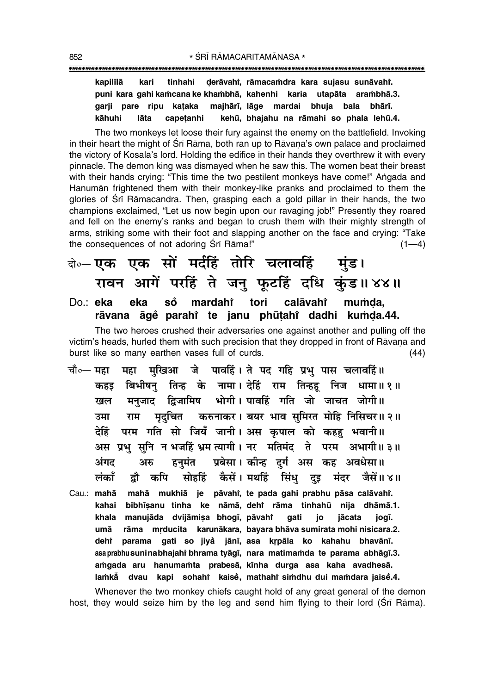derāvahi, rāmacamdra kara sujasu sunāvahi. kapilīlā kari tinhahi puni kara gahi kamcana ke khambhā, kahenhi karia utapāta arambhā.3. garii pare ripu kataka maihārī. lāge mardai bhuia bala bhārī. kāhuhi lāta capetanhi kehū, bhajahu na rāmahi so phala lehū.4.

The two monkeys let loose their fury against the enemy on the battlefield. Invoking in their heart the might of Srī Rāma, both ran up to Rāvana's own palace and proclaimed the victory of Kosala's lord. Holding the edifice in their hands they overthrew it with every pinnacle. The demon king was dismayed when he saw this. The women beat their breast with their hands crying: "This time the two pestilent monkeys have come!" Angada and Hanuman frightened them with their monkey-like pranks and proclaimed to them the glories of Srī Rāmacandra. Then, grasping each a gold pillar in their hands, the two champions exclaimed, "Let us now begin upon our ravaging job!" Presently they roared and fell on the enemy's ranks and began to crush them with their mighty strength of arms, striking some with their foot and slapping another on the face and crying: "Take the consequences of not adoring Srī Rāma!"  $(1-4)$ 

#### वे⊶ एक एक सों मर्दहिं तोरि चलावहिं मंड। रावन आगें परहिं ते जनु फूटहिं दधि कुंड।। ४४॥ Do.: eka mardahi tori calāvahi eka SŎ mumda.

# rāvana āgē parahi te janu phūtahi dadhi kumda.44.

The two heroes crushed their adversaries one against another and pulling off the victim's heads, hurled them with such precision that they dropped in front of Rāvaṇa and burst like so many earthen vases full of curds.  $(44)$ 

- मुखिआ जे पावहिं। ते पद गहि प्रभु पास चलावहिं॥ चौ०— महा महा बिभीषन् तिन्ह के नामा। देहिं राम तिन्हह निज धामा॥१॥ कहड मनजाद द्विजामिष भोगी। पावहिं गति जो जाचत जोगी॥ खल राम मदचित करुनाकर। बयर भाव समिरत मोहि निसिचर॥ २॥ उमा परम गति सो जियँ जानी। अस कपाल को कहह भवानी॥ देहिं अस प्रभु सुनि न भजहिं भ्रम त्यागी। नर मतिमंद ते परम अभागी॥३॥ हनमंत प्रबेसा। कीन्ह दर्ग अस कह अवधेसा॥ अंगट अरु सोहहिं कैसें। मर्थाहें सिंध दड़ मंदर जैसें॥४॥ लंकाँ कपि दौ
- Cau.: mahā mahā mukhiā je pāvahi, te pada gahi prabhu pāsa calāvahi. bibhīsanu tinha ke nāmā, dehi rāma tinhahū nija dhāmā.1. kahai khala manujāda dvijāmiṣa bhogī, pāvahř jācata gati io jogī. umā rāma mrducita karunākara, bayara bhāva sumirata mohi nisicara.2. deht parama gati so jiyå jānī, asa krpāla ko kahahu bhavānī. asa prabhu suni na bhajahi bhrama tyāgī, nara matimamda te parama abhāgī.3. amgada aru hanumamta prabesā, kīnha durga asa kaha avadhesā. lamka dvau kapi sohahi kaisė, mathahi simdhu dui mamdara jaisė.4. Whenever the two monkey chiefs caught hold of any great general of the demon

host, they would seize him by the leg and send him flying to their lord (Srī Rāma).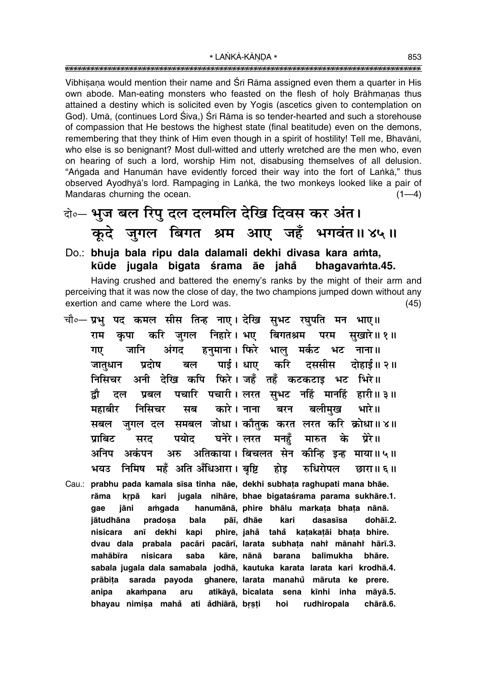Vibhisana would mention their name and Sri Rama assigned even them a quarter in His own abode. Man-eating monsters who feasted on the flesh of holy Brāhmanas thus attained a destiny which is solicited even by Yogis (ascetics given to contemplation on God). Umā, (continues Lord Śiva,) Śrī Rāma is so tender-hearted and such a storehouse of compassion that He bestows the highest state (final beatitude) even on the demons, remembering that they think of Him even though in a spirit of hostility! Tell me, Bhavānī, who else is so benignant? Most dull-witted and utterly wretched are the men who, even on hearing of such a lord, worship Him not, disabusing themselves of all delusion. "Angada and Hanumān have evidently forced their way into the fort of Lanka," thus observed Ayodhya's lord. Rampaging in Lanka, the two monkeys looked like a pair of Mandaras churning the ocean.  $(1-4)$ 

## बेन्स भुज बल रिपु दल दलमलि देखि दिवस कर अंत। कुदे जुगल बिगत श्रम आए जहँ भगवंत॥४५॥

#### Do.: bhuja bala ripu dala dalamali dekhi divasa kara amta, kūde jugala bigata śrama āe jahå bhagavamta.45.

Having crushed and battered the enemy's ranks by the might of their arm and perceiving that it was now the close of day, the two champions jumped down without any exertion and came where the Lord was.  $(45)$ 

- चौ०— प्रभु पद कमल सीस तिन्ह नाए। देखि सुभट रघुपति मन भाए॥ करि जगल निहारे। भए बिगतश्रम राम परम सखारे॥ १॥ कपा हनुमाना। फिरे भालु मर्कट गए जानि अंगद भट नाना ॥ पाई। धाए करि प्रदोष दससीस दोहाई॥ २॥ जातधान बल अनी देखि कपि फिरे।जहँ तहँ कटकटाइ भट भिरे॥ निसिचर पचारि पचारी। लरत सुभट नहिं मानहिं हारी॥३॥ द्रौ प्रबल दल महाबीर निसिचर कारे । नाना बरन बलीमुख भारे॥ मब सबल जगल दल समबल जोधा। कौतुक करत लरत करि क्रोधा॥ ४॥ घनेरे । लरत मनहँ सरद पयोट मारुत के प्राबिट प्रेरे ॥ अनिप अतिकाया। बिचलत सेन कीन्हि इन्ह माया॥५॥ अकंपन अरु निमिष महँ अति अँधिआरा। बृष्टि होड रुधिरोपल भयउ छारा॥ ६॥
- Cau.: prabhu pada kamala sīsa tinha nāe, dekhi subhata raghupati mana bhāe. rāma jugala nihāre, bhae bigataśrama parama sukhāre.1. krpā kari hanumānā, phire bhālu markata bhata nānā. gae jāni amgada jātudhāna pradosa bala pāī, dhāe kari dasasīsa dohāī.2. nisicara anī dekhi kapi phire, jahå tahå katakatāi bhata bhire. dvau dala prabala pacāri pacārī, larata subhata nahi mānahi hārī.3. kāre, nānā mahābīra nisicara saba barana balīmukha bhāre. sabala jugala dala samabala jodhā, kautuka karata larata kari krodhā.4. ghanere, larata manahů māruta ke prābita sarada payoda prere. anipa akampana aru atikāyā, bicalata kīnhi inha māyā.5. sena bhayau nimisa mahå ati ådhiārā, brsti hoi rudhiropala chārā.6.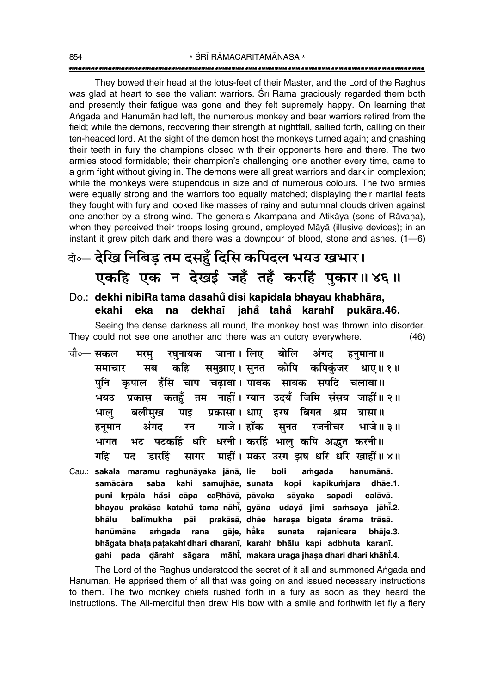They bowed their head at the lotus-feet of their Master, and the Lord of the Raghus was glad at heart to see the valiant warriors. Sri Rama graciously regarded them both and presently their fatigue was gone and they felt supremely happy. On learning that Angada and Hanuman had left, the numerous monkey and bear warriors retired from the field; while the demons, recovering their strength at nightfall, sallied forth, calling on their ten-headed lord. At the sight of the demon host the monkeys turned again; and gnashing their teeth in fury the champions closed with their opponents here and there. The two armies stood formidable; their champion's challenging one another every time, came to a grim fight without giving in. The demons were all great warriors and dark in complexion; while the monkeys were stupendous in size and of numerous colours. The two armies were equally strong and the warriors too equally matched; displaying their martial feats they fought with fury and looked like masses of rainy and autumnal clouds driven against one another by a strong wind. The generals Akampana and Atikaya (sons of Ravana), when they perceived their troops losing ground, employed Maya (illusive devices); in an instant it grew pitch dark and there was a downpour of blood, stone and ashes.  $(1-6)$ 

# केन्टे देखि निबिड़ तम दसहूँ दिसि कपिदल भयउ खभार। एकहि एक न देखई जहँ तहँ करहिं पुकार॥४६॥

Do.: dekhi nibiRa tama dasahů disi kapidala bhayau khabhāra, ekahi eka na dekhaī jahå tahå karahi pukāra.46.

Seeing the dense darkness all round, the monkey host was thrown into disorder. They could not see one another and there was an outcry everywhere.  $(46)$ 

- चौ०— सकल जाना । लिए बोलि अंगद मरम् रघनायक हनुमाना ॥ समुझाए। सुनत कोपि कपिकुंजर समाचार सब कहि धाए॥ १॥ कुपाल हँसि चाप चढावा। पावक सायक सपदि चलावा॥ पनि प्रकास कतहँ तम नाहीं। ग्यान उदयँ जिमि संसय जाहीं॥२॥ भयउ प्रकासा। धाए हरष बिगत बलीमख श्रम त्रासा॥ भाल पाड गाजे। हाँक सनत रजनीचर भाजे॥३॥ अंगत रन हनुमान भट पटकहिं धरि धरनी। करहिं भालु कपि अद्भुत करनी॥ भागत माहीं। मकर उरग झष धरि धरि खाहीं॥४॥ गहि पद डारहिं सागर
- Cau.: sakala maramu raghunāyaka jānā, lie boli amqada hanumānā. kapikumjara kahi samujhāe, sunata samācāra saba kopi dhāe.1. puni krpāla håsi cāpa caRhāvā, pāvaka sāyaka sapadi calāvā. bhayau prakāsa katahů tama nāhi, gyāna udayå jimi samsaya jāhi.2. prakāsā, dhāe haraṣa bigata śrama trāsā. bhālu balīmukha pāi gāje, håka hanūmāna amgada rana sunata rajanīcara bhaie.3. bhāgata bhata patakahi dhari dharanī, karahi bhālu kapi adbhuta karanī. gahi pada dārahi sāgara māhi, makara uraga jhaṣa dhari dhari khāhi.4.

The Lord of the Raghus understood the secret of it all and summoned Angada and Hanuman. He apprised them of all that was going on and issued necessary instructions to them. The two monkey chiefs rushed forth in a fury as soon as they heard the instructions. The All-merciful then drew His bow with a smile and forthwith let fly a flery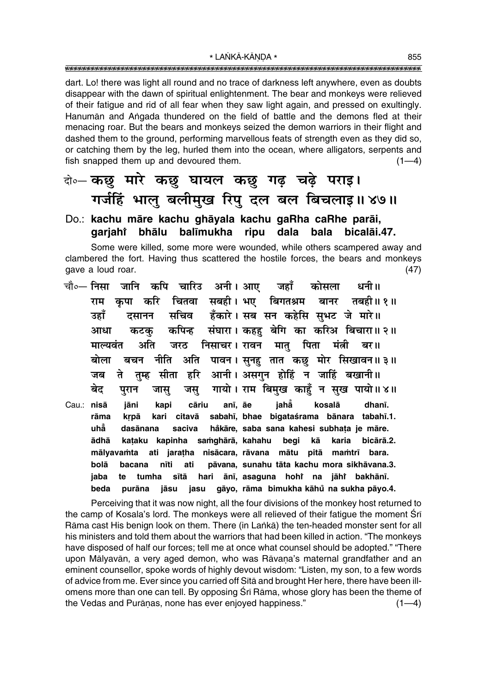dart. Lo! there was light all round and no trace of darkness left anywhere, even as doubts disappear with the dawn of spiritual enlightenment. The bear and monkeys were relieved of their fatique and rid of all fear when they saw light again, and pressed on exultingly. Hanuman and Angada thundered on the field of battle and the demons fled at their menacing roar. But the bears and monkeys seized the demon warriors in their flight and dashed them to the ground, performing marvellous feats of strength even as they did so, or catching them by the leg, hurled them into the ocean, where alligators, serpents and fish snapped them up and devoured them.  $(1-4)$ 

### बे॰ कछु मारे कछु घायल कछु गढ़ चढ़े पराइ। गर्जीहें भाल् बलीमुख रिपु दल बल बिचलाइ॥४७॥

#### Do.: kachu māre kachu ghāyala kachu gaRha caRhe parāi, garjahi bhālu balīmukha ripu dala bala bicalāi.47.

Some were killed, some more were wounded, while others scampered away and clambered the fort. Having thus scattered the hostile forces, the bears and monkeys gave a loud roar.  $(47)$ 

चौ∘— निसा जानि कपि चारिउ अनी। आए जद्राँ कोमला धनी ॥ कृपा करि चितवा सबही। भए बिगतश्रम बानर तबद्वी॥ १॥ राम हँकारे। सब सन कहेसि सुभट जे मारे॥ उहाँ दसानन सचिव कपिन्ह संघारा। कहह बेगि का करिअ बिचारा॥२॥ आधा कटक जरठ निसाचर। रावन मात पिता मंत्री अति बर॥ माल्यवंत नीति अति पावन । सनह तात कछ मोर सिखावन ॥ ३ ॥ बोला बचन तुम्ह सीता हरि आनी। असगुन होहिं न जाहिं बखानी॥ जब गायो। राम बिमुख काहँ न सुख पायो॥४॥ बेट पुरान जास् जस् cāriu jahå kosalā dhanī. Cau.: nisā jāni kapi anī, āe rāma krpā kari citavā sabahī, bhae biqataśrama bānara tabahī.1. saciva uhằ dasānana håkāre, saba sana kahesi subhața je māre. kataku kapinha samghārā, kahahu ādhā begi kā karia bicārā.2. mālyavamta ati jaratha nisācara, rāvana mātu pitā mamtrī bara. nīti ati pāvana, sunahu tāta kachu mora sikhāvana.3. bolā bacana jaba tumha sītā hari ānī, asaguna hohi na jāhi bakhānī. te beda purāna jāsu jasu gāyo, rāma bimukha kāhů na sukha pāyo.4.

Perceiving that it was now night, all the four divisions of the monkey host returned to the camp of Kosala's lord. The monkeys were all relieved of their fatique the moment Sri Rāma cast His benign look on them. There (in Lankā) the ten-headed monster sent for all his ministers and told them about the warriors that had been killed in action. "The monkeys have disposed of half our forces; tell me at once what counsel should be adopted." "There upon Mālyavān, a very aged demon, who was Rāvana's maternal grandfather and an eminent counsellor, spoke words of highly devout wisdom: "Listen, my son, to a few words of advice from me. Ever since you carried off Sītā and brought Her here, there have been illomens more than one can tell. By opposing Srī Rāma, whose glory has been the theme of the Vedas and Purānas, none has ever enjoyed happiness."  $(1-4)$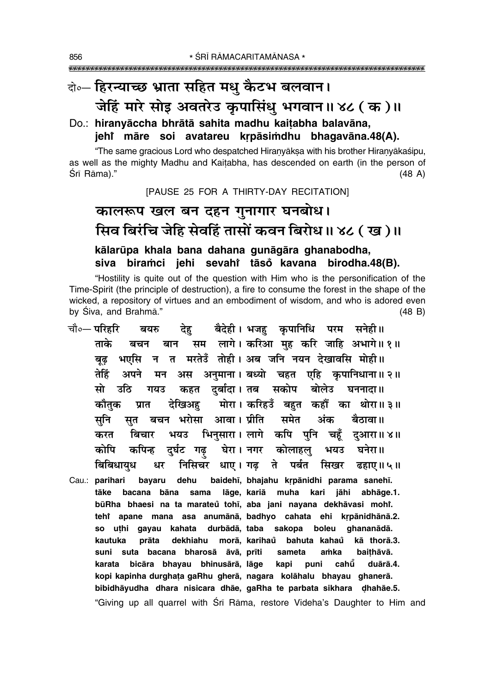### वे∘– हिरन्याच्छ भ्राता सहित मधु कैटभ बलवान।

### जेहिं मारे सोइ अवतरेउ कुपासिंधु भगवान॥४८ (क)॥

#### Do.: hiranyāccha bhrātā sahita madhu kaitabha balavāna, jehi māre soi avatareu krpāsimdhu bhagavāna.48(A).

"The same gracious Lord who despatched Hiranyaksa with his brother Hiranyakasipu, as well as the mighty Madhu and Kaitabha, has descended on earth (in the person of Śrī Rāma)."  $(48 A)$ 

[PAUSE 25 FOR A THIRTY-DAY RECITATION]

## कालरूप खल बन दहन गुनागार घनबोध। सिव बिरंचि जेहि सेवहिं तासों कवन बिरोध॥४८ ( ख )॥

#### kālarūpa khala bana dahana gunāgāra ghanabodha, siva biramci jehi sevahi tāso kavana birodha.48(B).

"Hostility is quite out of the question with Him who is the personification of the Time-Spirit (the principle of destruction), a fire to consume the forest in the shape of the wicked, a repository of virtues and an embodiment of wisdom, and who is adored even by Śiva, and Brahmā."  $(48 B)$ 

- देह बैदेही। भजह कृपानिधि परम सनेही॥ चौ∘— परिहरि बयरु बचन बान सम लागे। करिआ मह करि जाहि अभागे॥१॥ ताके भएसि न त मरतेउँ तोही। अब जनि नयन देखावसि मोही॥ बढ अपने मन अस अनुमाना। बध्यो चहत एहि कृपानिधाना॥२॥ तेहिं गयउ कहत दुर्बादा।तब सकोप बोलेउ घननादा॥ सो उठि देखिअह मोरा। करिहउँ बहुत कहौँ का थोरा॥३॥ कौतक प्रात सत बचन भरोसा आवा।प्रीति समेत अंक सनि बैठावा ॥ भयउ भिनुसारा। लागे कपि पुनि चहूँ दुआरा॥४॥ बिचार करत कोपि कपिन्ह दर्घट गढ घेरा।नगर कोलाहल भयउ घनेरा॥ बिबिधायुध निसिचर धाए।गढ़ ते पर्बत सिखर ढहाए॥५॥ धर
- Cau.: parihari dehu baidehī, bhajahu krpānidhi parama sanehī. bayaru lāge, kariā muha kari jāhi abhāge.1. tāke bacana bāna sama būRha bhaesi na ta marateů tohī, aba jani nayana dekhāvasi mohř. tehi apane mana asa anumānā, badhyo cahata ehi krpānidhānā.2. so uthi gayau kahata durbādā, taba sakopa boleu ghananādā. dekhiahu morā, karihaŭ bahuta kahaŭ prāta kā thorā.3. kautuka suni suta bacana bharosā āvā, prīti baithāvā. sameta amka karata bicāra bhayau bhinusārā, lāge kapi puni cahū duārā.4. kopi kapinha durghata gaRhu gherā, nagara kolāhalu bhayau ghanerā. bibidhāyudha dhara nisicara dhāe, gaRha te parbata sikhara dhahāe.5. "Giving up all quarrel with Srī Rāma, restore Videha's Daughter to Him and

856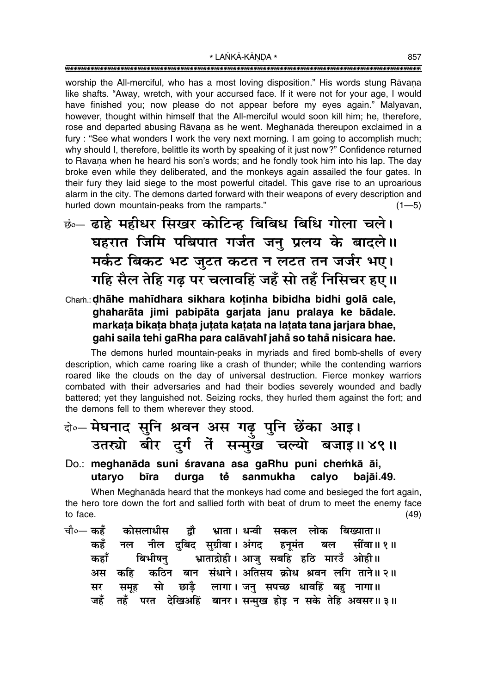worship the All-merciful, who has a most loving disposition." His words stung Rāvana like shafts. "Away, wretch, with your accursed face. If it were not for your age, I would have finished you; now please do not appear before my eyes again." Mālyavān, however, thought within himself that the All-merciful would soon kill him; he, therefore, rose and departed abusing Rāvana as he went. Meghanāda thereupon exclaimed in a fury : "See what wonders I work the very next morning. I am going to accomplish much; why should I, therefore, belittle its worth by speaking of it just now?" Confidence returned to Rāvana when he heard his son's words; and he fondly took him into his lap. The day broke even while they deliberated, and the monkeys again assailed the four gates. In their fury they laid siege to the most powerful citadel. This gave rise to an uproarious alarm in the city. The demons darted forward with their weapons of every description and hurled down mountain-peaks from the ramparts. $\degree$  (1—5)

<u>ं 500 दाहे महीधर सिखर कोटिन्ह</u> बिबिध बिधि गोला चले। घहरात जिमि पबिपात गर्जत जन् प्रलय के बादले ।। **◊∑¸§≈U Á'∑§≈U ÷≈U ¡È≈Uà ∑§≈Uà Ÿ ‹≈Uà ß ¡¡¸⁄U ÷∞–** <u>गहि सैल तेहि गढ पर चलावहिं जहँ सो तहँ निसिचर हुए।।</u>

Cha≈.:**Œhåhe mah∂dhara sikhara ko¢inha bibidha bidhi golå cale, ghaharåta jimi pabipåta garjata janu pralaya ke bådale. marka¢a bika¢a bha¢a ju¢ata ka¢ata na la¢ata tana jarjara bhae, gahi saila tehi gaRha para calåvahiÚ jaha so taha ° nisicara hae. °**

The demons hurled mountain-peaks in myriads and fired bomb-shells of every description, which came roaring like a crash of thunder; while the contending warriors roared like the clouds on the day of universal destruction. Fierce monkey warriors combated with their adversaries and had their bodies severely wounded and badly battered; yet they languished not. Seizing rocks, they hurled them against the fort; and the demons fell to them wherever they stood.

## दो**∘— मेघनाद सुनि श्रवन अस गढ़ पुनि छेंका आइ।** उतस्यो बीर दुर्ग तें सन्मुख चल्यो बजाइ॥४९॥

Do.: meghanāda suni śravana asa gaRhu puni chemkā āi, **utaryo bīra durga tě sanmukha calyo bajāi.49.** 

When Meghanåda heard that the monkeys had come and besieged the fort again, the hero tore down the fort and sallied forth with beat of drum to meet the enemy face to face. (49)

चौ∘— कहँ कोसलाधीस द्रौ भ्राता । धन्वी सकल लोक बिख्याता॥ ेकहँ नल नील दुबिद सुग्रीवा। अंगद हनुमंत बल सींवा॥ १॥ ऊहाँ बिभीषनु भ्राताद्रोही । आजु**सबहि हठि मारउँ ओही** ॥ अस कहि कठिन बान संधाने । अतिसय क्रोध श्रवन लगि ताने ॥ २ ॥ सर समूह सो छाड़ै लागा।जनुसपच्छ धावहिं बहु नागा॥ जहँ तहँ परत देखिअहिं बानर। सन्मुख होइ न सके तेहि अवसर॥३॥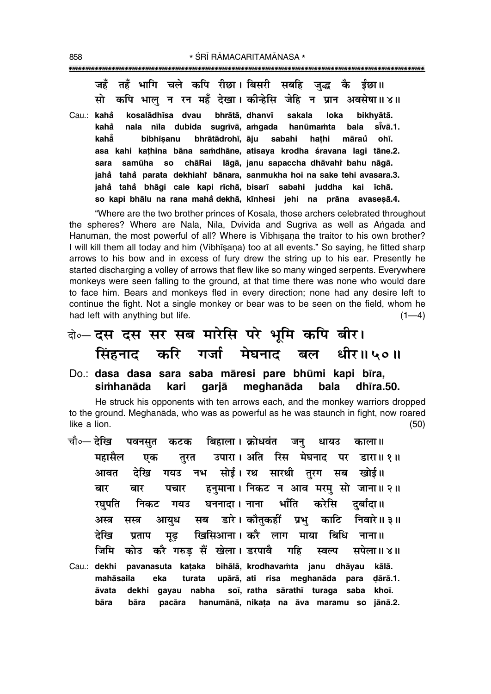जहँ तहँ भागि चले कपि रीछा। बिसरी सबहि जुद्ध कै ईछा॥ कपि भाल न रन महँ देखा। कीन्हेसि जेहि न प्रान अवसेषा॥४॥ मो kosalādhīsa dvau bhrātā, dhanvī Cau.: kahå sakala bikhvātā. loka kahå nala nīla dubida sugrīvā, amgada bala sīvā.1. hanūmamta kahå bhrātādrohī, āiu bibhīsanu sabahi hathi māraů ohī. asa kahi kathina bāna samdhāne, atisaya krodha śravana lagi tāne.2. samūha so chāRai lāgā, janu sapaccha dhāvahi bahu nāgā. sara jahå tahå parata dekhiahi bānara, sanmukha hoj na sake tehi avasara.3. jahå tahå bhāgi cale kapi rīchā, bisarī sabahi juddha kai īchā. so kapi bhālu na rana mahå dekhā, kīnhesi jehi na prāna avasesā.4.

"Where are the two brother princes of Kosala, those archers celebrated throughout the spheres? Where are Nala, Nīla, Dvivida and Sugrīva as well as Angada and Hanuman, the most powerful of all? Where is Vibhisana the traitor to his own brother? I will kill them all today and him (Vibhisana) too at all events." So saying, he fitted sharp arrows to his bow and in excess of fury drew the string up to his ear. Presently he started discharging a volley of arrows that flew like so many winged serpents. Everywhere monkeys were seen falling to the ground, at that time there was none who would dare to face him. Bears and monkeys fled in every direction; none had any desire left to continue the fight. Not a single monkey or bear was to be seen on the field, whom he had left with anything but life.  $(1-4)$ 

- वे० दस दस सर सब मारेसि परे भूमि कपि बीर। सिंहनाट करि गर्जा मेघनाट बल धीर॥ ५०॥
- Do.: dasa dasa sara saba māresi pare bhūmi kapi bīra, simhanāda kari garjā meghanāda bala dhīra.50.

He struck his opponents with ten arrows each, and the monkey warriors dropped to the ground. Meghanada, who was as powerful as he was staunch in fight, now roared like a lion.  $(50)$ 

चौ०— देखि बिहाला। क्रोधवंत कटक पवनसत जन धायउ काला॥ उपारा। अति रिस मेघनाद पर महासैल एक तूरत डारा॥ १॥ नभ सोई।रथ सारथी तुरग सब आवत देखि गयउ खोर्ड ॥ हनुमाना। निकट न आव मरम् सो जाना॥ २॥ बार बार पचार घननादा। नाना भाँति करेसि दर्बादा॥ रघपति निकट गयउ सब डारे। कौतकहीं प्रभु अस्त्र सस्त्र आयध काटि निवारे॥ ३॥ खिसिआना। करै लाग माया देरिव बिधि प्रताप मढ नाना ॥ जिमि कोउ करै गरुड़ सैं खेला। डरपावै गहि सपेला॥ ४॥ स्वल्प Cau.: dekhi pavanasuta kataka bihālā, krodhavamta janu dhāyau kālā. mahāsaila upārā, ati risa meghanāda para eka turata dārā.1. āvata dekhi qayau nabha soī, ratha sārathī turaga saba khoī.

hanumānā, nikata na āva maramu so jānā.2.

bāra

bāra

pacāra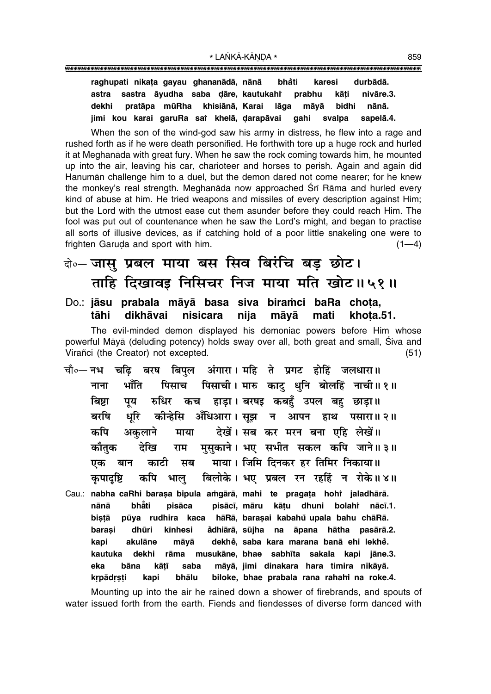raghupati nikata gayau ghananādā, nānā bhåti karesi durbādā. sastra āyudha saba dāre, kautukahi prabhu astra kāti nivāre.3. pratāpa mūRha khisiānā. Karai dekhi lāga māvā bidhi nānā. jimi kou karai garuRa sai khelā, darapāvai gahi svalpa sapelā.4.

When the son of the wind-god saw his army in distress, he flew into a rage and rushed forth as if he were death personified. He forthwith tore up a huge rock and hurled it at Meghanāda with great fury. When he saw the rock coming towards him, he mounted up into the air, leaving his car, charioteer and horses to perish. Again and again did Hanumān challenge him to a duel, but the demon dared not come nearer; for he knew the monkey's real strength. Meghanāda now approached Śrī Rāma and hurled every kind of abuse at him. He tried weapons and missiles of every description against Him; but the Lord with the utmost ease cut them asunder before they could reach Him. The fool was put out of countenance when he saw the Lord's might, and began to practise all sorts of illusive devices, as if catching hold of a poor little snakeling one were to frighten Garuda and sport with him.  $(1-4)$ 

### वे⊶ जास प्रबल माया बस सिव बिरंचि बड छोट। ताहि दिखावड़ निसिचर निज माया मति खोट॥५१॥

#### Do.: jāsu prabala māyā basa siva biramci baRa chota, tāhi dikhāvai nisicara nija māvā mati khota.51.

The evil-minded demon displayed his demoniac powers before Him whose powerful Māyā (deluding potency) holds sway over all, both great and small, Siva and Virañci (the Creator) not excepted.  $(51)$ 

- ्बरष बिपुल अंगारा। महि ते प्रगट होहिं जलधारा॥ चौ०— **नभ चढि** पिसाची। मारु काट् धनि बोलहिं नाची॥१॥ भाँति पिसाच नाना रुधिर हाड़ा। बरषइ कबहुँ उपल बहु छाड़ा॥ बिष्टा पुय कच अँधिआरा। सूझ न आपन हाथ पसारा॥२॥ बरषि धरि कोन्हेसि कपि देखें। सब कर मरन बना एहि लेखें॥ माया अकलाने मुसकाने। भए सभीत सकल कपि जाने॥३॥ कौतक देखि राम माया। जिमि दिनकर हर तिमिर निकाया॥ काटी एक बान सब कपि बिलोके। भए प्रबल रन रहहिं न रोके॥४॥ कृपादृष्टि भाल
- Cau.: nabha caRhi barasa bipula amgārā, mahi te pragata hohi jaladhārā. bhẳti nānā pisāca pisācī, māru dhuni bolahî nācī.1. kātu pūya rudhira kaca hāRā, barasai kabahů upala bahu chāRā. bistā barasi dhūri kīnhesi ådhiārā, sūjha na āpana hātha pasārā.2. kapi akulāne dekhë, saba kara marana banā ehi lekhë. māyā dekhi musukāne, bhae sabhīta sakala kapi jāne.3. kautuka rāma māyā, jimi dinakara hara timira nikāyā. eka bāna kātī saba krpādrsti kapi bhālu biloke, bhae prabala rana rahahi na roke.4.

Mounting up into the air he rained down a shower of firebrands, and spouts of water issued forth from the earth. Fiends and fiendesses of diverse form danced with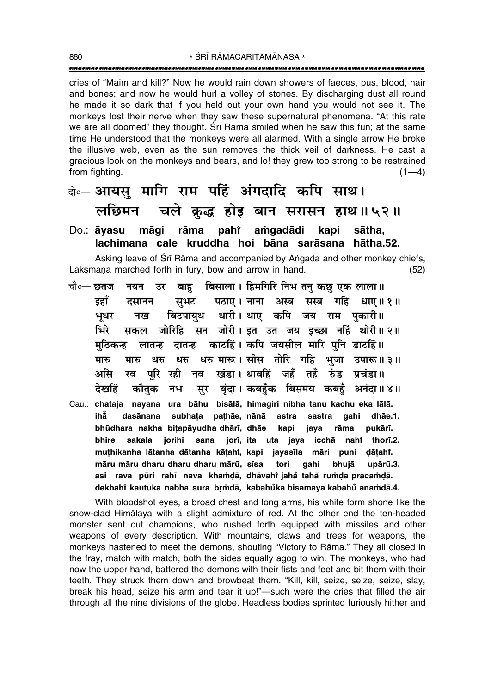cries of "Maim and kill?" Now he would rain down showers of faeces, pus, blood, hair and bones; and now he would hurl a volley of stones. By discharging dust all round he made it so dark that if you held out your own hand you would not see it. The monkeys lost their nerve when they saw these supernatural phenomena. "At this rate we are all doomed" they thought. Sri Rama smiled when he saw this fun; at the same time He understood that the monkeys were all alarmed. With a single arrow He broke the illusive web, even as the sun removes the thick veil of darkness. He cast a gracious look on the monkeys and bears, and lo! they grew too strong to be restrained from fighting.  $(1-4)$ 

#### बे॰ आयसु मागि राम पहिं अंगदादि कपि साथ। चले क्रुद्ध होड़ बान सरासन हाथ॥५२॥ लछिमन

#### Do.: āvasu māgi rāma pahi amgadādi kapi sātha. lachimana cale kruddha hoi bāna sarāsana hātha.52.

Asking leave of Sri Rama and accompanied by Angada and other monkey chiefs. Laksmana marched forth in fury, bow and arrow in hand.  $(52)$ 

चौ०— छतज नयन उर बाह बिसाला। हिमगिरि निभ तनु कछु एक लाला॥ ड़हाँ सभट पठाए। नाना अस्त्र सस्त्र गहि धाए॥१॥ दसानन बिटपायध धारी। धाए कपि जय राम पकारी॥ भधर नख सकल जोरिहि सन जोरी। इत उत जय इच्छा नहिं थोरी॥२॥ भिरे काटहिं। कपि जयसील मारि पुनि डाटहिं॥ मठिकन्ह लातन्ह दातन्ह धरु मारू । सीस तोरि गहि भुजा उपारू॥३॥ धरु मारु मारु धरु खंडा । धावहिं जहँ तहँ असि परि रही नव रुंड प्रचंडा॥ रव सर बंदा। कबहँक बिसमय कबहँ अनंदा॥४॥ देखहिं कौतक नभ Cau.: chataja nayana ura bāhu bisālā, himagiri nibha tanu kachu eka lālā. dasānana subhata pathāe, nānā astra sastra ihằ qahi dhāe.1. bhūdhara nakha bitapāyudha dhārī, dhāe kapi rāma pukārī. jaya sakala jorihi sana jorī, ita uta jaya icchā nahi thorī.2. bhire muthikanha lātanha dātanha kātahi, kapi javasīla māri puni dātahi.

māru māru dharu dharu dharu mārū, sīsa tori gahi bhujā upārū.3. asi rava pūri rahī nava khamdā, dhāvahi jaha taha rumda pracamdā. dekhahi kautuka nabha sura brmdā, kabahuka bisamaya kabahu anamdā.4. With bloodshot eyes, a broad chest and long arms, his white form shone like the

snow-clad Himalaya with a slight admixture of red. At the other end the ten-headed monster sent out champions, who rushed forth equipped with missiles and other weapons of every description. With mountains, claws and trees for weapons, the monkeys hastened to meet the demons, shouting "Victory to Rama." They all closed in the fray, match with match, both the sides equally agog to win. The monkeys, who had now the upper hand, battered the demons with their fists and feet and bit them with their teeth. They struck them down and browbeat them. "Kill, kill, seize, seize, seize, slay, break his head, seize his arm and tear it up!"-such were the cries that filled the air through all the nine divisions of the globe. Headless bodies sprinted furiously hither and

860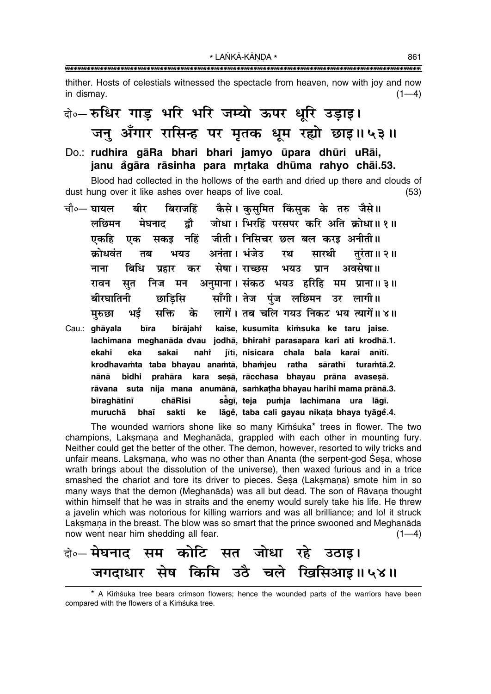thither. Hosts of celestials witnessed the spectacle from heaven, now with joy and now in dismay.  $(1-4)$ 

# वे०- रुधिर गाड़ भरि भरि जम्यो ऊपर धूरि उड़ाइ। जन् अँगार रासिन्ह पर मृतक धूम रह्यो छाइ॥५३॥

Do.: rudhira gāRa bhari bhari jamyo ūpara dhūri uRāi, janu ågāra rāsinha para mrtaka dhūma rahyo chāi.53.

Blood had collected in the hollows of the earth and dried up there and clouds of dust hung over it like ashes over heaps of live coal.  $(53)$ 

- कैसे। कुसुमित किंसुक के तरु जैसे॥ चौ०— घायल बीर बिराजहिं लछिमन मेघनाद जोधा। भिरहिं परसपर करि अति क्रोधा॥ १॥ दौ जीती। निसिचर छल बल करड अनीती॥ एकहि सकड नहिं एक कोधवंत भयउ अनंता । भंजेउ रथ सारथी तब तरंता॥ २॥ बिधि सेषा। राच्छस भयउ अवसेषा॥ नाना प्रहार कर प्रान अनमाना। संकठ भयउ हरिहि मम प्राना॥३॥ सत निज मन रावन बीरघातिनी साँगी। तेज पंज लछिमन उर लागी॥ छाडिसि सक्ति के लागें। तब चलि गयउ निकट भय त्यागें॥४॥ भई मुरुछा
- kaise, kusumita kimsuka ke taru jaise. Cau.: qhāyala bīra birāiaht lachimana meghanāda dvau jodhā, bhirahi parasapara kari ati krodhā.1. ekahi eka sakai nahi jītī, nisicara chala bala karai anītī. krodhavamta taba bhayau anamtā, bhamjeu ratha sārathī turamtā.2. prahāra kara sesā, rācchasa bhayau prāna avasesā. nānā bidhi rāvana suta nija mana anumānā, samkatha bhayau harihi mama prānā.3. bīraghātinī chāRisi săgī, teja pumja lachimana ura lāgī. muruchā bhaī sakti ke lāgě, taba cali gayau nikata bhaya tyāgě.4.

The wounded warriors shone like so many Kimsuka\* trees in flower. The two champions, Laksmana and Meghanada, grappled with each other in mounting fury. Neither could get the better of the other. The demon, however, resorted to wily tricks and unfair means. Laksmana, who was no other than Ananta (the serpent-god Sesa, whose wrath brings about the dissolution of the universe), then waxed furious and in a trice smashed the chariot and tore its driver to pieces. Sesa (Laksmana) smote him in so many ways that the demon (Meghanāda) was all but dead. The son of Rāvana thought within himself that he was in straits and the enemy would surely take his life. He threw a javelin which was notorious for killing warriors and was all brilliance; and lo! it struck Laksmana in the breast. The blow was so smart that the prince swooned and Meghanada now went near him shedding all fear.  $(1-4)$ 

#### सत जोधा रहे उठाइ। <sub>दो०—</sub> मेघनाट कोटि म्पम चले खिसिआइ॥५४॥ संष किमि ਤਰੈਂ जगदाधार

<sup>\*</sup> A Kimsuka tree bears crimson flowers; hence the wounded parts of the warriors have been compared with the flowers of a Kimsuka tree.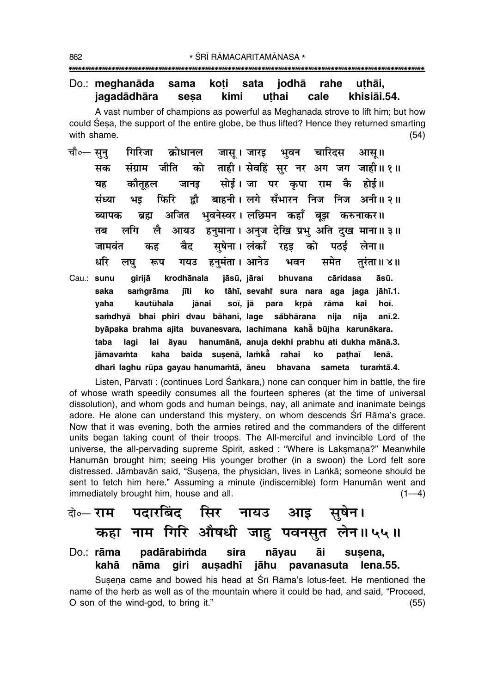#### Do.: meghanāda sama koti sata jodhā rahe uthāi, jagadādhāra kimi uthai cale khisiāi.54. sesa

A vast number of champions as powerful as Meghanada strove to lift him; but how could Sesa, the support of the entire globe, be thus lifted? Hence they returned smarting with shame.  $(54)$ 

- चौ०— सून् गिरिजा जास् । जारइ भवन चारिदस क्रोधानल आस॥ को ताही। सेवहिं सुर नर अग जग जाही॥१॥ संग्राम जीति सक सोई। जा पर कपा राम कै होई॥ जानद्र यह कौतहल द्रौ बाहनी। लगे सँभारन निज निज अनी॥२॥ फिरि संध्या भड अजित भवनेस्वर।लछिमन कहाँ बुझ करुनाकर॥ ब्रह्म ब्यापक आयउ हनुमाना। अनुज देखि प्रभु अति दुख माना॥३॥ लगि लै तब सुषेना। लंकाँ रहड़ को बैट ਧਰਤੰ लेना॥ जामवंत कह गयउ हनमंता। आनेउ धरि लघ रूप भवन समेत तुरंता॥ ४॥
- Cau.: sunu girijā krodhānala jāsū, jārai bhuvana cāridasa āsū. saka samorāma iīti ko tāhī, sevahi sura nara aga jaga jāhī.1. yaha kautūhala jānai soī, jā para krpā rāma kai hoī. samdhyā bhai phiri dvau bāhanī, lage såbhārana nija nija  $an<sub>1</sub>2.$ byāpaka brahma ajita buvanesvara, lachimana kahā būjha karunākara. lai āyau hanumānā, anuja dekhi prabhu ati dukha mānā.3. taba lagi kaha baida susenā, lamka rahai iāmavamta ko pathaī lenā. dhari laghu rūpa gayau hanumamtā, āneu bhavana sameta turamtā.4.

Listen, Pārvatī: (continues Lord Śankara,) none can conquer him in battle, the fire of whose wrath speedily consumes all the fourteen spheres (at the time of universal dissolution), and whom gods and human beings, nay, all animate and inanimate beings adore. He alone can understand this mystery, on whom descends Srī Rāma's grace. Now that it was evening, both the armies retired and the commanders of the different units began taking count of their troops. The All-merciful and invincible Lord of the universe, the all-pervading supreme Spirit, asked : "Where is Laksmana?" Meanwhile Hanumān brought him; seeing His younger brother (in a swoon) the Lord felt sore distressed. Jāmbavān said, "Sușena, the physician, lives in Lankā; someone should be sent to fetch him here." Assuming a minute (indiscernible) form Hanuman went and immediately brought him, house and all.  $(1-4)$ 

#### सिर नायउ आड सषेन। पदारबिंद  $\vec{a}$ ०— राम कहा नाम गिरि औषधी जाहु पवनसुत लेन॥५५॥  $Do:$  rāma padārabimda sira nāvau āi susena. kahā nāma qiri ausadhī iāhu lena.55. pavanasuta

Susena came and bowed his head at Srī Rāma's lotus-feet. He mentioned the name of the herb as well as of the mountain where it could be had, and said, "Proceed, O son of the wind-god, to bring it."  $(55)$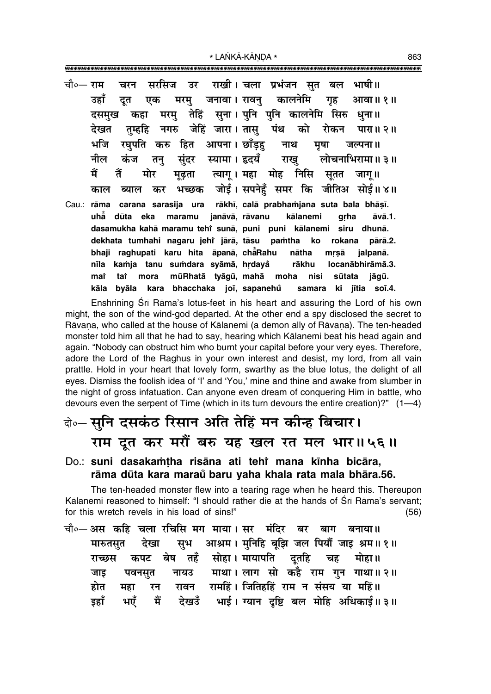\* LANKĀ-KĀNDA \*

| चौ०— राम चरन सरसिज उर राखी। चला प्रभंजन सुत बल भाषी॥                    |
|-------------------------------------------------------------------------|
| उहाँ दूत एक मरमु जनावा। रावनु कालनेमि गृह आवा॥ १॥                       |
| दसमुख कहा मरमु तेहिं सुना।पुनि पुनि कालनेमि सिरु धुना॥                  |
| देखत तुम्हहि नगरु जेहिं जारा।तासु पंथ को रोकन पारा॥२॥                   |
| भजि रघुपति करु हित आपना।।छाँड़हु नाथ मृषा जल्पना॥                       |
| नील कंज तनु सुंदर स्यामा।इदयँ राखु लोचनाभिरामा॥३॥                       |
| मैं तैं मोर मूढ़ता त्यागू।महा मोह निसि सूतत जागू॥                       |
| काल ब्याल कर भच्छक जोई।सपनेहुँ समर कि जीतिअ सोई॥४॥                      |
| Cau.: rāma carana sarasija ura rākhī, calā prabhamjana suta bala bhāṣī. |
| uhā dūta eka maramu janāvā, rāvanu kālanemi gṛha āvā.1.                 |
| dasamukha kahā maramu tehi sunā, puni puni kālanemi siru dhunā.         |
| dekhata tumhahi nagaru jehi jārā, tāsu pamtha ko rokana pārā.2.         |
| bhaji raghupati karu hita āpanā, chā Rahu nātha mrṣā jalpanā.           |
| kamja tanu sumdara syāmā, hrdaya rākhu locanābhirāmā.3.<br>nīla         |
| mora mūRhatā tyāgū, mahā moha nisi sūtata jāgū.<br>mar<br>tar           |
| byāla kara bhacchaka joī, sapanehů samara ki jītia soī.4.<br>kāla       |

Enshrining Srī Rāma's lotus-feet in his heart and assuring the Lord of his own might, the son of the wind-god departed. At the other end a spy disclosed the secret to Rāvana, who called at the house of Kālanemi (a demon ally of Rāvana). The ten-headed monster told him all that he had to say, hearing which Kalanemi beat his head again and again. "Nobody can obstruct him who burnt your capital before your very eyes. Therefore, adore the Lord of the Raghus in your own interest and desist, my lord, from all vain prattle. Hold in your heart that lovely form, swarthy as the blue lotus, the delight of all eyes. Dismiss the foolish idea of 'I' and 'You,' mine and thine and awake from slumber in the night of gross infatuation. Can anyone even dream of conquering Him in battle, who devours even the serpent of Time (which in its turn devours the entire creation)?"  $(1-4)$ 

# बेञ्-सुनि दसकंठ रिसान अति तेहिं मन कीन्ह बिचार। राम दूत कर मरौं बरु यह खल रत मल भार॥५६॥

#### Do.: suni dasakamtha risāna ati tehi mana kīnha bicāra, rāma dūta kara maraŭ baru yaha khala rata mala bhāra.56.

The ten-headed monster flew into a tearing rage when he heard this. Thereupon Kalanemi reasoned to himself: "I should rather die at the hands of Sri Rama's servant; for this wretch revels in his load of sins!"  $(56)$ 

|      |  | चौ∘— अस कहि चला रचिसि मग माया। सर मंदिर बर बाग बनाया॥      |  |  |  |  |
|------|--|------------------------------------------------------------|--|--|--|--|
|      |  | मारुतसुत देखा सुभ आश्रम। मुनिहि बूझि जल पियौं जाइ श्रम॥ १॥ |  |  |  |  |
|      |  | राच्छस कपट बेष तहँ सोहा।मायापति दूतहि चह मोहा॥             |  |  |  |  |
| जाड  |  | पवनसत नायउ माथा।लाग सो कहै राम गुन गाथा॥२॥                 |  |  |  |  |
| होत  |  | महा रन रावन रामहिं। जितिहहिं राम न संसय या महिं॥           |  |  |  |  |
| इहाँ |  | भएँ मैं देखउँ भाई। ग्यान दृष्टि बल मोहि अधिकाई॥३॥          |  |  |  |  |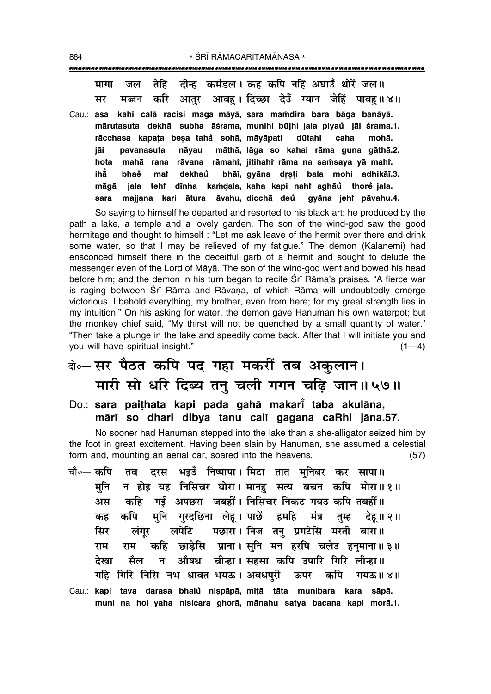दीन्ह कमंडल। कह कपि नहिं अघाउँ थोरें जल॥ तेहिं जल मागा करि आतर आवह। दिच्छा देउँ ग्यान जेहिं पावह॥४॥ सर मजन Cau.: asa kahi calā racisi maga māyā, sara mamdira bara bāga banāyā. mārutasuta dekhā subha āśrama, munihi būjhi jala piyaŭ jāi śrama.1. rācchasa kapata besa tahå sohā, māyāpati dūtahi caha mohā. nāvau māthā. Iāga so kahai rāma guna gāthā.2. iāi pavanasuta mahā rana rāvana rāmahi, jitihahi rāma na samsaya yā mahi. hota ihẳ bhaě dekhaŭ bhāi, qyāna drsti bala mohi adhikāi.3. mat jala tehi dīnha kamdala, kaha kapi nahi aghāŭ thore jala. māgā majjana kari ātura āvahu, dicchā deů gyāna jehr pāvahu.4. sara

So saying to himself he departed and resorted to his black art; he produced by the path a lake, a temple and a lovely garden. The son of the wind-god saw the good hermitage and thought to himself : "Let me ask leave of the hermit over there and drink some water, so that I may be relieved of my fatigue." The demon (Kālanemi) had ensconced himself there in the deceitful garb of a hermit and sought to delude the messenger even of the Lord of Māyā. The son of the wind-god went and bowed his head before him; and the demon in his turn began to recite Srī Rāma's praises. "A fierce war is raging between Srī Rāma and Rāvana, of which Rāma will undoubtedly emerge victorious. I behold everything, my brother, even from here; for my great strength lies in my intuition." On his asking for water, the demon gave Hanuman his own waterpot; but the monkey chief said, "My thirst will not be quenched by a small quantity of water." "Then take a plunge in the lake and speedily come back. After that I will initiate you and you will have spiritual insight."  $(1-4)$ 

# वे॰-सर पैठत कपि पद गहा मकरीं तब अकुलान। मारी सो धरि दिब्य तनु चली गगन चढ़ि जान॥५७॥

#### Do.: sara paithata kapi pada gahā makari taba akulāna, mārī so dhari dibya tanu calī gagana caRhi jāna.57.

No sooner had Hanuman stepped into the lake than a she-alligator seized him by the foot in great excitement. Having been slain by Hanuman, she assumed a celestial form and, mounting an aerial car, soared into the heavens.  $(57)$ 

- चौ∘— कपि तव दरस भइउँ निष्पापा। मिटा तात मनिबर कर सापा॥ मनि न होड़ यह निसिचर घोरा। मानह सत्य बचन कपि मोरा॥१॥ कहि गई अपछरा जबहीं। निसिचर निकट गयउ कपि तबहीं॥ अस मुनि गुरदछिना लेहू। पाछें हमहि मंत्र तुम्ह देहू॥ २॥ कपि कह लपेटि पछारा। निज तनु प्रगटेसि मरती बारा॥ सिर लंगर राम कहि छाड़ेसि प्राना। सुनि मन हरषि चलेउ हनुमाना॥३॥ राम औषध चीन्हा। सहसा कपि उपारि गिरि लीन्हा॥ देखा सैल न गहि गिरि निसि नभ धावत भयऊ। अवधपरी ऊपर कपि गयऊ॥४॥
- Cau.: kapi tava darasa bhaiu nișpāpā, mițā tāta munibara kara sāpā. muni na hoi yaha nisicara ghorā, mānahu satya bacana kapi morā.1.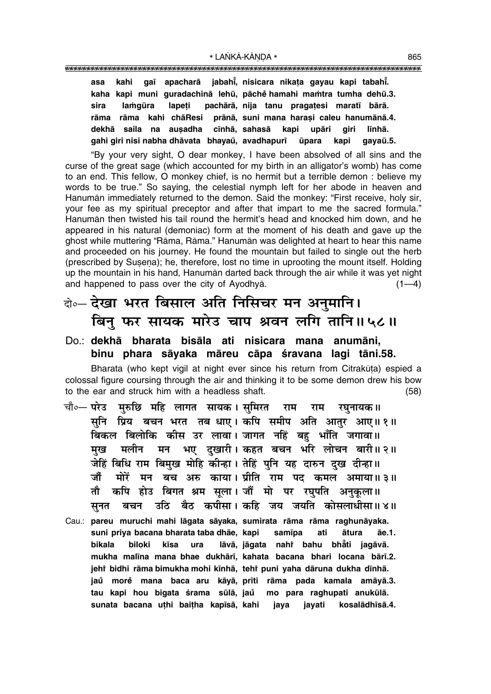gaī apacharā jabahi, nisicara nikata gayau kapi tabahi. asa kahi kaha kapi muni guradachinā lehū, pāchě hamahi mamtra tumha dehū.3. pachārā, nija tanu pragatesi maratī bārā. lamaūra lapeti sira rāma rāma kahi chāResi prānā, suni mana harasi caleu hanumānā.4. dekhā saila na ausadha cīnhā, sahasā kapi upāri airi līnhā. gahi giri nisi nabha dhāvata bhayaū, avadhapurī **ūpara** kapi gayaū.5.

"By your very sight, O dear monkey, I have been absolved of all sins and the curse of the great sage (which accounted for my birth in an alligator's womb) has come to an end. This fellow, O monkey chief, is no hermit but a terrible demon : believe my words to be true." So saying, the celestial nymph left for her abode in heaven and Hanuman immediately returned to the demon. Said the monkey: "First receive, holy sir, your fee as my spiritual preceptor and after that impart to me the sacred formula." Hanuman then twisted his tail round the hermit's head and knocked him down, and he appeared in his natural (demoniac) form at the moment of his death and gave up the ghost while muttering "Rāma, Rāma." Hanumān was delighted at heart to hear this name and proceeded on his journey. He found the mountain but failed to single out the herb (prescribed by Susena); he, therefore, lost no time in uprooting the mount itself. Holding up the mountain in his hand, Hanumān darted back through the air while it was yet night and happened to pass over the city of Ayodhya.  $(1-4)$ 

## के-देखा भरत बिसाल अति निसिचर मन अनुमानि। बिनु फर सायक मारेउ चाप श्रवन लगि तानि॥५८॥

#### Do.: dekhā bharata bisāla ati nisicara mana anumāni, binu phara sāyaka māreu cāpa śravana lagi tāni.58.

Bharata (who kept vigil at night ever since his return from Citrakūta) espied a colossal figure coursing through the air and thinking it to be some demon drew his bow to the ear and struck him with a headless shaft.  $(58)$ 

- चौ०— परेउ मुरुछि महि लागत सायक। सुमिरत राम राम रघुनायक॥ सुनि प्रिय बचन भरत तब धाए। कपि समीप अति आतुर आए॥१॥ बिकल बिलोकि कीस उर लावा। जागत नहिं बहु भाँति जगावा॥ मलीन मन भए दखारी।कहत बचन भरि लोचन बारी॥२॥ मख जेहिं बिधि राम बिमुख मोहि कीन्हा। तेहिं पुनि यह दारुन दुख दीन्हा।। मोरें मन बच अरु काया। प्रीति राम पद कमल अमाया॥३॥ जौं कपि होउ बिगत श्रम सुला। जौं मो पर रघुपति अनुकुला॥ तौ बचन उठि बैठ कपीसा।कहि जय जयति कोसलाधीसा॥४॥ सनत
- Cau.: pareu muruchi mahi lāgata sāyaka, sumirata rāma rāma raghunāyaka. samīpa suni priya bacana bharata taba dhāe, kapi ati ātura āe.1. lāvā, jāgata nahr bahu bhāti jagāvā. bikala biloki kīsa ura mukha malīna mana bhae dukhārī, kahata bacana bhari locana bārī.2. jeht bidhi rāma bimukha mohi kīnhā, teht puni yaha dāruna dukha dīnhā. jaŭ more mana baca aru kāyā, prīti rāma pada kamala amāyā.3. tau kapi hou bigata śrama sūlā, jaů mo para raghupati anukūlā. sunata bacana uthi baitha kapīsā, kahi jaya jayati kosalādhīsā.4.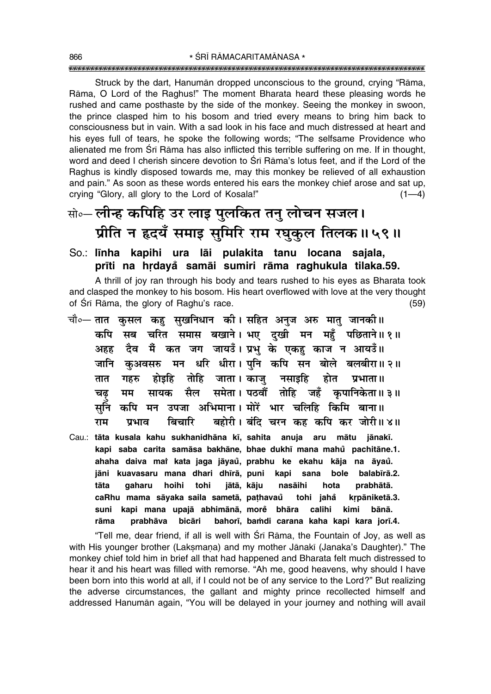Struck by the dart, Hanumān dropped unconscious to the ground, crying "Rāma, Rāma, O Lord of the Raghus!" The moment Bharata heard these pleasing words he rushed and came posthaste by the side of the monkey. Seeing the monkey in swoon, the prince clasped him to his bosom and tried every means to bring him back to consciousness but in vain. With a sad look in his face and much distressed at heart and his eyes full of tears, he spoke the following words; "The selfsame Providence who alienated me from Śrī Rāma has also inflicted this terrible suffering on me. If in thought, word and deed I cherish sincere devotion to Śrī Rāma's lotus feet, and if the Lord of the Raghus is kindly disposed towards me, may this monkey be relieved of all exhaustion and pain.î As soon as these words entered his ears the monkey chief arose and sat up, crying "Glory, all glory to the Lord of Kosala!"  $(1-4)$ 

# सो०– **लीन्ह कपिहि उर लाइ पुलकित तनु लोचन सजल।** <u>प्रीति न हृदयँ समाइ सुमिरि राम रघुकु</u>ल तिलक॥५९॥

#### So.: **l∂nha kapihi ura låi pulakita tanu locana sajala, pr∂ti na hædaya° samåi sumiri råma raghukula tilaka.59.**

A thrill of joy ran through his body and tears rushed to his eyes as Bharata took and clasped the monkey to his bosom. His heart overflowed with love at the very thought of Śrī Rāma, the glory of Raghu's race. (59)

- चौ०— तात कुसल कहु सुखनिधान की । सहित अनुज अरु मातु जानकी ॥ **कपि सब चरित समास बखाने। भए दखी मन महँ पछिताने॥ १ ॥** अहह दैव मैं कत जग जायउँ। प्रभु के एकह काज न आयउँ॥ जानि कअवसरु मन धरि धीरा। पनि कपि सन बोले बलबीरा॥ २॥ <u>तात गहरु होइहि तोहि जाता । काज् नसाइहि होत प्रभाता ॥</u> चढ मम सायक सैल समेता।**पठवौं तोहि जहँ कपानिकेता॥३॥** सनिँ कपि मन उपजा अभिमाना। मोरें भार चलिहि किमि बाना॥ **राम प्रभाव बिचारि बहोरी । बंदि चरन कह कपि** कर जोरी॥४॥ Cau.: **tåta kusala kahu sukhanidhåna k∂, sahita anuja aru måtu jånak∂. kapi saba carita samåsa bakhåne, bhae dukh∂ mana mahu pachitåne.1. °** ahaha daiva mai kata jaga jāyaŭ, prabhu ke ekahu kāja na āya<mark>ŭ</mark>.
- jāni kuavasaru mana dhari dhīrā, puni kapi sana bole balabīrā.2. **tåta gaharu hoihi tohi jåtå, kåju nasåihi hota prabhåtå. caRhu mama såyaka saila sametå, pa¢havau tohi jaha ° ° kæpåniketå.3.** suni kapi mana upajā abhimānā, more bhāra calihi kimi bānā. **råma prabhåva bicåri bahor∂, ba≈di carana kaha kapi kara jor∂.4.**

"Tell me, dear friend, if all is well with Śrī Rāma, the Fountain of Joy, as well as with His younger brother (Laksmana) and my mother Jānakī (Janaka's Daughter)." The monkey chief told him in brief all that had happened and Bharata felt much distressed to hear it and his heart was filled with remorse. "Ah me, good heavens, why should I have been born into this world at all, if I could not be of any service to the Lord?" But realizing the adverse circumstances, the gallant and mighty prince recollected himself and addressed Hanumān again, "You will be delayed in your journey and nothing will avail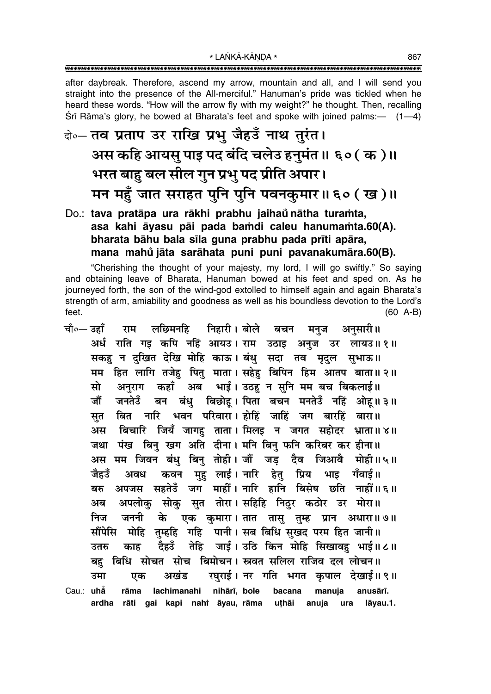after daybreak. Therefore, ascend my arrow, mountain and all, and I will send you straight into the presence of the All-merciful." Hanuman's pride was tickled when he heard these words. "How will the arrow fly with my weight?" he thought. Then, recalling  $\sin$  Rama's glory, he bowed at Bharata's feet and spoke with joined palms:—  $(1-4)$ 

के-तव प्रताप उर राखि प्रभु जैहउँ नाथ तुरंत। अस कहि आयस् पाइ पद बंदि चलेउ हनमंत ॥ ६०( क )॥ भरत बाहु बल सील गुन प्रभु पद प्रीति अपार। मन महुँ जात सराहत पुनि पुनि पवनकुमार॥६० (ख)॥

#### Do.: tava pratāpa ura rākhi prabhu jaihaŭ nātha turamta, asa kahi āyasu pāi pada bamdi caleu hanumamta.60(A). bharata bāhu bala sīla guna prabhu pada prīti apāra, mana mahů jāta sarāhata puni puni pavanakumāra.60(B).

"Cherishing the thought of your majesty, my lord, I will go swiftly." So saying and obtaining leave of Bharata, Hanuman bowed at his feet and sped on. As he journeyed forth, the son of the wind-god extolled to himself again and again Bharata's strength of arm, amiability and goodness as well as his boundless devotion to the Lord's feet.  $(60 \text{ A-B})$ 

लछिमनहि निहारी। बोले बचन मनुज अनुसारी॥ चौ०— उहाँ राम अर्ध राति गड कपि नहिं आयउ। राम उठाइ अनुज उर लायउ॥१॥ सकह न दखित देखि मोहि काऊ। बंधु सदा तव मृदल सुभाऊ॥ मम हित लागि तजेहु पितु माता। सहेहु बिपिन हिम आतप बाता॥२॥ अनुराग कहाँ अब भाई। उठह न सुनि मम बच बिकलाई॥ सो जौं जनतेउँ बन बंधु बिछोह। पिता बचन मनतेउँ नहिं ओह॥३॥ सुत बित नारि भवन परिवारा। होहिं जाहिं जग बारहिं बारा॥ बिचारि जियँ जागहु ताता। मिलइ न जगत सहोदर भ्राता॥४॥ अस जथा पंख बिन् खग अति दीना। मनि बिन् फनि करिबर कर हीना॥ अस मम जिवन बंध बिन तोही। जौं जड दैव जिआवै मोही॥५॥ कवन मुहु लाई। नारि हेतु प्रिय भाइ गँवाई॥ जैहउँ अवध अपजस सहतेउँ जग माहीं। नारि हानि बिसेष छति नाहीं॥६॥ बरु अपलोकु सोकु सुत तोरा। सहिहि निदूर कठोर उर मोरा॥ अब के एक कुमारा। तात तासु तुम्ह प्रान अधारा॥७॥ निज जननी सौंपेसि मोहि तुम्हहि गहि पानी। सब बिधि सुखद परम हित जानी ।। दैहउँ तेहि जाई। उठि किन मोहि सिखावह भाई॥८॥ उतरु काह बिधि सोचत सोच बिमोचन। स्रवत सलिल राजिव दल लोचन॥ बह रघुराई। नर गति भगत कृपाल देखाई॥१॥ एक अखंड उमा Cau.: uhå rāma lachimanahi nihārī, bole bacana manuja anusārī. ardha rāti gai kapi nahi āyau, rāma uthāi anuja ura lāyau.1.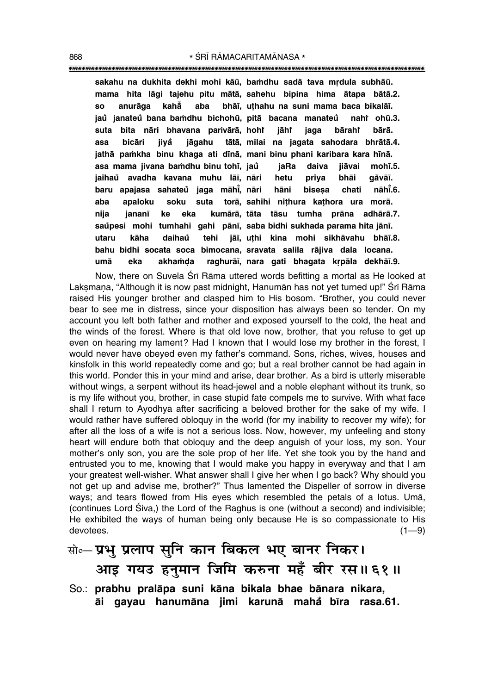sakahu na dukhita dekhi mohi kāū, bamdhu sadā tava mrdula subhāū. **mama hita lågi tajehu pitu måtå, sahehu bipina hima åtapa båtå.2. so anuråga kahå° aba bhå∂, u¢hahu na suni mama baca bikalå∂. jau janateu ° bana ba≈dhu bichohµu, pitå bacana manateu ° nahi ° Ú** nahr ohū.3. **suta bita nåri bhavana parivårå, hohiÚ jåhiÚ jaga bårahiÚ bårå. asa bicåri jiya° jågahu tåtå, milai na jagata sahodara bhråtå.4.** jathā pamkha binu khaga ati dīnā, mani binu phani karibara kara hīnā. **asa mama jivana ba≈dhu binu toh∂, jau jaRa daiva jiåvai moh∂.5. ° jaihau avadha kavana muhu ° lå∂, nåri hetu priya bhåi ga°vå∂. baru apajasa sahateu jaga måh∂ ° ° , nåri håni bise¶a chati nåh∂° .6. aba apaloku soku suta torå, sahihi ni¢hura ka¢hora ura morå. nija janan∂ ke eka kumårå, tåta tåsu tumha pråna adhårå.7. sau pesi mohi tumhahi gahi pån∂, saba bidhi sukhada parama hita jån∂. ° utaru kåha daihau tehi ° jå∂, u¢hi kina mohi sikhåvahu bhå∂.8. bahu bidhi socata soca bimocana, sravata salila råjiva dala locana.** umā eka akhamda raghurāī, nara gati bhagata krpāla dekhāī.9.

Now, there on Suvela Śrī Rāma uttered words befitting a mortal as He looked at Laksmana, "Although it is now past midnight, Hanumān has not yet turned up!" Śrī Rāma raised His younger brother and clasped him to His bosom. "Brother, you could never bear to see me in distress, since your disposition has always been so tender. On my account you left both father and mother and exposed yourself to the cold, the heat and the winds of the forest. Where is that old love now, brother, that you refuse to get up even on hearing my lament? Had I known that I would lose my brother in the forest, I would never have obeyed even my fatherís command. Sons, riches, wives, houses and kinsfolk in this world repeatedly come and go; but a real brother cannot be had again in this world. Ponder this in your mind and arise, dear brother. As a bird is utterly miserable without wings, a serpent without its head-jewel and a noble elephant without its trunk, so is my life without you, brother, in case stupid fate compels me to survive. With what face shall I return to Ayodhyå after sacrificing a beloved brother for the sake of my wife. I would rather have suffered obloquy in the world (for my inability to recover my wife); for after all the loss of a wife is not a serious loss. Now, however, my unfeeling and stony heart will endure both that obloquy and the deep anguish of your loss, my son. Your motherís only son, you are the sole prop of her life. Yet she took you by the hand and entrusted you to me, knowing that I would make you happy in everyway and that I am your greatest well-wisher. What answer shall I give her when I go back? Why should you not get up and advise me, brother?" Thus lamented the Dispeller of sorrow in diverse ways; and tears flowed from His eyes which resembled the petals of a lotus. Umå, (continues Lord Siva,) the Lord of the Raghus is one (without a second) and indivisible; He exhibited the ways of human being only because He is so compassionate to His devotees.  $(1-9)$ 

सो०**– प्रभु प्रलाप सुनि कान बिकल भए बानर निकर।** <u>आइ गयउ हुनुमान जिमि करुना महँ बीर रस॥६१॥</u> So.: **prabhu pralåpa suni kåna bikala bhae bånara nikara,**

**åi gayau hanumåna jimi karunå maha b∂ra rasa.61. °**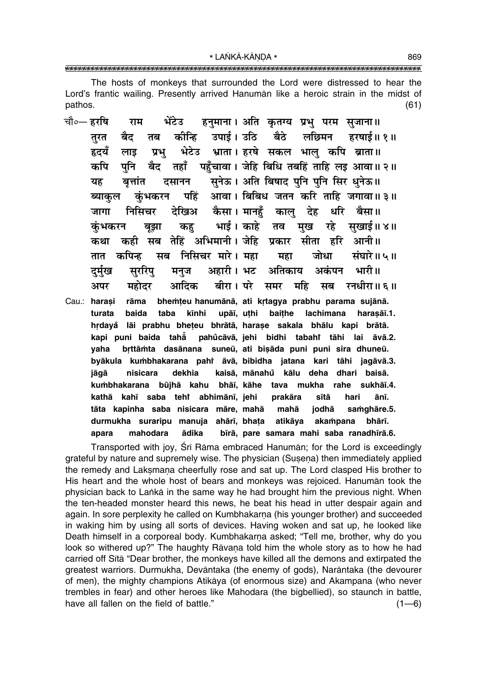\* LANKĀ-KĀNDA \* 

The hosts of monkeys that surrounded the Lord were distressed to hear the Lord's frantic wailing. Presently arrived Hanuman like a heroic strain in the midst of pathos.  $(61)$ 

- चौ०— हरषि भेंटेड हनमाना। अति कतग्य प्रभ परम सजाना॥ राम उपाई। उठि कोन्हि बैठे लछिमन हरषाई॥ १॥ तरत बैट तब भेटेउ भ्राता। हरषे सकल भालु कपि ब्राता॥ हृदयँ लाड प्रभ तहाँ पहुँचावा। जेहि बिधि तबहिं ताहि लइ आवा॥२॥ कपि पनि बैद सुनेऊ। अति बिषाद पुनि पुनि सिर धुनेऊ॥ यह दसानन बन्तांत आवा। बिबिध जतन करि ताहि जगावा॥३॥ पहिं ब्याकुल कंभकरन देखिअ कैसा। मानहुँ कालु जागा निसिचर देह धरि बैमा॥ मुख कंभकरन बझा कह भाई । काहे तव रहे सखाई॥ ४॥ कही सब तेहिं अभिमानी। जेहि प्रकार सीता हरि आनी॥ कथा सब निसिचर मारे। महा कपिन्ह जोधा संघारे॥ ५ ॥ तात महा अहारी। भट अतिकाय दर्मख सररिप मनज अकंपन भारी॥ आदिक बीरा। परे समर महि अपर महोदर सब रनधीरा॥ ६ ॥
- bhemțeu hanumānā, ati krtagya prabhu parama sujānā. Cau.: harasi rāma baida taba kīnhi upāī, uthi baithe lachimana harașāī.1. turata hrdayå lāi prabhu bheteu bhrātā, harașe sakala bhālu kapi brātā. kapi puni baida taha pahůcāvā, jehi bidhi tabahi tāhi lai āvā.2. vaha brttāmta dasānana suneū, ati bisāda puni puni sira dhuneū. byākula kumbhakarana pahi āvā, bibidha jatana kari tāhi jagāvā.3. jāgā nisicara dekhia kaisā, mānahů kālu deha dhari baisā. kumbhakarana būjhā kahu bhāī, kāhe tava mukha rahe sukhāī.4. kathā kahī saba teht abhimānī, jehi prakāra sītā hari ānī. tāta kapinha saba nisicara māre, mahā jodhā samghāre.5. mahā durmukha suraripu manuja ahārī, bhata atikāva akampana bhārī. apara mahodara ādika bīrā, pare samara mahi saba ranadhīrā.6.

Transported with joy, Srī Rāma embraced Hanumān; for the Lord is exceedingly grateful by nature and supremely wise. The physician (Susena) then immediately applied the remedy and Laksmana cheerfully rose and sat up. The Lord clasped His brother to His heart and the whole host of bears and monkeys was rejoiced. Hanuman took the physician back to Lanka in the same way he had brought him the previous night. When the ten-headed monster heard this news, he beat his head in utter despair again and again. In sore perplexity he called on Kumbhakarna (his younger brother) and succeeded in waking him by using all sorts of devices. Having woken and sat up, he looked like Death himself in a corporeal body. Kumbhakarna asked; "Tell me, brother, why do you look so withered up?" The haughty Rāvana told him the whole story as to how he had carried off Sita "Dear brother, the monkeys have killed all the demons and extirpated the greatest warriors. Durmukha, Devāntaka (the enemy of gods), Narāntaka (the devourer of men), the mighty champions Atikaya (of enormous size) and Akampana (who never trembles in fear) and other heroes like Mahodara (the bigbellied), so staunch in battle, have all fallen on the field of battle."  $(1-6)$ 

869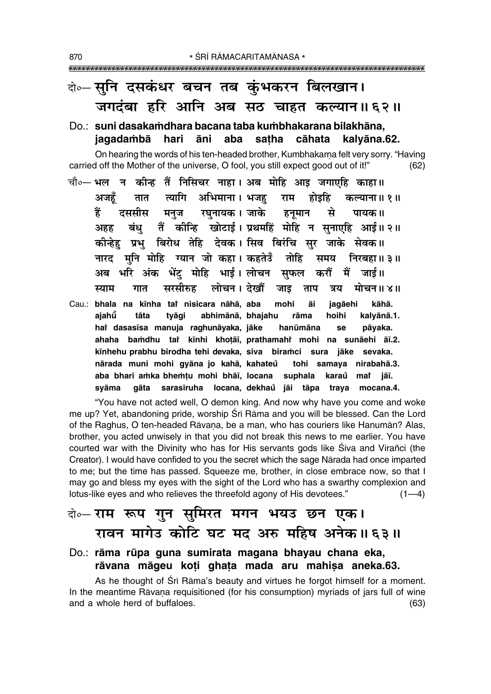## बे-सुनि दसकंधर बचन तब कुंभकरन बिलखान। जगदंबा हरि आनि अब सठ चाहत कल्यान॥६२॥

#### Do.: suni dasakamdhara bacana taba kumbhakarana bilakhāna, jagadambā hari āni aba satha cāhata kalvāna.62.

On hearing the words of his ten-headed brother, Kumbhakarna felt very sorry. "Having carried off the Mother of the universe, O fool, you still expect good out of it!"  $(62)$ 

- चौ∘— भल न कीन्ह तैं निसिचर नाहा। अब मोहि आइ जगाएहि काहा॥ तात त्यागि अभिमाना। भजहु राम होइहि अजहँ कल्याना ॥ १ ॥ दससीस मनुज रघुनायक।जाके हनूमान 尝 मे पायक ॥ बंध तैं कीन्हि खोटाई। प्रथमहिं मोहि न सनाएहि आई॥ २॥ अहह कीन्हेह प्रभु बिरोध तेहि देवक।सिव बिरंचि सुर जाके सेवक॥ नारद मनि मोहि ग्यान जो कहा। कहतेउँ तोहि समय निरबहा॥३॥ अब भरि अंक भेंट् मोहि भाई।लोचन सुफल करौं मैं जाई॥ सरसीरुह लोचन।देखौं जाड़ ताप त्रय मोचन॥४॥ स्याम गात
- Cau.: bhala na kīnha tař nisicara nāhā, aba mohi āi kāhā. jagāehi ajahū tāta tvāgi abhimānā, bhajahu rāma hoihi kalyānā.1. hai dasasīsa manuja raghunāyaka, jāke hanūmāna pāyaka. se ahaha bamdhu tar kīnhi khotāī, prathamahr mohi na sunāehi āī.2. kīnhehu prabhu birodha tehi devaka, siva biramci sura jāke sevaka. nārada muni mohi gyāna jo kahā, kahateů tohi samaya nirabahā.3. aba bhari amka bhemțu mohi bhāi, locana suphala karaů mat jāi. gāta sarasīruha locana, dekhaŭ jāi tāpa trava mocana.4. svāma

"You have not acted well, O demon king. And now why have you come and woke me up? Yet, abandoning pride, worship Śrī Rāma and you will be blessed. Can the Lord of the Raghus, O ten-headed Rāvana, be a man, who has couriers like Hanumān? Alas, brother, you acted unwisely in that you did not break this news to me earlier. You have courted war with the Divinity who has for His servants gods like Siva and Virañci (the Creator). I would have confided to you the secret which the sage Narada had once imparted to me; but the time has passed. Squeeze me, brother, in close embrace now, so that I may go and bless my eyes with the sight of the Lord who has a swarthy complexion and lotus-like eyes and who relieves the threefold agony of His devotees."  $(1-4)$ 

## वे०-साम रूप गुन सुमिरत मगन भयउ छन एक। रावन मागेउ कोटि घट मद अरु महिष अनेक ॥ ६३॥

#### Do.: rāma rūpa guna sumirata magana bhayau chana eka, rāvana māgeu koti ghata mada aru mahisa aneka.63.

As he thought of Sri Rama's beauty and virtues he forgot himself for a moment. In the meantime Rāvana requisitioned (for his consumption) myriads of jars full of wine and a whole herd of buffaloes.  $(63)$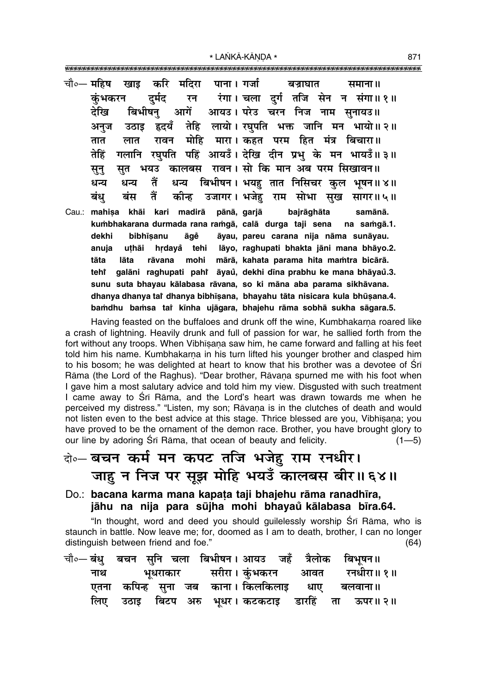\* LANKĀ-KĀNDA \*

|       | चौ०— महिष खाइ करि मदिरा पाना। गर्जा  बज्राघात<br>समाना ॥                  |
|-------|---------------------------------------------------------------------------|
|       | कुंभकरन दुर्मद रन रंगा।।चला दुर्ग तजि सेन न संगा॥१॥                       |
|       | बिभीषनु आगें आयउ। परेउ चरन निज नाम सुनायउ॥<br>देखि                        |
|       | उठाइ हृदयँ तेहि लायो।उप्युपति भक्त जानि मन भायो॥२॥<br>अनुज                |
|       | रावन मोहि मारा।।कहत परम हित मंत्र बिचारा॥<br>तात<br>लात                   |
|       | तेहिं गलानि रघुपति पहिं आयउँ।देखि दीन प्रभु के मन भायउँ॥३॥                |
|       | सुत भयउ कालबस रावन। सो कि मान अब परम सिखावन॥<br>सूनु                      |
|       | धन्य तैं धन्य बिभीषन । भयहु तात निसिचर कुल भूषन॥४॥<br>धन्य                |
|       | बंस तैं कीन्ह उजागर। भजेहु राम सोभा सुख सागर॥५॥<br>बंध                    |
| Cau.: | mahisa khāi kari madirā pānā, garjā bajrāghāta samānā.                    |
|       | kumbhakarana durmada rana ramgā, calā durga taji sena na samgā.1.         |
|       | dekhi<br>bibhīṣanu āgě āyau, pareu carana nija nāma sunāyau.              |
|       | uṭhāi hṛdayå tehi lāyo, raghupati bhakta jāni mana bhāyo.2.<br>anuja      |
|       | tāta<br>mohi mārā, kahata parama hita mamtra bicārā.<br>lāta<br>rāvana    |
|       | galāni raghupati pahr āyau, dekhi dīna prabhu ke mana bhāyau.3.<br>tehr   |
|       | sunu suta bhayau kālabasa rāvana, so ki māna aba parama sikhāvana.        |
|       | dhanya dhanya tai dhanya bibhīṣana, bhayahu tāta nisicara kula bhūṣana.4. |
|       | bamdhu bamsa tar kīnha ujāgara, bhajehu rāma sobhā sukha sāgara.5.        |

Having feasted on the buffaloes and drunk off the wine, Kumbhakarna roared like a crash of lightning. Heavily drunk and full of passion for war, he sallied forth from the fort without any troops. When Vibhisana saw him, he came forward and falling at his feet told him his name. Kumbhakarna in his turn lifted his younger brother and clasped him to his bosom; he was delighted at heart to know that his brother was a devotee of Srī Rāma (the Lord of the Raghus). "Dear brother, Rāvana spurned me with his foot when I gave him a most salutary advice and told him my view. Disgusted with such treatment I came away to Śrī Rāma, and the Lord's heart was drawn towards me when he perceived my distress." "Listen, my son; Rāvana is in the clutches of death and would not listen even to the best advice at this stage. Thrice blessed are you, Vibhisana; you have proved to be the ornament of the demon race. Brother, you have brought glory to our line by adoring Śrī Rāma, that ocean of beauty and felicity.  $(1 - 5)$ 

# के-बचन कर्म मन कपट तजि भजेहु राम रनधीर। जाहु न निज पर सूझ मोहि भयउँ कालबस बीर॥६४॥

#### Do.: bacana karma mana kapata taji bhajehu rāma ranadhīra, jāhu na nija para sūjha mohi bhayaŭ kālabasa bīra.64.

"In thought, word and deed you should guilelessly worship Srī Rāma, who is staunch in battle. Now leave me; for, doomed as I am to death, brother, I can no longer distinguish between friend and foe."  $(64)$ 

| चौ०— बंधु बचन सुनि चला बिभीषन। आयउ जहँ त्रैलोक बिभुषन॥ |                                                                                              |  |  |  |                                                |  |
|--------------------------------------------------------|----------------------------------------------------------------------------------------------|--|--|--|------------------------------------------------|--|
|                                                        |                                                                                              |  |  |  |                                                |  |
|                                                        | नाथ भृधराकार सरीरा। कुंभकरन आवत रनधीरा॥ १॥<br>एतना कपिन्ह सुना जब काना।।किलकिलाइ धाए बलवाना॥ |  |  |  |                                                |  |
|                                                        |                                                                                              |  |  |  | लिए उठाइ बिटप अरु भूधर।कटकटाइ डारहिं ता ऊपर॥२॥ |  |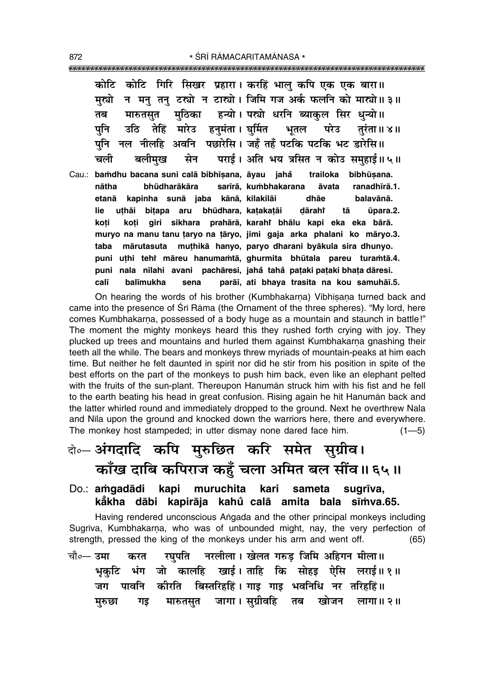| कोटि कोटि गिरि सिखर प्रहारा। करहिं भालु कपि एक एक बारा॥                                                                                                                                              |
|------------------------------------------------------------------------------------------------------------------------------------------------------------------------------------------------------|
| मुखो न मनु तनु टर्खा न टाखो। जिमि गज अर्क फलनि को माखो॥३॥                                                                                                                                            |
| मारुतसुत मुठिका हन्यो। पर्त्यो धरनि ब्याकुल सिर धुन्यो॥<br>तब                                                                                                                                        |
| पुनि उठि तेहिं मारेउ हनुमंता । घुर्मित भूतल परेउ तुरंता ॥ ४॥                                                                                                                                         |
| पनि नल नीलहि अवनि पछारेसि। जहँ तहँ पटकि पटकि भट डारेसि॥                                                                                                                                              |
| बलीमुख सेन पराई। अति भय त्रसित न कोउ समुहाई॥५॥<br>चली                                                                                                                                                |
| Cau.: bamdhu bacana suni calā bibhīṣana, āyau jahǎ trailoka bibhūṣana.<br>nātha<br>bhūdharākāra sarīrā, kumbhakarana āvata ranadhīrā.1.<br>etanā kapinha sunā jaba kānā, kilakilāi bi dhāe balavānā. |
| uthāi bitapa aru bhūdhara, katakatāi dārahi tā ūpara.2.<br>lie                                                                                                                                       |
| koți giri sikhara prahārā, karahi bhālu kapi eka eka bārā.<br>koti                                                                                                                                   |
| muryo na manu tanu taryo na tāryo, jimi gaja arka phalani ko māryo.3.                                                                                                                                |
| taba mārutasuta muthikā hanyo, paryo dharani byākula sira dhunyo.                                                                                                                                    |
| puni uthi tehi māreu hanumamtā, ghurmita bhūtala pareu turamtā.4.                                                                                                                                    |
| nala nīlahi avani pachāresi, jahå tahå paṭaki paṭaki bhaṭa dāresi.<br>puni                                                                                                                           |
| calī<br>balīmukha<br>parāi, ati bhaya trasita na kou samuhāi.5.<br>sena                                                                                                                              |

On hearing the words of his brother (Kumbhakarna) Vibhisana turned back and came into the presence of Sri Rama (the Ornament of the three spheres). "My lord, here comes Kumbhakarna, possessed of a body huge as a mountain and staunch in battle!" The moment the mighty monkeys heard this they rushed forth crying with joy. They plucked up trees and mountains and hurled them against Kumbhakarna gnashing their teeth all the while. The bears and monkeys threw myriads of mountain-peaks at him each time. But neither he felt daunted in spirit nor did he stir from his position in spite of the best efforts on the part of the monkeys to push him back, even like an elephant pelted with the fruits of the sun-plant. Thereupon Hanuman struck him with his fist and he fell to the earth beating his head in great confusion. Rising again he hit Hanuman back and the latter whirled round and immediately dropped to the ground. Next he overthrew Nala and Nila upon the ground and knocked down the warriors here, there and everywhere. The monkey host stampeded; in utter dismay none dared face him.  $(1 - 5)$ 

# के-अंगदादि कपि मुरुछित करि समेत सुग्रीव। काँख दाबि कपिराज कहुँ चला अमित बल सींव॥६५॥

#### Do.: amgadādi kapi muruchita kari sameta sugrīva, dābi kapirāja kahů calā amita bala sīmva.65. kākha

Having rendered unconscious Angada and the other principal monkeys including Sugrīva, Kumbhakarna, who was of unbounded might, nay, the very perfection of strength, pressed the king of the monkeys under his arm and went off.  $(65)$ 

चौ०— उमा रघपति जरलीला । खेलत गरुड जिमि अहिगन मीला ॥ करत भंग जो कालहि खाई।ताहि कि सोहड़ ऐसि लराई॥१॥ भकटि कीरति बिस्तरिहहिं। गाइ गाइ भवनिधि नर तरिहहिं॥ पावनि जग मारुतसत जागा। सुग्रीवहि तब खोजन लागा॥२॥ गड मरुछा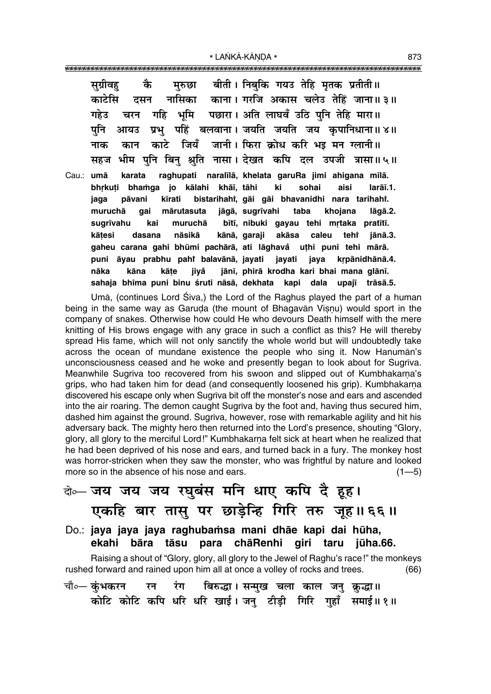कै बीती। निबकि गयउ तेहि मतक प्रतीती॥ सग्रीवह मरुछा काटेमि काना। गरजि अकास चलेउ तेहिं जाना॥३॥ दसन नासिका पछारा। अति लाघवँ उठि पनि तेहि मारा॥ गहेउ चरन गहि भमि पहिं बलवाना। जयति जयति जय कपानिधाना॥४॥ पनि प्रभ आयउ जियँ जानी। फिरा क्रोध करि भड़ मन ग्लानी॥ कान काटे नाक भीम पनि बिन् श्रुति नासा। देखत कपि दल उपजी त्रासा॥५॥ सहज raghupati naralīlā, khelata garuRa jimi ahigana mīlā. Cau.: umā karata bhrkuti bhamga jo kālahi khāī, tāhi ki sohai aisi larāī.1. jaga pāvani kīrati bistarihahi, gāi gāi bhavanidhi nara tarihahi. muruchā mārutasuta jāgā, sugrīvahi taba khojana aai lāgā.2. sugrīvahu muruchā bītī, nibuki gayau tehi mrtaka pratītī. kai kātesi dasana nāsikā kānā, garaji akāsa caleu teht jānā.3. gaheu carana gahi bhūmi pachārā, ati lāghavå uthi puni tehi mārā. jayati puni āyau prabhu pahi balavānā, jayati jaya krpānidhānā.4. kāte jānī, phirā krodha kari bhai mana glānī. nāka kāna jiyå sahaja bhīma puni binu śruti nāsā, dekhata kapi daļa upajī trāsā.5.

Umā, (continues Lord Śiva,) the Lord of the Raghus played the part of a human being in the same way as Garuda (the mount of Bhagavan Visnu) would sport in the company of snakes. Otherwise how could He who devours Death himself with the mere knitting of His brows engage with any grace in such a conflict as this? He will thereby spread His fame, which will not only sanctify the whole world but will undoubtedly take across the ocean of mundane existence the people who sing it. Now Hanuman's unconsciousness ceased and he woke and presently began to look about for Sugriva. Meanwhile Sugriva too recovered from his swoon and slipped out of Kumbhakarna's grips, who had taken him for dead (and consequently loosened his grip). Kumbhakarna discovered his escape only when Sugriva bit off the monster's nose and ears and ascended into the air roaring. The demon caught Sugriva by the foot and, having thus secured him, dashed him against the ground. Sugriva, however, rose with remarkable agility and hit his adversary back. The mighty hero then returned into the Lord's presence, shouting "Glory, glory, all glory to the merciful Lord!" Kumbhakarna felt sick at heart when he realized that he had been deprived of his nose and ears, and turned back in a fury. The monkey host was horror-stricken when they saw the monster, who was frightful by nature and looked more so in the absence of his nose and ears.  $(1 - 5)$ 

# के-जय जय जय रघुबंस मनि धाए कपि दै हूह। एकहि बार तासु पर छाड़ेन्हि गिरि तरु जुह।। ६६॥

Do.: jaya jaya jaya raghubamsa mani dhāe kapi dai hūha, ekahi bāra tāsu para chāRenhi giri taru jūha.66.

Raising a shout of "Glory, glory, all glory to the Jewel of Raghu's race!" the monkeys rushed forward and rained upon him all at once a volley of rocks and trees.  $(66)$ 

|  |  | चौ∘— कुंभकरन     रन     रंग     बिरुद्धा । सन्मुख  चला  काल  जनु  क्रुद्धा ॥ |  |  |                                                         |  |
|--|--|------------------------------------------------------------------------------|--|--|---------------------------------------------------------|--|
|  |  |                                                                              |  |  | कोटि कोटि कपि धरि धरि खाई। जनु टीड़ी गिरि गुहाँ समाई॥१॥ |  |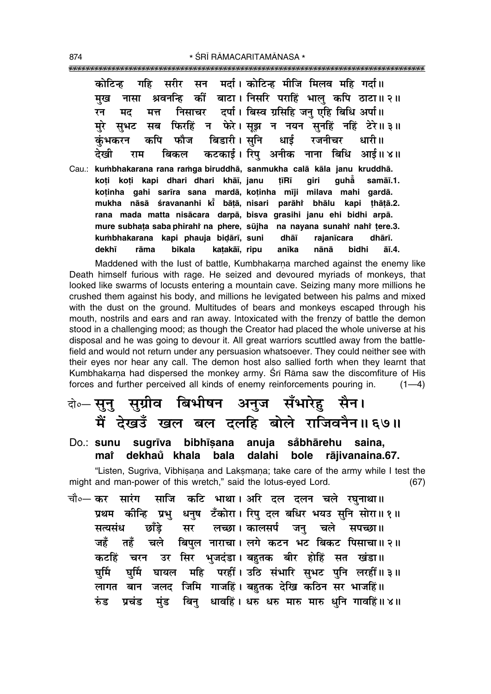े कोटिन्ह गहि सरीर सन मर्दा**। कोटिन्ह मीजि मिलव महि गर्दा**॥ **मुख नासा श्रवनन्हि कीं बाटा। निसरि पराहिं भालु कपि ठाटा॥२॥ रन मद मत्त निसाचर दर्पा। बिस्व ग्रसिहि** जन् एहि बिधि अर्पा ॥ <u>मरे स</u>भट सब फिरहिं न फेरे।सुझ न नयन सनहिं नहिं टेरे॥३॥ कंभकरन कपि फौज बिडारी।सुनि धाई रजनीचर धारी॥ देखी राम बिकल कटकाई।**रिप अनीक नाना बिधि आई॥४॥** 

Cau.: kumbhakarana rana ramga biruddhā, sanmukha calā kāla janu kruddhā. **ko¢i ko¢i kapi dhari dhari khå∂, janu ¢∂R∂ giri guhå° samå∂.1. ko¢inha gahi sar∂ra sana mardå, ko¢inha m∂ji milava mahi gardå. mukha nåså ‹ravananhi k∂° bå¢å, nisari paråhiÚ bhålu kapi ¢hå¢å.2. rana mada matta nisåcara darpå, bisva grasihi janu ehi bidhi arpå. mure subha¢a saba phirahiÚ na phere, sµujha na nayana sunahiÚ nahiÚ ¢ere.3. ku≈bhakarana kapi phauja biŒår∂, suni dhå∂ rajan∂cara dhår∂. dekh∂ råma bikala ka¢akå∂, ripu an∂ka nånå bidhi å∂.4.**

Maddened with the lust of battle, Kumbhakarna marched against the enemy like Death himself furious with rage. He seized and devoured myriads of monkeys, that looked like swarms of locusts entering a mountain cave. Seizing many more millions he crushed them against his body, and millions he levigated between his palms and mixed with the dust on the ground. Multitudes of bears and monkeys escaped through his mouth, nostrils and ears and ran away. lntoxicated with the frenzy of battle the demon stood in a challenging mood; as though the Creator had placed the whole universe at his disposal and he was going to devour it. All great warriors scuttled away from the battlefield and would not return under any persuasion whatsoever. They could neither see with their eyes nor hear any call. The demon host also sallied forth when they learnt that Kumbhakarna had dispersed the monkey army. Śrī Rāma saw the discomfiture of His forces and further perceived all kinds of enemy reinforcements pouring in.  $(1-4)$ 

## दो**०– सून् सुग्रीव बिभीषन अनुज सँभारेह सैन।** <u>मैं देखउँ खल बल दलहि बोले राजिवनैन॥६७॥</u>

#### Do.: **sunu sugr∂va bibh∂¶ana anuja sa°bhårehu saina, maiÚ dekhau khala bala dalahi bole råjivanaina.67. °**

ìListen, Sugr∂va, Vibh∂¶aƒa and Lak¶maƒa; take care of the army while I test the might and man-power of this wretch," said the lotus-eyed Lord. (67)

चौ०— <mark>कर सारंग साजि कटि भाथा। अरि दल दलन चले रघुनाथा॥</mark> प्रथम कीन्हि प्रभु धनुष टँकोरा। रिपु दल बधिर भयउ सुनि सोरा॥१॥ सत्यसंध छाँडे सर लच्छा।कालसर्प**जन् चले सपच्छा**॥ जहँ तहँ चले बिपुल नाराचा ।लगे कटन भट बिकट पिसाचा॥२॥ **कटहिं चरन उर सिर भुजदंडा। बहुतक बीर होहिं सत खंडा॥** <u>घुर्मि घुर्मि घायल महि परहीं। उठि संभारि सुभट पुनि लरहीं॥३॥</u> लागत बान जलद जिमि गाजहिं । बहुतक देखि कठिन सर भाजहिं ॥ रुंड प्रचंड मंड बिन् धावहिं। धरु धरु मारु मारु धनि गावहिं॥ ४॥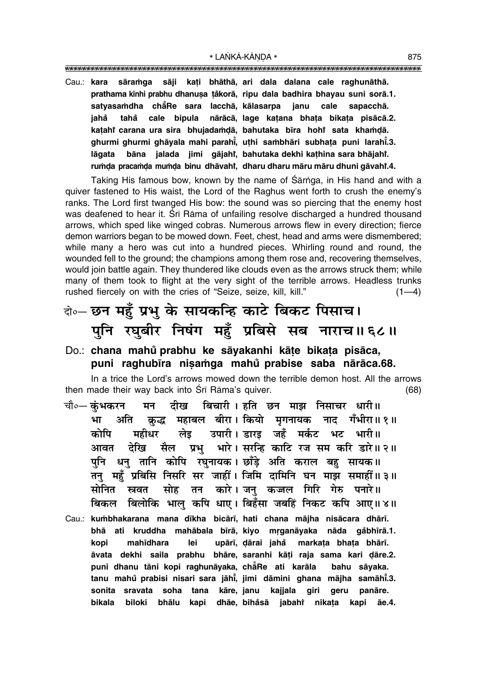sāramga sāji kați bhāthā, ari dala dalana cale raghunāthā. Cau.: **kara** prathama kinhi prabhu dhanusa tåkorā, ripu dala badhira bhayau suni sorā.1. satvasamdha chẳRe sara lacchā kālasarpa ianu cale sapacchā. cale bipula nārācā, lage katana bhata bikata pisācā.2. jahå tahå katahi carana ura sira bhujadamdā, bahutaka bīra hohi sata khamdā. ghurmi ghurmi ghāyala mahi parahi, uthi sambhāri subhata puni larahi.3. lāgata bāna jalada jimi gājahi, bahutaka dekhi kathina sara bhājahi. rumda pracamda mumda binu dhāvahi, dharu dharu māru māru dhuni gāvahi.4.

Taking His famous bow, known by the name of Sarnga, in His hand and with a quiver fastened to His waist, the Lord of the Raghus went forth to crush the enemy's ranks. The Lord first twanged His bow: the sound was so piercing that the enemy host was deafened to hear it. Srī Rāma of unfailing resolve discharged a hundred thousand arrows, which sped like winged cobras. Numerous arrows flew in every direction; fierce demon warriors began to be mowed down. Feet, chest, head and arms were dismembered; while many a hero was cut into a hundred pieces. Whirling round and round, the wounded fell to the ground; the champions among them rose and, recovering themselves, would join battle again. They thundered like clouds even as the arrows struck them; while many of them took to flight at the very sight of the terrible arrows. Headless trunks rushed fiercely on with the cries of "Seize, seize, kill, kill."  $(1-4)$ 

# वे॰ छन महँ प्रभु के सायकन्हि काटे बिकट पिसाच। पनि रघबीर निषंग महुँ प्रबिसे सब नाराच॥६८॥

#### Do.: chana mahů prabhu ke sāyakanhi kāte bikata pisāca, puni raghubīra nisamga mahu prabise saba nārāca.68.

In a trice the Lord's arrows mowed down the terrible demon host. All the arrows then made their way back into Srī Rāma's quiver.  $(68)$ 

- चौ०— कुंभकरन दीख बिचारी । हति छन माझ निसाचर धारी॥ मन महाबल बीरा। कियो मगनायक नाद गँभीरा॥१॥ अति भा क्रद्ध कोपि महीधर लेड उपारी। डारड जहँ मर्कट भट भारी॥ सैल प्रभु भारे। सरन्हि काटि रज सम करि डारे॥ २॥ देखि आवत पुनि धनु तानि कोपि रघुनायक। छाँड़े अति कराल बहु सायक॥ तन महँ प्रबिसि निसरि सर जाहीं। जिमि दामिनि घन माझ समाहीं॥३॥ सोह तन कारे।जनु कज्जल गिरि गेरु पनारे॥ सोनित स्रवत बिलोकि भालु कपि धाए। बिहँसा जबहिं निकट कपि आए॥४॥ बिकल
- Cau.: kumbhakarana mana dīkha bicārī, hati chana mājha nisācara dhārī. bhā ati kruddha mahābala bīrā, kiyo mrganāyaka nāda gåbhīrā.1. mahīdhara lei upārī, dārai jahå kopi markata bhata bhārī. āvata dekhi saila prabhu bhāre, saranhi kāti raja sama kari dāre.2. puni dhanu tāni kopi raghunāyaka, cha Re ati karāla bahu sāyaka. tanu mahů prabisi nisari sara jāhi, jimi dāmini ghana mājha samāhi.3. sonita sravata soha tana kāre, janu kajjala giri geru panāre. bikala biloki bhālu kapi dhāe, bihåsā jabahǐ nikata kapi āe.4.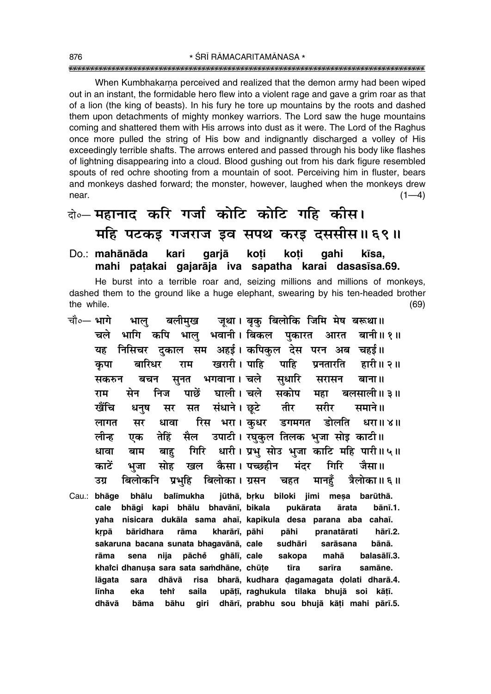When Kumbhakarna perceived and realized that the demon army had been wiped out in an instant, the formidable hero flew into a violent rage and gave a grim roar as that of a lion (the king of beasts). In his fury he tore up mountains by the roots and dashed them upon detachments of mighty monkey warriors. The Lord saw the huge mountains coming and shattered them with His arrows into dust as it were. The Lord of the Raghus once more pulled the string of His bow and indignantly discharged a volley of His exceedingly terrible shafts. The arrows entered and passed through his body like flashes of lightning disappearing into a cloud. Blood gushing out from his dark figure resembled spouts of red ochre shooting from a mountain of soot. Perceiving him in fluster, bears and monkeys dashed forward; the monster, however, laughed when the monkeys drew near  $(1-4)$ 

# वे० महानाद करि गर्जा कोटि कोटि गहि कीस। महि पटकइ गजराज इव सपथ करइ दससीस॥६९॥

#### Do.: mahānāda kari qarjā koti koti qahi kīsa. gajarāja iva sapatha karai dasasīsa.69. mahi patakai

He burst into a terrible roar and, seizing millions and millions of monkeys, dashed them to the ground like a huge elephant, swearing by his ten-headed brother the while.  $(69)$ 

- चौ०— भागे जुथा। बुक् बिलोकि जिमि मेष बरूथा॥ बलीमुख भाल् भागि कपि भाल भवानी। बिकल चले पकारत बानी॥ १॥ आरत निसिचर दुकाल सम अहुई। कपिकुल देस परन अब चहुई॥ यह पाहि खरारी। पाहि प्रनतारति हारी॥ २॥ बारिधर राम कपा भगवाना । चले सधारि सूनत सरासन सकरुन बचन बाना ॥ सेन निज पाछें घाली । चले सकोप बलसाली॥ ३॥ राम महा खेंचि संधाने । छटे तीर सरीर समाने ॥ धनुष सर सत लागत सर धावा रिस भरा।कधर डगमगत डोलति धरा॥४॥ उपाटी। रघुकुल तिलक भुजा सोइ काटी॥ तेहिं लीन्ह सैल एक गिरि धारी। प्रभु सोउ भुजा काटि महि पारी॥५॥ बाह् धावा बाम काटें सोह कैसा। पच्छहीन गिरि जैसा॥ भजा खल मंदर बिलोका। ग्रसन मानहँ बिलोकनि प्रभहि त्रैलोका॥ ६॥ उग्र चहत
- balīmukha jūthā, brku biloki jimi mesa barūthā. Cau.: bhace bhālu bhāgi kapi bhālu bhavānī, bikala cale pukārata ārata bānī.1. yaha nisicara dukāla sama ahaī, kapikula desa parana aba cahaī. kharārī, pāhi krpā bāridhara rāma pāhi pranatārati hārī.2. sakaruna bacana sunata bhagavānā, cale sudhāri sarāsana bānā. balasālī.3. rāma sena nija pāchě ghālī, cale sakopa mahā khaici dhanusa sara sata samdhāne, chūțe sarīra samāne. tīra risa bharā, kudhara dagamagata dolati dharā.4. lāgata sara dhāvā upāțī, raghukula tilaka bhujā soi kāțī. līnha teht saila eka bāhu giri dhārī, prabhu sou bhujā kāti mahi pārī.5. dhāvā bāma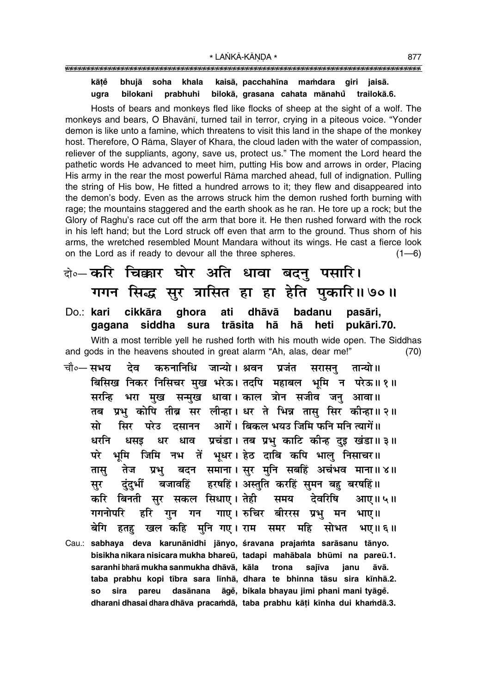#### kātě bhujā soha khala kaisā, pacchahīna mamdara giri jaisā. bilokā, grasana cahata mānahů uqra bilokani prabhuhi trailokā.6.

Hosts of bears and monkeys fled like flocks of sheep at the sight of a wolf. The monkeys and bears, O Bhavānī, turned tail in terror, crying in a piteous voice. "Yonder demon is like unto a famine, which threatens to visit this land in the shape of the monkey host. Therefore, O Rāma, Slayer of Khara, the cloud laden with the water of compassion, reliever of the suppliants, agony, save us, protect us." The moment the Lord heard the pathetic words He advanced to meet him, putting His bow and arrows in order, Placing His army in the rear the most powerful Rama marched ahead, full of indignation. Pulling the string of His bow, He fitted a hundred arrows to it; they flew and disappeared into the demon's body. Even as the arrows struck him the demon rushed forth burning with rage; the mountains staggered and the earth shook as he ran. He tore up a rock; but the Glory of Raghu's race cut off the arm that bore it. He then rushed forward with the rock in his left hand; but the Lord struck off even that arm to the ground. Thus shorn of his arms, the wretched resembled Mount Mandara without its wings. He cast a fierce look on the Lord as if ready to devour all the three spheres.  $(1-6)$ 

बे॰-करि चिक्कार घोर अति धावा बदनु पसारि। गगन सिद्ध सुर त्रासित हा हा हेति पुकारि॥७०॥ qhora dhāvā Do.: kari cikkāra ati badanu pasāri.

#### qaqana siddha sura trāsita hā hā heti pukāri.70.

With a most terrible yell he rushed forth with his mouth wide open. The Siddhas and gods in the heavens shouted in great alarm "Ah, alas, dear me!"  $(70)$ 

- करुनानिधि जान्यो।श्रवन प्रजंत चौ०— सभय देव सरासन तान्यो ॥ बिसिख निकर निसिचर मुख भरेऊ। तदपि महाबल भूमि न परेऊ॥१॥ सरन्हि भरा मुख सन्मुख धावा।काल त्रोन सजीव जनु आवा॥ तब प्रभु कोपि तीब्र सर लीन्हा। धर ते भिन्न तासु सिर कीन्हा॥ २॥ सिर परेड दसानन आगें। बिकल भयउ जिमि फनि मनि त्यागें॥ म्रो धसइ धर धाव प्रचंडा। तब प्रभु काटि कीन्ह दुइ खंडा॥३॥ धरनि परे भूमि जिमि नभ तें भुधर।हेठ दाबि कपि भाल निसाचर॥ बदन समाना। सुर मुनि सबहिं अचंभव माना॥४॥ तेज प्रभ् तास दुंदुभीं बजावहिं हरषहिं । अस्तुति करहिं सुमन बहु बरषहिं ॥ सर करि बिनती सुर सकल सिधाए। तेही समय देवरिषि आए॥५॥ गगनोपरि हरि गुन गन गाए। रुचिर बीररस प्रभु मन भाए॥ हतह खल कहि मुनि गए। राम समर महि सोभत भए॥६॥ बेगि
- Cau.: sabhaya deva karunānidhi jānyo, śravana prajamta sarāsanu tānyo. bisikha nikara nisicara mukha bhareū, tadapi mahābala bhūmi na pareū.1. saranhi bharā mukha sanmukha dhāvā, kāla trona sajīva janu āvā. taba prabhu kopi tībra sara līnhā, dhara te bhinna tāsu sira kīnhā.2. sira pareu dasānana āgě, bikala bhayau jimi phani mani tyāgě. **SO** dharani dhasai dhara dhāva pracamdā, taba prabhu kāti kīnha dui khamdā.3.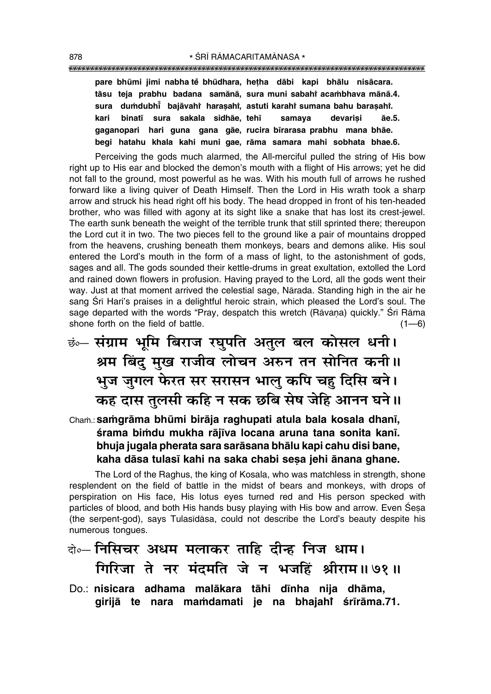#### """""""""""""""""""""""""""""""""""""""""""""""""""""""""""""""""""""""""""""""""""

**pare bhµumi jimi nabha te° bhµudhara, he¢ha dåbi kapi bhålu nisåcara. tåsu teja prabhu badana samånå, sura muni sabahiÚ aca≈bhava månå.4. sura duṁdubhi̇̃ bajāvahi haraṣahi, astuti karahi sumana bahu baraṣahi. kari binat∂ sura sakala sidhåe, teh∂ samaya devari¶i åe.5. gaganopari hari guna gana gåe, rucira b∂rarasa prabhu mana bhåe. begi hatahu khala kahi muni gae, råma samara mahi sobhata bhae.6.**

Perceiving the gods much alarmed, the All-merciful pulled the string of His bow right up to His ear and blocked the demon's mouth with a flight of His arrows; yet he did not fall to the ground, most powerful as he was. With his mouth full of arrows he rushed forward like a living quiver of Death Himself. Then the Lord in His wrath took a sharp arrow and struck his head right off his body. The head dropped in front of his ten-headed brother, who was filled with agony at its sight like a snake that has lost its crest-jewel. The earth sunk beneath the weight of the terrible trunk that still sprinted there; thereupon the Lord cut it in two. The two pieces fell to the ground like a pair of mountains dropped from the heavens, crushing beneath them monkeys, bears and demons alike. His soul entered the Lord's mouth in the form of a mass of light, to the astonishment of gods, sages and all. The gods sounded their kettle-drums in great exultation, extolled the Lord and rained down flowers in profusion. Having prayed to the Lord, all the gods went their way. Just at that moment arrived the celestial sage, Nårada. Standing high in the air he sang Śrī Hari's praises in a delightful heroic strain, which pleased the Lord's soul. The sage departed with the words "Pray, despatch this wretch (Rāvana) quickly." Śrī Rāma shone forth on the field of battle. (1–6) (1–6)

 $\dot{\vec{v}}$  संग्राम भूमि बिराज रघुपति अतुल बल कोसल धनी। श्रम बिंदु मुख राजीव लोचन अरुन तन सोनित कनी ।। <u>भु</u>ज जुगल फेरत सर सरासन भालु कपि चहु दिसि बने। **कह दास तुलसी कहि न सक छबि सेष जेहि आनन घने।।** 

Cham.: samgrāma bhūmi birāja raghupati atula bala kosala dhanī, **‹rama bi≈du mukha råj∂va locana aruna tana sonita kan∂. bhuja jugala pherata sara saråsana bhålu kapi cahu disi bane,** kaha dāsa tulasī kahi na saka chabi sesa jehi ānana ghane.

The Lord of the Raghus, the king of Kosala, who was matchless in strength, shone resplendent on the field of battle in the midst of bears and monkeys, with drops of perspiration on His face, His lotus eyes turned red and His person specked with particles of blood, and both His hands busy playing with His bow and arrow. Even Sesa (the serpent-god), says Tulas∂dåsa, could not describe the Lordís beauty despite his numerous tongues.

## दो**०– निसिचर अधम मलाकर ताहि दीन्ह निज धाम।** गिरिजा ते नर मंदमति जे न भजहिं श्रीराम॥**७१॥**

Do.: **nisicara adhama malåkara tåhi d∂nha nija dhåma, girijå te nara ma≈damati je na bhajahiÚ ‹r∂råma.71.**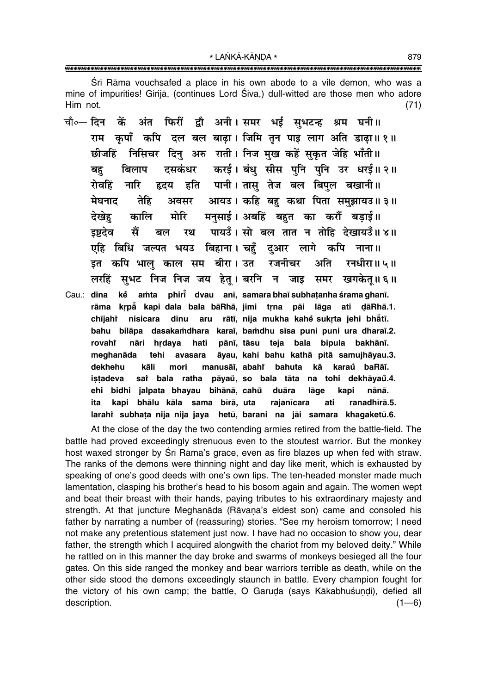\* LANKĀ-KĀNDA \* 

Srī Rāma vouchsafed a place in his own abode to a vile demon, who was a mine of impurities! Girijā, (continues Lord Śiva,) dull-witted are those men who adore Him not.  $(71)$ 

- चौ०— दिन कें अंत फिरीं द्वौ अनी। समर भई सभटन्ह श्रम घनी॥ राम कपाँ कपि दल बल बाढा। जिमि तन पाइ लाग अति डाढा॥१॥ छीजहिं निसिचर दिन अरु राती। निज मख कहें सकत जेहि भाँती॥ दसकंधर करई। बंधु सीस पुनि पुनि उर धरई॥ २॥ बिलाप बह हृदय हति पानी। तासु तेज बल बिपुल बखानी ।। रोवहिं नारि आयउ। कहि बह कथा पिता समझायउ॥३॥ मेघनाट तेहि अवसर मनुसाई। अबहिं बहुत का करौं बड़ाई॥ देखेह कालि मोरि पायउँ। सो बल तात न तोहि देखायउँ॥४॥ इष्टदेव सैं बल रथ एहि बिधि जल्पत भयउ बिहाना। चहँ दआर लागे कपि नाना॥ इत कपि भाल काल सम बीरा। उत अति रजनीचर रनधीरा॥ ५॥ लरहिं सुभट निज निज जय हेतू। बरनि न जाइ समर खगकेतू॥६॥
- Cau.: dina ke amta phiri dvau ani, samara bhai subhaṭanha śrama ghani. rāma krpā kapi dala bala bāRhā, jimi trna pāi lāga ati dāRhā.1. aru rātī, nija mukha kahe sukrta jehi bhātī. chīiaht nisicara dinu bahu bilāpa dasakamdhara karaī, bamdhu sīsa puni puni ura dharaī.2. pānī, tāsu teja bala bipula bakhānī. rovahi nāri hrdava hati āyau, kahi bahu kathā pitā samujhāyau.3. meghanāda tehi avasara dekhehu kāli mori manusāī, abahi bahuta kā karaů baRāī. sař bala ratha pāyaů, so bala tāta na tohi dekhāyaů.4. istadeva ehi bidhi jalpata bhayau bihānā, cahů nānā. duāra lāge kapi kapi bhālu kāla sama bīrā, uta rajanīcara ranadhīrā.5. ita ati larahi subhata nija nija jaya hetū, barani na jāi samara khagaketū.6.

At the close of the day the two contending armies retired from the battle-field. The battle had proved exceedingly strenuous even to the stoutest warrior. But the monkey host waxed stronger by Srī Rāma's grace, even as fire blazes up when fed with straw. The ranks of the demons were thinning night and day like merit, which is exhausted by speaking of one's good deeds with one's own lips. The ten-headed monster made much lamentation, clasping his brother's head to his bosom again and again. The women wept and beat their breast with their hands, paying tributes to his extraordinary majesty and strength. At that juncture Meghanāda (Rāvana's eldest son) came and consoled his father by narrating a number of (reassuring) stories. "See my heroism tomorrow; I need not make any pretentious statement just now. I have had no occasion to show you, dear father, the strength which I acquired alongwith the chariot from my beloved deity." While he rattled on in this manner the day broke and swarms of monkeys besieged all the four gates. On this side ranged the monkey and bear warriors terrible as death, while on the other side stood the demons exceedingly staunch in battle. Every champion fought for the victory of his own camp; the battle, O Garuda (says Kākabhuśundi), defied all description.  $(1-6)$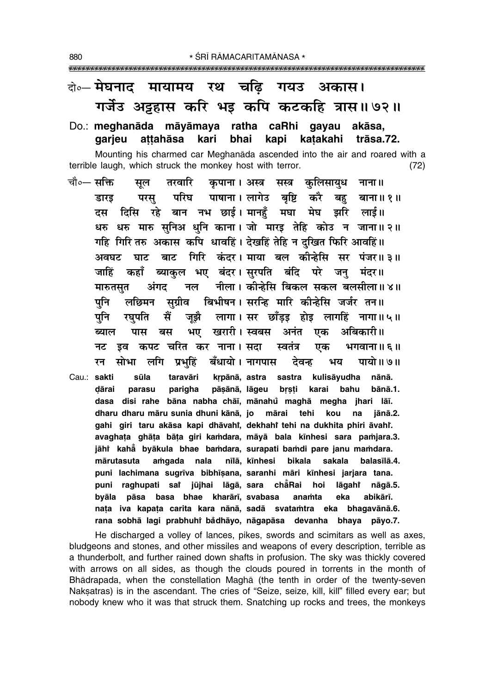#### <sub>दो०—</sub> मेघनात मायामय रथ चढि गयउ अकास। गर्जेंड अट्टहास करि भड़ कपि कटकहि त्रास॥७२॥

#### Do.: meghanāda māyāmaya ratha caRhi gayau akāsa. garjeu attahāsa kari bhai kapi katakahi trāsa.72.

Mounting his charmed car Meghanada ascended into the air and roared with a terrible laugh, which struck the monkey host with terror.  $(72)$ 

- चौ०— सक्ति तरवारि कपाना। अस्त्र सस्त्र कलिसायथ नाना॥ सल परिघ पाषाना। लागेउ बृष्टि करै बहु बाना॥१॥ डारड परस दस दिसि रहे बान नभ छाई। मानहँ मघा मेघ झरि लाई।। धरु धरु मारु सुनिअ धुनि काना। जो मारइ तेहि कोउ न जाना॥२॥ गहि गिरि तरु अकास कपि धावहिं। देखहिं तेहि न दुखित फिरि आवहिं॥ अवघट घाट बाट गिरि कंदर।माया बल कीन्हेसि सर पंजर॥३॥ कहाँ ब्याकुल भए बंदर।सुरपति बंदि परे जनु मंदर॥ जाहिं नल - नीला । कोन्हेसि बिकल सकल बलसीला॥४॥ अंगद मारुतसत लछिमन सग्रीव बिभीषन। सरन्हि मारि कीन्हेसि जर्जर तन॥ पनि पनि रघपति मैं जुझै लागा। सर छाँडड होड लागहिं नागा॥५॥ भए खरारी।स्वबस अनंत एक पास बस अबिकारी॥ ब्याल इव कपट चरित कर नाना। सदा स्वतंत्र एक भगवाना ॥ ६ ॥ नट रन सोभा लगि प्रभुहिं बँधायो।ननागपास पायो ॥ ७ ॥ देवन्ह भय
- Cau.: sakti sūla taravāri kṛpānā, astra sastra kulisāyudha nānā. dārai pāṣānā, lāgeu brṣṭi karai bahu parasu parigha bānā.1. dasa disi rahe bāna nabha chāī, mānahů maghā megha jhari lāī. dharu dharu māru sunia dhuni kānā, jo mārai tehi kou na jānā.2. gahi giri taru akāsa kapi dhāvahi, dekhahi tehi na dukhita phiri āvahi. avaghata ghāta bāta giri kamdara, māyā bala kīnhesi sara pamjara.3. jāhi kahā byākula bhae bamdara, surapati bamdi pare janu mamdara. mārutasuta amgada nala nīlā, kīnhesi bikala sakala balasīlā.4. puni lachimana sugrīva bibhīsana, saranhi māri kīnhesi jarjara tana. puni raghupati sai jūjhai lāgā, sara chārai hoi lāgahi nāgā.5. byāla pāsa basa bhae kharārī, svabasa eka anamta abikārī. nața iva kapața carita kara nānā, sadā svatamtra eka bhagavānā.6. rana sobhā lagi prabhuhi bådhāyo, nāgapāsa devanha bhaya pāyo.7.

He discharged a volley of lances, pikes, swords and scimitars as well as axes, bludgeons and stones, and other missiles and weapons of every description, terrible as a thunderbolt, and further rained down shafts in profusion. The sky was thickly covered with arrows on all sides, as though the clouds poured in torrents in the month of Bhādrapada, when the constellation Maghā (the tenth in order of the twenty-seven Naksatras) is in the ascendant. The cries of "Seize, seize, kill, kill" filled every ear; but nobody knew who it was that struck them. Snatching up rocks and trees, the monkeys

880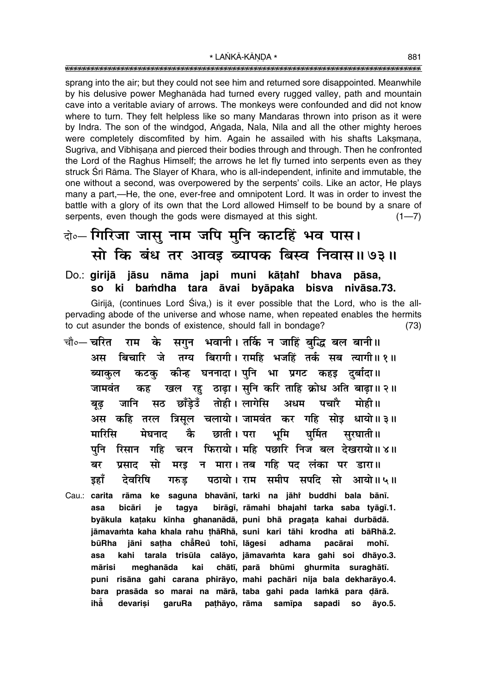sprang into the air; but they could not see him and returned sore disappointed. Meanwhile by his delusive power Meghanada had turned every rugged valley, path and mountain cave into a veritable aviary of arrows. The monkeys were confounded and did not know where to turn. They felt helpless like so many Mandaras thrown into prison as it were by Indra. The son of the windgod, Angada, Nala, Nila and all the other mighty heroes were completely discomfited by him. Again he assailed with his shafts Laksmana, Sugriva, and Vibhisana and pierced their bodies through and through. Then he confronted the Lord of the Raghus Himself; the arrows he let fly turned into serpents even as they struck Srī Rāma. The Slayer of Khara, who is all-independent, infinite and immutable, the one without a second, was overpowered by the serpents' coils. Like an actor, He plays many a part,—He, the one, ever-free and omnipotent Lord. It was in order to invest the battle with a glory of its own that the Lord allowed Himself to be bound by a snare of serpents, even though the gods were dismayed at this sight.  $(1 - 7)$ 

## के⊶ गिरिजा जासु नाम जपि मुनि काटहिं भव पास। सो कि बंध तर आवड़ ब्यापक बिस्व निवास॥७३॥

#### Do.: girijā jāsu nāma japi muni kātahi bhava pāsa. so ki bamdha tara āvai byāpaka bisva nivāsa.73.

Girijā, (continues Lord Śiva.) is it ever possible that the Lord, who is the allpervading abode of the universe and whose name, when repeated enables the hermits to cut asunder the bonds of existence, should fall in bondage?  $(73)$ 

- चौ०— चरित राम के सगुन भवानी। तर्कि न जाहिं बुद्धि बल बानी॥ बिचारि जे तग्य बिरागी।रामहि भजहिं तर्क सब त्यागी॥१॥ अस कटक् कीन्ह घननादा। पनि भा प्रगट कहड़ दर्बादा॥ व्याकल खल रह ठाढा। सनि करि ताहि क्रोध अति बाढा॥२॥ जामवंत कह सठ छाँडेउँ तोही।ललागेसि अधम पचारै मोही।। जानि बढ अस कहि तरल त्रिसूल चलायो। जामवंत कर गहि सोइ धायो॥३॥ मारिसि मेघनाद कै छाती । परा भूमि घर्मित सरघाती ॥ पनि रिसान गहि ्चरन फिरायो । महि पछारि निज बल देखरायो॥४॥ मो न मारा। तब गहि पद लंका पर डारा॥ मरड बर प्रसाद पठायो। राम समीप सपदि सो आयो॥५॥ डहाँ देवरिषि गरुड
- Cau : carita rāma ke saguna bhavānī, tarki na jāhi buddhi bala bānī. bicāri birāgī, rāmahi bhajahi tarka saba tyāgī.1. asa ie tagya byākula kataku kīnha ghananādā, puni bhā pragata kahai durbādā. jāmavamta kaha khala rahu thāRhā, suni kari tāhi krodha ati bāRhā.2. jāni satha chẳReů tohī, lāgesi būRha adhama pacārai mohī. kahi tarala trisūla calāyo, jāmavamta kara gahi soi dhāyo.3. asa chātī, parā bhūmi ghurmita suraghātī. mārisi meghanāda kai puni risāna gahi carana phirāyo, mahi pachāri nija bala dekharāyo.4. bara prasāda so marai na mārā, taba gahi pada lamkā para dārā. ihẳ devarisi garuRa pathāyo, rāma samīpa sapadi **SO** āyo.5.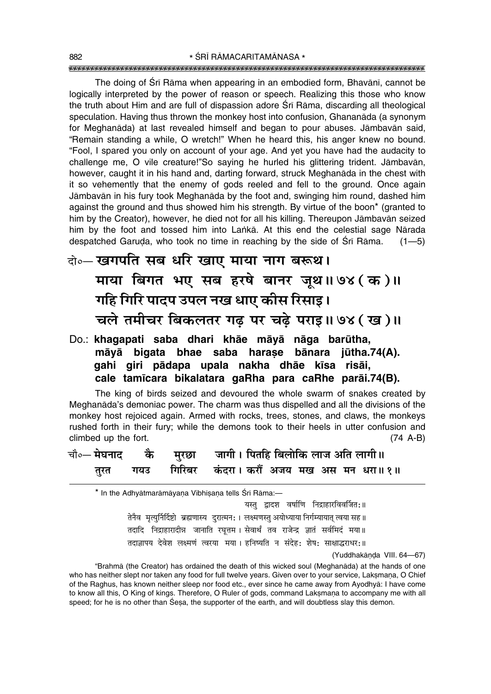The doing of Śrī Rāma when appearing in an embodied form, Bhavānī, cannot be logically interpreted by the power of reason or speech. Realizing this those who know the truth about Him and are full of dispassion adore Śrī Rāma, discarding all theological speculation. Having thus thrown the monkey host into confusion, Ghananåda (a synonym for Meghanåda) at last revealed himself and began to pour abuses. Jåmbavån said, "Remain standing a while, O wretch!" When he heard this, his anger knew no bound. ìFool, I spared you only on account of your age. And yet you have had the audacity to challenge me, O vile creature!"So saying he hurled his glittering trident. Jāmbavān, however, caught it in his hand and, darting forward, struck Meghanåda in the chest with it so vehemently that the enemy of gods reeled and fell to the ground. Once again Jåmbavån in his fury took Meghanåda by the foot and, swinging him round, dashed him against the ground and thus showed him his strength. By virtue of the boon\* (granted to him by the Creator), however, he died not for all his killing. Thereupon Jåmbavån seized him by the foot and tossed him into Lanka. At this end the celestial sage Nārada despatched Garuda, who took no time in reaching by the side of Śrī Rāma.  $(1-5)$ 

दो०– खगपति सब धरि खाए माया नाग बरूथ। **माया बिगत भए सब हरषे बानर जूथ॥७४ (क)॥** <u>गहि गिरि पादप उपल नख धाए कीस रिसाइ।</u> **चले तमीचर बिकलतर गढ़ पर चढ़े पराइ॥ ७४ ( ख)॥** 

## Do.: khagapati saba dhari khāe māyā nāga barūtha, māyā bigata bhae saba harase bānara jūtha.74(A). **gahi giri pådapa upala nakha dhåe k∂sa risåi, cale tam∂cara bikalatara gaRha para caRhe paråi.74(B).**

The king of birds seized and devoured the whole swarm of snakes created by Meghanådaís demoniac power. The charm was thus dispelled and all the divisions of the monkey host rejoiced again. Armed with rocks, trees, stones, and claws, the monkeys rushed forth in their fury; while the demons took to their heels in utter confusion and climbed up the fort. (74 A-B)

चौ∘— मेघनाद कै मुरछा जागी। पितहि बिलोकि लाज अति लागी॥ तुरत गयउ गिरिबर कंदरा । करौं अजय मख अस मन धरा॥१॥

\* In the Adhyātmarāmāyana Vibhīsana tells Śrī Rāma:—

यस्तु द्वादश वर्षाणि निद्राहारविवर्जित:॥

तेनैव मृत्युर्निर्दिष्टो ब्रह्मणास्य दुरात्मन: । लक्ष्मणस्तु अयोध्याया निर्गम्यायात् त्वया सह ॥ तदादि निद्राहारादीन्न जानाति रघृत्तम । सेवार्थं तव राजेन्द्र ज्ञातं सर्वमिदं मया॥ तदाज्ञापय देवेश लक्ष्मणं त्वरया मया। हनिष्यति न संदेह: शेष: साक्षाद्धराधर:॥

(Yuddhakānda VIII. 64-67)

ìBrahmå (the Creator) has ordained the death of this wicked soul (Meghanåda) at the hands of one who has neither slept nor taken any food for full twelve years. Given over to your service, Laksmana, O Chief of the Raghus, has known neither sleep nor food etc., ever since he came away from Ayodhyå: I have come to know all this, O King of kings. Therefore, O Ruler of gods, command Laksmana to accompany me with all speed; for he is no other than Sesa, the supporter of the earth, and will doubtless slay this demon.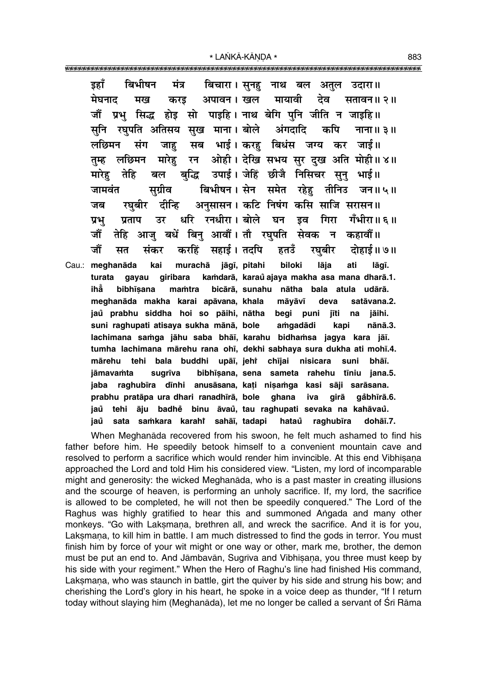\* LANKĀ-KĀNDA \* 

डहाँ बिभीषन मंत्र बिचारा । सुनह नाथ बल अतल उदारा॥ मेघनाद मरव अपावन। खल मायावी देव करड सतावन॥ २॥ सो पाइहि। नाथ बेगि पनि जीति न जाइहि॥ जौं प्रभ सिद्ध होइ सुख माना। बोले रघपति अतिसय अंगदादि कपि सनि नाना $||$  3 $||$ मब भाई। करह बिधंस जग्य कर जाई॥ लछिमन संग जाह ओही। देखि सभय सुर दुख अति मोही॥४॥ मारेह रन लछिमन तम्ह बद्धि उपाई। जेहिं छीजै निसिचर सुन् तेहि मारेह बल ्भाई ॥ बिभीषन। सेन समेत रहेह तीनिउ जामवंत सग्रीव जन॥५॥ रघबीर दीन्हि अनुसासन। कटि निषंग कसि साजि सरासन॥ जब धरि रनधीरा। बोले गिरा गँभीरा॥६॥ प्रभ प्रताप घन इव उर जौं आज बधें बिन् आवौं। तौ रघुपति तेहि सेवक न कहावौं ॥ जौं सहाई। तदपि संकर करहिं हतउँ दोहाई॥ ७॥ सत रघुबीर

Cau.: meghanāda kai murachā jāgī, pitahi biloki lāja ati lāgī. kamdarā, karaŭ ajaya makha asa mana dharā.1. turata qayau giribara ihẳ bibhīsana mamtra bicārā, sunahu nātha bala atula udārā. deva meghanāda makha karai apāvana, khala māyāvī satāvana.2. jaů prabhu siddha hoi so pāihi, nātha begi puni jīti na jāihi. suni raghupati atisaya sukha mānā, bole amgadādi kapi nānā.3. lachimana samga jāhu saba bhāi, karahu bidhamsa jagya kara jāi. tumha lachimana mārehu rana ohī, dekhi sabhaya sura dukha ati mohī.4. tehi bala buddhi upāī, jehř chījai mārehu nisicara suni bhāī. jāmavamta sugrīva bibhīṣana, sena sameta rahehu tīniu jana.5. jaba raghubīra dīnhi anusāsana, kati nisamga kasi sāji sarāsana. prabhu pratāpa ura dhari ranadhīrā, bole ghana gåbhīrā.6. iva girā jaů tehi āju badhě binu āvaů, tau raghupati sevaka na kahāvaů. jaů sata samkara karahř sahāī, tadapi hataů raghubīra dohāī.7.

When Meghanada recovered from his swoon, he felt much ashamed to find his father before him. He speedily betook himself to a convenient mountain cave and resolved to perform a sacrifice which would render him invincible. At this end Vibhisana approached the Lord and told Him his considered view. "Listen, my lord of incomparable might and generosity: the wicked Meghanada, who is a past master in creating illusions and the scourge of heaven, is performing an unholy sacrifice. If, my lord, the sacrifice is allowed to be completed, he will not then be speedily conquered." The Lord of the Raghus was highly gratified to hear this and summoned Angada and many other monkeys. "Go with Laksmana, brethren all, and wreck the sacrifice. And it is for you, Laksmana, to kill him in battle. I am much distressed to find the gods in terror. You must finish him by force of your wit might or one way or other, mark me, brother, the demon must be put an end to. And Jāmbavān, Sugrīva and Vibhīsana, you three must keep by his side with your regiment." When the Hero of Raghu's line had finished His command, Laksmana, who was staunch in battle, girt the quiver by his side and strung his bow; and cherishing the Lord's glory in his heart, he spoke in a voice deep as thunder, "If I return today without slaying him (Meghanāda), let me no longer be called a servant of Śrī Rāma

883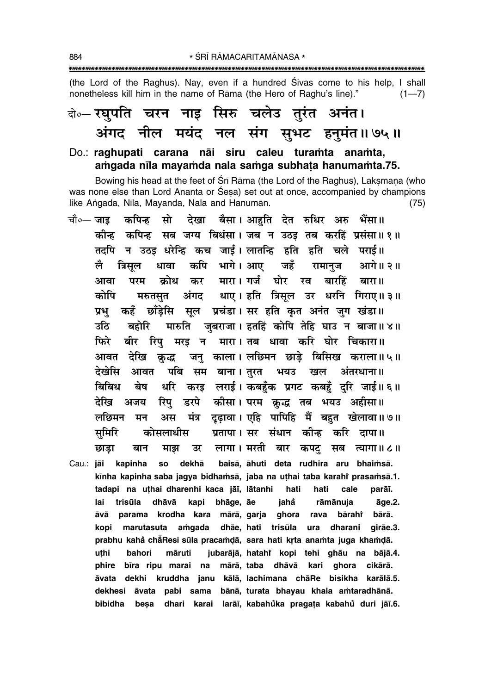(the Lord of the Raghus). Nay, even if a hundred Sivas come to his help, I shall nonetheless kill him in the name of Rāma (the Hero of Raghu's line)."  $(1 - 7)$ 

# बे॰- रघुपति चरन नाइ सिरु चलेउ तुरंत अनंत। अंगद नील मयंद नल संग सुभट हनुमंत॥७५॥

#### Do.: raghupati carana nāi siru caleu turamta anamta, amgada nīla mayamda nala samga subhata hanumamta.75.

Bowing his head at the feet of Sri Rama (the Lord of the Raghus), Laksmana (who was none else than Lord Ananta or Śesa) set out at once, accompanied by champions like Angada, Nīla, Mayanda, Nala and Hanumān.  $(75)$ 

- बैसा। आहुति देत रुधिर अरु भैंसा॥ चौ०— जाड कपिन्ह सो देखा कीन्ह कपिन्ह सब जग्य बिधंसा। जब न उठइ तब करहिं प्रसंसा॥१॥ तदपि न उठइ धरेन्हि कच जाई।लाातन्हि हति हति चले पराई॥ कपि भागे। आए जहँ लै धावा रामानज आगे॥२॥ त्रिसल क्रोध कर मारा।गर्ज घोर रव बारहिं परम आवा बारा॥ कोपि धाए। हति त्रिसूल उर धरनि गिराए॥३॥ अंगद मरुतसत छाँडेसि सल प्रचंडा। सर हति कत अनंत जग खंडा॥ प्रभ कहँ उति मारुति जुबराजा। हतहिं कोपि तेहि घाउ न बाजा॥४॥ बहोरि फिरे रिप मरइ न मारा। तब धावा करि घोर चिकारा॥ बीर जनु काला। लछिमन छाड़े बिसिख कराला॥५॥ आवत देखि क्रद्ध देखेसि आवत पबि सम बाना। तरत भयउ खल अंतरधाना॥ बिबिध बेष धरि करइ लराई । कबहँक प्रगट कबहँ दरि जाई ॥ ६ ॥ अजय डरपे कीसा। परम क्रुद्ध तब भयउ अहीसा॥ देखि रिप दृढावा। एहि पापिहि मैं बहुत खेलावा॥७॥ लछिमन मन अस मंत्र सुमिरि प्रतापा। सर संधान कीन्ह करि कोसलाधीस टापा ॥ लागा। मरती बार कपट सब त्यागा॥८॥ छाडा बान माझ उर
- Cau.: jāi baisā, āhuti deta rudhira aru bhaimsā. kapinha **SO** dekhā kīnha kapinha saba jagya bidhamsā, jaba na uthai taba karahi prasamsā.1. tadapi na uthai dharenhi kaca jāī, lātanhi hati hati cale parāī. lai trisūla dhāvā kapi bhāqe, āe jahå rāmānuja āge.2. parama krodha kara mārā, garja ghora rava bārahi bārā. āvā dhãe, hati trisūla kopi marutasuta amgada ura dharani girāe.3. prabhu kahå chaResi sūla pracamdā, sara hati krta anamta juga khamdā. uthi bahori māruti jubarājā, hatahi kopi tehi ghāu na bājā.4. phire bīra ripu marai na mārā, taba dhāvā kari ghora cikārā. āvata dekhi kruddha janu kālā, lachimana chāRe bisikha karālā.5. dekhesi āvata pabi sama bānā, turata bhayau khala amtaradhānā. bibidha beşa dhari karai larāī, kabahuka pragata kabahu duri jāī.6.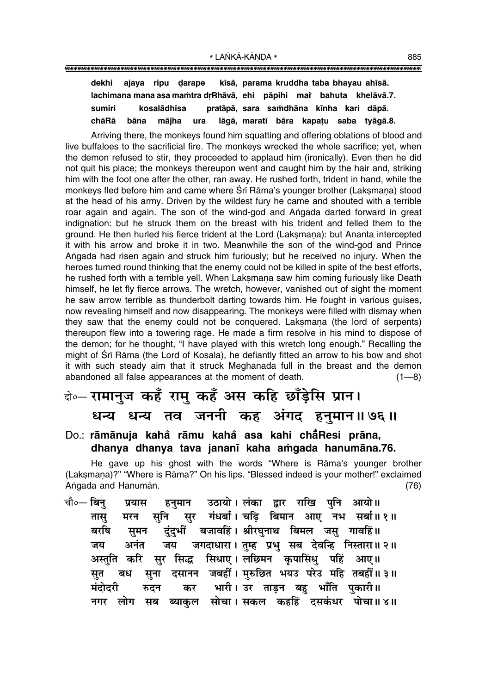| dekhi  |             |           | ajaya ripu darape kīsā, parama kruddha taba bhayau ahīsā. |                                         |  |  |  |                                                                     |
|--------|-------------|-----------|-----------------------------------------------------------|-----------------------------------------|--|--|--|---------------------------------------------------------------------|
|        |             |           |                                                           |                                         |  |  |  | lachimana mana asa mamtra drRhāvā, ehi pāpihi mar bahuta khelāvā.7. |
| sumiri | kosalādhīsa |           |                                                           | pratāpā, sara samdhāna kīnha kari dāpā. |  |  |  |                                                                     |
| chāRā  | bāna        | māiha ura |                                                           |                                         |  |  |  | lāgā, maratī bāra kapatu saba tyāgā.8.                              |

Arriving there, the monkeys found him squatting and offering oblations of blood and live buffaloes to the sacrificial fire. The monkeys wrecked the whole sacrifice; yet, when the demon refused to stir, they proceeded to applaud him (ironically). Even then he did not quit his place; the monkeys thereupon went and caught him by the hair and, striking him with the foot one after the other, ran away. He rushed forth, trident in hand, while the monkeys fled before him and came where Śrī Rāma's younger brother (Lakṣmaṇa) stood at the head of his army. Driven by the wildest fury he came and shouted with a terrible roar again and again. The son of the wind-god and Angada darted forward in great indignation: but he struck them on the breast with his trident and felled them to the ground. He then hurled his fierce trident at the Lord (Laksmana): but Ananta intercepted it with his arrow and broke it in two. Meanwhile the son of the wind-god and Prince Angada had risen again and struck him furiously; but he received no injury. When the heroes turned round thinking that the enemy could not be killed in spite of the best efforts, he rushed forth with a terrible yell. When Laksmana saw him coming furiously like Death himself, he let fly fierce arrows. The wretch, however, vanished out of sight the moment he saw arrow terrible as thunderbolt darting towards him. He fought in various guises, now revealing himself and now disappearing. The monkeys were filled with dismay when they saw that the enemy could not be conquered. Laksmana (the lord of serpents) thereupon flew into a towering rage. He made a firm resolve in his mind to dispose of the demon; for he thought, "I have played with this wretch long enough." Recalling the might of Srī Rāma (the Lord of Kosala), he defiantly fitted an arrow to his bow and shot it with such steady aim that it struck Meghanåda full in the breast and the demon abandoned all false appearances at the moment of death.  $(1-8)$ 

## दो∘– **रामानुज कहँ रामु कहँ अस कहि छाँड़ेसि प्रान।** <u>धन्य धन्य तव जननी कह अंगद हनुमान॥७६॥</u>

### Do.: **råmånuja kaha° råmu kaha° asa kahi chå°Resi pråna, dhanya dhanya tava janan∂ kaha a≈gada hanumåna.76.**

He gave up his ghost with the words "Where is Rāma's younger brother (Lakṣmaṇa)?" "Where is Rāma?" On his lips. "Blessed indeed is your mother!" exclaimed A∆gada and Hanumån. (76)

चौ०— <mark>बिनु प्रयास हनुमान उठायो।लंका द्वार राखि पनि आयो।।</mark> तासु मरन सुनि सुर गंधर्बा । चढ़ि बिमान आए नभ सर्बा ॥ १ ॥ बरषि समन दंदभीं बजावहिं।श्रीरघनाथ बिमल जस गावहिं॥ जय अनंत जय जगदाधारा।तुम्ह प्रभु सब देवन्हि निस्तारा॥२॥ अस्तुति करि सुर सिद्ध सिधाए।लछिमन कृपासिंधु पहिं आए॥ सुत बध सुना दसानन जबहीं। मुरुछित भयउ परेउ महि तबहीं॥ ३॥ **मंदोदरी रुदन कर भारी।** उर ताड़न बहु भाँति पुकारी॥ नगर लोग सब ब्याकुल सोचा।सकल कहहिं दसकंधर पोचा॥४॥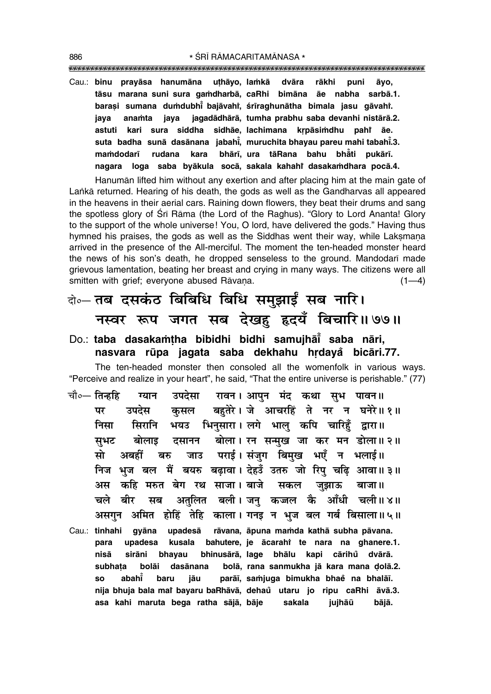\* ŚRĪ RĀMACARITAMĀNASA \* 

Cau.: binu prayāsa hanumāna uthāyo, lamkā dvāra rākhi puni āγo, tāsu marana suni sura gamdharbā, caRhi bimāna āe nabha sarbā.1. barasi sumana dumdubhi bajāvahi śrīraghunātha bimala jasu gāvahi. anamta jaya jagadādhārā, tumha prabhu saba devanhi nistārā.2. jaya astuti kari sura siddha sidhāe, lachimana krpāsimdhu pahr āe. suta badha sunā dasānana jabahi, muruchita bhayau pareu mahi tabahi.3. kara bhārī, ura tāRana bahu bhāti pukārī. mamdodarī rudana nagara loga saba byākula socā, sakala kahahi dasakamdhara pocā.4.

Hanuman lifted him without any exertion and after placing him at the main gate of Lanka returned. Hearing of his death, the gods as well as the Gandharvas all appeared in the heavens in their aerial cars. Raining down flowers, they beat their drums and sang the spotless glory of Sri Rama (the Lord of the Raghus). "Glory to Lord Ananta! Glory to the support of the whole universe! You, O lord, have delivered the gods." Having thus hymned his praises, the gods as well as the Siddhas went their way, while Laksmana arrived in the presence of the All-merciful. The moment the ten-headed monster heard the news of his son's death, he dropped senseless to the ground. Mandodari made grievous lamentation, beating her breast and crying in many ways. The citizens were all smitten with grief; everyone abused Rāvana.  $(1-4)$ 

## वे०- तब दसकंठ बिबिधि बिधि समुझाईं सब नारि। नस्वर रूप जगत सब देखहु हृदयँ बिचारि॥ ७७॥

### Do.: taba dasakamtha bibidhi bidhi samujhai saba nāri, nasvara rūpa jagata saba dekhahu hrdavă bicāri.77.

The ten-headed monster then consoled all the womenfolk in various ways. "Perceive and realize in your heart", he said, "That the entire universe is perishable." (77)

- चौ∘— तिन्हहि उपदेसा रावन । आपन मंद कथा सभ पावन॥ ग्यान बहुतेरे। जे आचरहिं ते नर न घनेरे॥१॥ पर उपदेस कसल भयउ भिनुसारा। लगे भालु कपि चारिहूँ द्वारा॥ निसा सिरानि बोला। रन सन्मुख जा कर मन डोला॥२॥ सभट बोलाइ दसानन जाउ पराई। संजुग बिमुख भएँ न भलाई॥ मो अबर्ही बरु निज भज बल मैं बयरु बढावा। देहउँ उतरु जो रिप चढि आवा॥३॥ अस कहि मरुत बेग रथ साजा। बाजे सकल जझाऊ बाजा ॥ अतुलित बली।जनु कज्जल कै आँधी चली॥४॥ बीर चले मब असगुन अमित होहिं तेहि काला। गनइ न भुज बल गर्ब बिसाला॥५॥
- Cau.: tinhahi rāvana, āpuna mamda kathā subha pāvana. qyāna upadesā upadesa bahutere, je ācarahi te nara na ghanere.1. para kusala bhinusārā, lage bhālu kapi cārihů dvārā. nisā sirāni bhayau subhata bolāi dasānana bolā, rana sanmukha jā kara mana dolā.2. abahi baru iāu parāī, samjuga bimukha bhae na bhalāī. **SO** nija bhuja bala mař bayaru baRhāvā, dehaů utaru jo ripu caRhi āvā.3. asa kahi maruta bega ratha sājā, bāje sakala jujhāū bājā.

886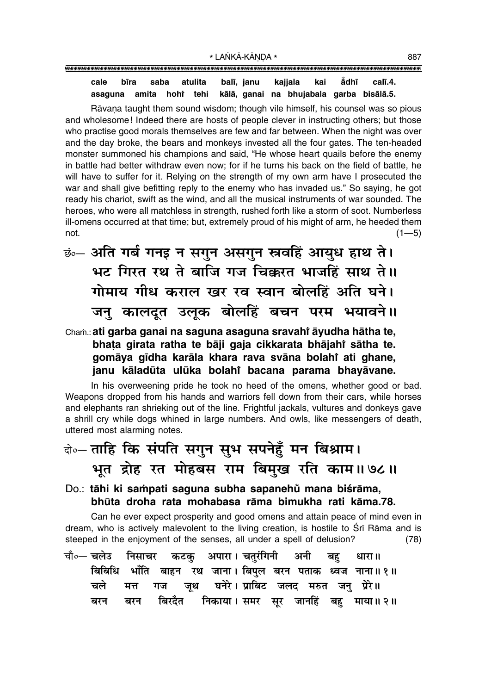ădhī cale bīra saba atulita balī, janu kajjala kai calī.4. amita hohi tehi kālā, ganai na bhujabala garba bisālā.5. asaquna

Rāvana taught them sound wisdom; though vile himself, his counsel was so pious and wholesome! Indeed there are hosts of people clever in instructing others; but those who practise good morals themselves are few and far between. When the night was over and the day broke, the bears and monkeys invested all the four gates. The ten-headed monster summoned his champions and said, "He whose heart quails before the enemy in battle had better withdraw even now: for if he turns his back on the field of battle, he will have to suffer for it. Relying on the strength of my own arm have I prosecuted the war and shall give befitting reply to the enemy who has invaded us." So saying, he got ready his chariot, swift as the wind, and all the musical instruments of war sounded. The heroes, who were all matchless in strength, rushed forth like a storm of soot. Numberless ill-omens occurred at that time; but, extremely proud of his might of arm, he heeded them not.  $(1 - 5)$ 

कं-अति गर्ब गनइ न सगुन असगुन स्त्रवहिं आयुध हाथ ते। भट गिरत रथ ते बाजि गज चिक्करत भाजहिं साथ ते।। गोमाय गीध कराल खर रव स्वान बोलहिं अति घने। जनु कालदूत उलूक बोलहिं बचन परम भयावने॥

### Cham.: ati garba ganai na saguna asaguna sravahi āyudha hātha te, bhața girata ratha te bāji gaja cikkarata bhājahi sātha te. gomāya gīdha karāla khara rava svāna bolahi ati ghane, janu kāladūta ulūka bolahi bacana parama bhayāvane.

In his overweening pride he took no heed of the omens, whether good or bad. Weapons dropped from his hands and warriors fell down from their cars, while horses and elephants ran shrieking out of the line. Frightful jackals, vultures and donkeys gave a shrill cry while dogs whined in large numbers. And owls, like messengers of death, uttered most alarming notes.

## बे॰ ताहि कि संपति सगुन सुभ सपनेहुँ मन बिश्राम। भुत द्रोह रत मोहबस राम बिमुख रति काम॥७८॥

Do.: tāhi ki sampati saguna subha sapanehů mana biśrāma, bhūta droha rata mohabasa rāma bimukha rati kāma.78.

Can he ever expect prosperity and good omens and attain peace of mind even in dream, who is actively malevolent to the living creation, is hostile to Sri Rama and is steeped in the enjoyment of the senses, all under a spell of delusion?  $(78)$ 

|  |  | चौ∘— चलेउ निसाचर कटकू अपारा। चतुरंगिनी अनी बहु धारा॥ |  |  |                                                        |
|--|--|------------------------------------------------------|--|--|--------------------------------------------------------|
|  |  |                                                      |  |  | बिबिधि भाँति बाहन रथ जाना।।बिपुल बरन पताक ध्वज नाना॥१॥ |
|  |  | चले मत्त गज जुथ घनेरे।प्राबिट जलद मरुत जन् प्रेरे॥   |  |  |                                                        |
|  |  |                                                      |  |  | बरन बरन बिरदैत निकाया।समर सूर जानहिं बहु माया॥२॥       |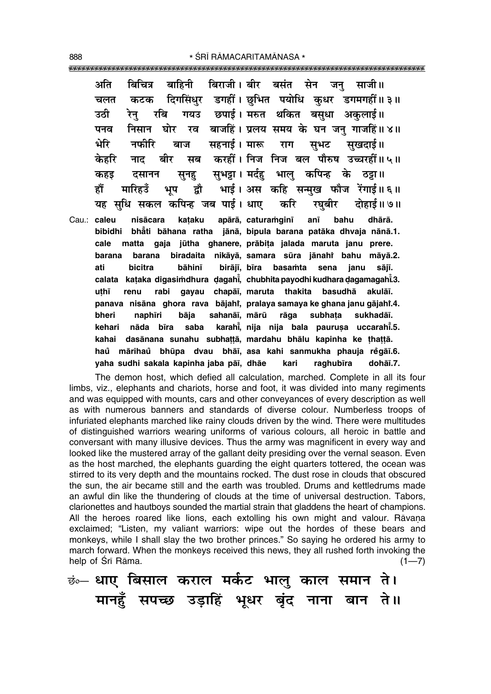अति बिचित्र बाहिनी बिराजी। बीर बसंत सेन साजी॥ जन दिगसिंधर डगहीं। छभित पयोधि कधर डगमगहीं॥३॥ चलत कटक ्छपाई । मरुत थकित बसधा अकलाई॥ ਤਰੀ रबि गयउ रेन निसान घोर रव बाजहिं। प्रलय समय के घन जन गाजहिं॥४॥ पनव भेरि सहनाई। मारू सखदाई॥ नफोरि राग सुभट बाज करहीं। निज निज बल पौरुष उच्चरहीं॥५॥ बीर केर्हारे नाट मब सभद्रा। मर्दह भाल कपिन्ह के दसानन सनह ठड़ा।। कहड भाई। अस कहि सन्मख फौज रेंगाई॥ ६॥ हौं मारिहउँ भूप द्रौ यह सधि सकल कपिन्ह जब पाई। धाए करि रघबीर दोहार्ड ॥ ७ ॥ Cau.: caleu nisācara kataku apārā, caturamginī anī bahu dhārā. bhåti bāhana ratha jānā, bipula barana patāka dhvaja nānā.1. **bibidhi** matta gaja jūtha ghanere, prābita jalada maruta janu prere. cale barana biradaita nikāyā, samara sūra jānahi bahu māyā.2. barana

**bicitra** bāhinī birājī, bīra basamta sena janu ati sāiī. calata kataka digasimdhura dagahi, chubhita payodhi kudhara dagamagahi.3. gayau chapāī, maruta thakita basudhā uthī renu rabi akulāī. panava nisāna ghora rava bājahi, pralaya samaya ke ghana janu gājahi.4. bheri naphīri bāia sahanāī, mārū rāga subhata sukhadāī. karahi, nija nija bala paurusa uccarahi.5. kehari nāda bīra saba kahai dasānana sunahu subhattā, mardahu bhālu kapinha ke thattā. haů mārihaů bhūpa dvau bhāī, asa kahi sanmukha phauja rěgāī.6. yaha sudhi sakala kapinha jaba pāī, dhāe kari raghubīra dohāī.7.

The demon host, which defied all calculation, marched. Complete in all its four limbs, viz., elephants and chariots, horse and foot, it was divided into many regiments and was equipped with mounts, cars and other conveyances of every description as well as with numerous banners and standards of diverse colour. Numberless troops of infuriated elephants marched like rainy clouds driven by the wind. There were multitudes of distinguished warriors wearing uniforms of various colours, all heroic in battle and conversant with many illusive devices. Thus the army was magnificent in every way and looked like the mustered array of the gallant deity presiding over the vernal season. Even as the host marched, the elephants guarding the eight quarters tottered, the ocean was stirred to its very depth and the mountains rocked. The dust rose in clouds that obscured the sun, the air became still and the earth was troubled. Drums and kettledrums made an awful din like the thundering of clouds at the time of universal destruction. Tabors, clarionettes and hautboys sounded the martial strain that gladdens the heart of champions. All the heroes roared like lions, each extolling his own might and valour. Rāvana exclaimed; "Listen, my valiant warriors: wipe out the hordes of these bears and monkeys, while I shall slay the two brother princes." So saying he ordered his army to march forward. When the monkeys received this news, they all rushed forth invoking the help of Śrī Rāma.  $(1 - 7)$ 

छं— धाए बिसाल कराल मर्कट भालु काल समान ते। मानहूँ सपच्छ उड़ाहिं भूधर बृंद नाना बान ते॥